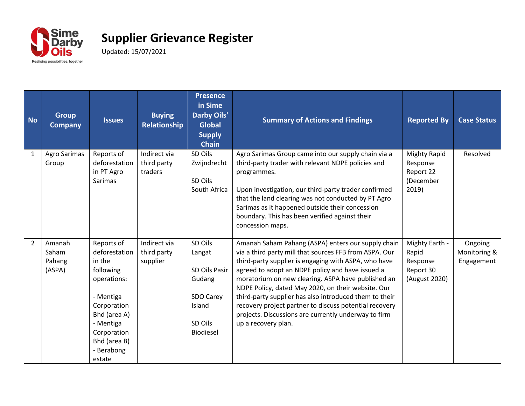

| <b>No</b>    | <b>Group</b><br><b>Company</b>      | <b>Issues</b>                                                                                                                                                                     | <b>Buying</b><br><b>Relationship</b>    | <b>Presence</b><br>in Sime<br><b>Darby Oils'</b><br><b>Global</b><br><b>Supply</b><br><b>Chain</b> | <b>Summary of Actions and Findings</b>                                                                                                                                                                                                                                                                                                                                                                                                                                                                                                  | <b>Reported By</b>                                                 | <b>Case Status</b>                    |
|--------------|-------------------------------------|-----------------------------------------------------------------------------------------------------------------------------------------------------------------------------------|-----------------------------------------|----------------------------------------------------------------------------------------------------|-----------------------------------------------------------------------------------------------------------------------------------------------------------------------------------------------------------------------------------------------------------------------------------------------------------------------------------------------------------------------------------------------------------------------------------------------------------------------------------------------------------------------------------------|--------------------------------------------------------------------|---------------------------------------|
| $\mathbf{1}$ | Agro Sarimas<br>Group               | Reports of<br>deforestation<br>in PT Agro<br>Sarimas                                                                                                                              | Indirect via<br>third party<br>traders  | SD Oils<br>Zwijndrecht<br>SD Oils<br>South Africa                                                  | Agro Sarimas Group came into our supply chain via a<br>third-party trader with relevant NDPE policies and<br>programmes.<br>Upon investigation, our third-party trader confirmed<br>that the land clearing was not conducted by PT Agro<br>Sarimas as it happened outside their concession<br>boundary. This has been verified against their<br>concession maps.                                                                                                                                                                        | <b>Mighty Rapid</b><br>Response<br>Report 22<br>(December<br>2019) | Resolved                              |
| 2            | Amanah<br>Saham<br>Pahang<br>(ASPA) | Reports of<br>deforestation<br>in the<br>following<br>operations:<br>- Mentiga<br>Corporation<br>Bhd (area A)<br>- Mentiga<br>Corporation<br>Bhd (area B)<br>- Berabong<br>estate | Indirect via<br>third party<br>supplier | SD Oils<br>Langat<br>SD Oils Pasir<br>Gudang<br>SDO Carey<br>Island<br>SD Oils<br>Biodiesel        | Amanah Saham Pahang (ASPA) enters our supply chain<br>via a third party mill that sources FFB from ASPA. Our<br>third-party supplier is engaging with ASPA, who have<br>agreed to adopt an NDPE policy and have issued a<br>moratorium on new clearing. ASPA have published an<br>NDPE Policy, dated May 2020, on their website. Our<br>third-party supplier has also introduced them to their<br>recovery project partner to discuss potential recovery<br>projects. Discussions are currently underway to firm<br>up a recovery plan. | Mighty Earth -<br>Rapid<br>Response<br>Report 30<br>(August 2020)  | Ongoing<br>Monitoring &<br>Engagement |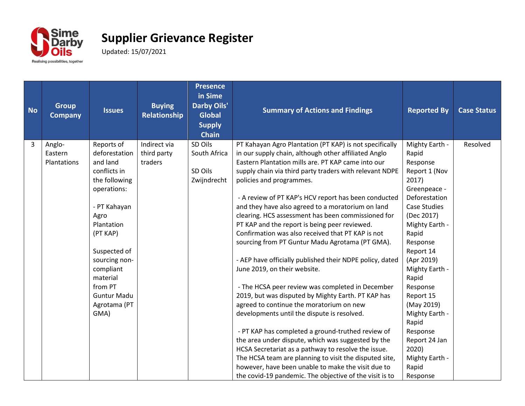

| <b>No</b> | <b>Group</b><br><b>Company</b> | <b>Issues</b>      | <b>Buying</b><br><b>Relationship</b> | <b>Presence</b><br>in Sime<br><b>Darby Oils'</b><br><b>Global</b><br><b>Supply</b><br><b>Chain</b> | <b>Summary of Actions and Findings</b>                                                                  | <b>Reported By</b>            | <b>Case Status</b> |
|-----------|--------------------------------|--------------------|--------------------------------------|----------------------------------------------------------------------------------------------------|---------------------------------------------------------------------------------------------------------|-------------------------------|--------------------|
| 3         | Anglo-                         | Reports of         | Indirect via                         | SD Oils                                                                                            | PT Kahayan Agro Plantation (PT KAP) is not specifically                                                 | Mighty Earth -                | Resolved           |
|           | Eastern                        | deforestation      | third party                          | South Africa                                                                                       | in our supply chain, although other affiliated Anglo                                                    | Rapid                         |                    |
|           | Plantations                    | and land           | traders                              |                                                                                                    | Eastern Plantation mills are. PT KAP came into our                                                      | Response                      |                    |
|           |                                | conflicts in       |                                      | SD Oils                                                                                            | supply chain via third party traders with relevant NDPE                                                 | Report 1 (Nov                 |                    |
|           |                                | the following      |                                      | Zwijndrecht                                                                                        | policies and programmes.                                                                                | 2017)                         |                    |
|           |                                | operations:        |                                      |                                                                                                    | - A review of PT KAP's HCV report has been conducted                                                    | Greenpeace -<br>Deforestation |                    |
|           |                                | - PT Kahayan       |                                      |                                                                                                    | and they have also agreed to a moratorium on land                                                       | <b>Case Studies</b>           |                    |
|           |                                | Agro               |                                      |                                                                                                    | clearing. HCS assessment has been commissioned for                                                      | (Dec 2017)                    |                    |
|           |                                | Plantation         |                                      |                                                                                                    | PT KAP and the report is being peer reviewed.                                                           | Mighty Earth -                |                    |
|           |                                | (PT KAP)           |                                      |                                                                                                    | Confirmation was also received that PT KAP is not                                                       | Rapid                         |                    |
|           |                                |                    |                                      |                                                                                                    | sourcing from PT Guntur Madu Agrotama (PT GMA).                                                         | Response                      |                    |
|           |                                | Suspected of       |                                      |                                                                                                    |                                                                                                         | Report 14                     |                    |
|           |                                | sourcing non-      |                                      |                                                                                                    | - AEP have officially published their NDPE policy, dated                                                | (Apr 2019)                    |                    |
|           |                                | compliant          |                                      |                                                                                                    | June 2019, on their website.                                                                            | Mighty Earth -                |                    |
|           |                                | material           |                                      |                                                                                                    |                                                                                                         | Rapid                         |                    |
|           |                                | from PT            |                                      |                                                                                                    | - The HCSA peer review was completed in December                                                        | Response                      |                    |
|           |                                | <b>Guntur Madu</b> |                                      |                                                                                                    | 2019, but was disputed by Mighty Earth. PT KAP has                                                      | Report 15                     |                    |
|           |                                | Agrotama (PT       |                                      |                                                                                                    | agreed to continue the moratorium on new                                                                | (May 2019)                    |                    |
|           |                                | GMA)               |                                      |                                                                                                    | developments until the dispute is resolved.                                                             | Mighty Earth -                |                    |
|           |                                |                    |                                      |                                                                                                    |                                                                                                         | Rapid                         |                    |
|           |                                |                    |                                      |                                                                                                    | - PT KAP has completed a ground-truthed review of<br>the area under dispute, which was suggested by the | Response<br>Report 24 Jan     |                    |
|           |                                |                    |                                      |                                                                                                    | HCSA Secretariat as a pathway to resolve the issue.                                                     | 2020)                         |                    |
|           |                                |                    |                                      |                                                                                                    | The HCSA team are planning to visit the disputed site,                                                  | Mighty Earth -                |                    |
|           |                                |                    |                                      |                                                                                                    | however, have been unable to make the visit due to                                                      | Rapid                         |                    |
|           |                                |                    |                                      |                                                                                                    | the covid-19 pandemic. The objective of the visit is to                                                 | Response                      |                    |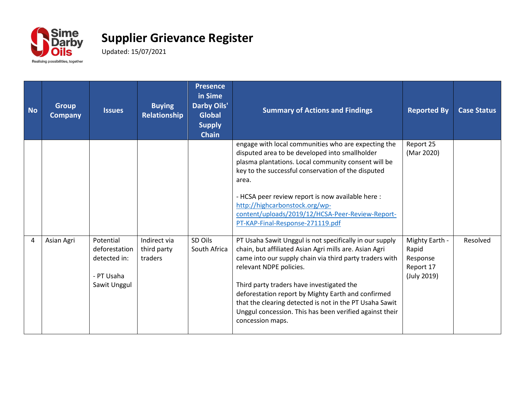

| <b>No</b> | <b>Group</b><br><b>Company</b> | <b>Issues</b>                                                            | <b>Buying</b><br>Relationship          | <b>Presence</b><br>in Sime<br><b>Darby Oils'</b><br><b>Global</b><br><b>Supply</b><br><b>Chain</b> | <b>Summary of Actions and Findings</b>                                                                                                                                                                                                                                                                                                                                                                                                               | <b>Reported By</b>                                              | <b>Case Status</b> |
|-----------|--------------------------------|--------------------------------------------------------------------------|----------------------------------------|----------------------------------------------------------------------------------------------------|------------------------------------------------------------------------------------------------------------------------------------------------------------------------------------------------------------------------------------------------------------------------------------------------------------------------------------------------------------------------------------------------------------------------------------------------------|-----------------------------------------------------------------|--------------------|
|           |                                |                                                                          |                                        |                                                                                                    | engage with local communities who are expecting the<br>disputed area to be developed into smallholder<br>plasma plantations. Local community consent will be<br>key to the successful conservation of the disputed<br>area.<br>- HCSA peer review report is now available here :<br>http://highcarbonstock.org/wp-<br>content/uploads/2019/12/HCSA-Peer-Review-Report-<br>PT-KAP-Final-Response-271119.pdf                                           | Report 25<br>(Mar 2020)                                         |                    |
| 4         | Asian Agri                     | Potential<br>deforestation<br>detected in:<br>- PT Usaha<br>Sawit Unggul | Indirect via<br>third party<br>traders | SD Oils<br>South Africa                                                                            | PT Usaha Sawit Unggul is not specifically in our supply<br>chain, but affiliated Asian Agri mills are. Asian Agri<br>came into our supply chain via third party traders with<br>relevant NDPE policies.<br>Third party traders have investigated the<br>deforestation report by Mighty Earth and confirmed<br>that the clearing detected is not in the PT Usaha Sawit<br>Unggul concession. This has been verified against their<br>concession maps. | Mighty Earth -<br>Rapid<br>Response<br>Report 17<br>(July 2019) | Resolved           |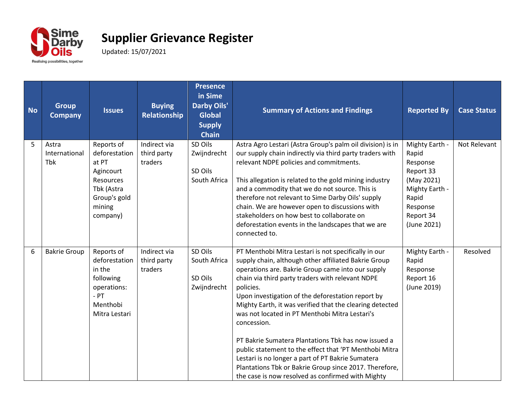

| <b>No</b> | <b>Group</b><br><b>Company</b>       | <b>Issues</b>                                                                                                      | <b>Buying</b><br><b>Relationship</b>   | <b>Presence</b><br>in Sime<br>Darby Oils'<br><b>Global</b><br><b>Supply</b><br><b>Chain</b> | <b>Summary of Actions and Findings</b>                                                                                                                                                                                                                                                                                                                                                                                                                                                                                                                                                                                                                                                                    | <b>Reported By</b>                                                                                                                | <b>Case Status</b> |
|-----------|--------------------------------------|--------------------------------------------------------------------------------------------------------------------|----------------------------------------|---------------------------------------------------------------------------------------------|-----------------------------------------------------------------------------------------------------------------------------------------------------------------------------------------------------------------------------------------------------------------------------------------------------------------------------------------------------------------------------------------------------------------------------------------------------------------------------------------------------------------------------------------------------------------------------------------------------------------------------------------------------------------------------------------------------------|-----------------------------------------------------------------------------------------------------------------------------------|--------------------|
| 5         | Astra<br>International<br><b>Tbk</b> | Reports of<br>deforestation<br>at PT<br>Agincourt<br>Resources<br>Tbk (Astra<br>Group's gold<br>mining<br>company) | Indirect via<br>third party<br>traders | SD Oils<br>Zwijndrecht<br>SD Oils<br>South Africa                                           | Astra Agro Lestari (Astra Group's palm oil division) is in<br>our supply chain indirectly via third party traders with<br>relevant NDPE policies and commitments.<br>This allegation is related to the gold mining industry<br>and a commodity that we do not source. This is<br>therefore not relevant to Sime Darby Oils' supply<br>chain. We are however open to discussions with<br>stakeholders on how best to collaborate on<br>deforestation events in the landscapes that we are<br>connected to.                                                                                                                                                                                                 | Mighty Earth -<br>Rapid<br>Response<br>Report 33<br>(May 2021)<br>Mighty Earth -<br>Rapid<br>Response<br>Report 34<br>(June 2021) | Not Relevant       |
| 6         | <b>Bakrie Group</b>                  | Reports of<br>deforestation<br>in the<br>following<br>operations:<br>$-$ PT<br>Menthobi<br>Mitra Lestari           | Indirect via<br>third party<br>traders | SD Oils<br>South Africa<br>SD Oils<br>Zwijndrecht                                           | PT Menthobi Mitra Lestari is not specifically in our<br>supply chain, although other affiliated Bakrie Group<br>operations are. Bakrie Group came into our supply<br>chain via third party traders with relevant NDPE<br>policies.<br>Upon investigation of the deforestation report by<br>Mighty Earth, it was verified that the clearing detected<br>was not located in PT Menthobi Mitra Lestari's<br>concession.<br>PT Bakrie Sumatera Plantations Tbk has now issued a<br>public statement to the effect that 'PT Menthobi Mitra<br>Lestari is no longer a part of PT Bakrie Sumatera<br>Plantations Tbk or Bakrie Group since 2017. Therefore,<br>the case is now resolved as confirmed with Mighty | Mighty Earth -<br>Rapid<br>Response<br>Report 16<br>(June 2019)                                                                   | Resolved           |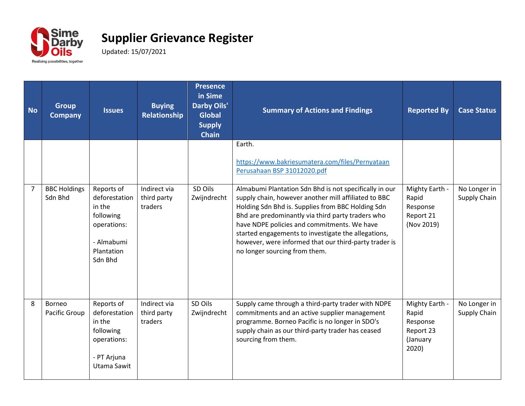

| <b>No</b> | <b>Group</b><br><b>Company</b> | <b>Issues</b>                                                                                            | <b>Buying</b><br>Relationship          | <b>Presence</b><br>in Sime<br><b>Darby Oils'</b><br><b>Global</b><br><b>Supply</b><br><b>Chain</b> | <b>Summary of Actions and Findings</b>                                                                                                                                                                                                                                                                                                                                                                                   | <b>Reported By</b>                                                    | <b>Case Status</b>           |
|-----------|--------------------------------|----------------------------------------------------------------------------------------------------------|----------------------------------------|----------------------------------------------------------------------------------------------------|--------------------------------------------------------------------------------------------------------------------------------------------------------------------------------------------------------------------------------------------------------------------------------------------------------------------------------------------------------------------------------------------------------------------------|-----------------------------------------------------------------------|------------------------------|
|           |                                |                                                                                                          |                                        |                                                                                                    | Earth.<br>https://www.bakriesumatera.com/files/Pernyataan<br>Perusahaan BSP 31012020.pdf                                                                                                                                                                                                                                                                                                                                 |                                                                       |                              |
| 7         | <b>BBC Holdings</b><br>Sdn Bhd | Reports of<br>deforestation<br>in the<br>following<br>operations:<br>- Almabumi<br>Plantation<br>Sdn Bhd | Indirect via<br>third party<br>traders | SD Oils<br>Zwijndrecht                                                                             | Almabumi Plantation Sdn Bhd is not specifically in our<br>supply chain, however another mill affiliated to BBC<br>Holding Sdn Bhd is. Supplies from BBC Holding Sdn<br>Bhd are predominantly via third party traders who<br>have NDPE policies and commitments. We have<br>started engagements to investigate the allegations,<br>however, were informed that our third-party trader is<br>no longer sourcing from them. | Mighty Earth -<br>Rapid<br>Response<br>Report 21<br>(Nov 2019)        | No Longer in<br>Supply Chain |
| 8         | Borneo<br>Pacific Group        | Reports of<br>deforestation<br>in the<br>following<br>operations:<br>- PT Arjuna<br>Utama Sawit          | Indirect via<br>third party<br>traders | SD Oils<br>Zwijndrecht                                                                             | Supply came through a third-party trader with NDPE<br>commitments and an active supplier management<br>programme. Borneo Pacific is no longer in SDO's<br>supply chain as our third-party trader has ceased<br>sourcing from them.                                                                                                                                                                                       | Mighty Earth -<br>Rapid<br>Response<br>Report 23<br>(January<br>2020) | No Longer in<br>Supply Chain |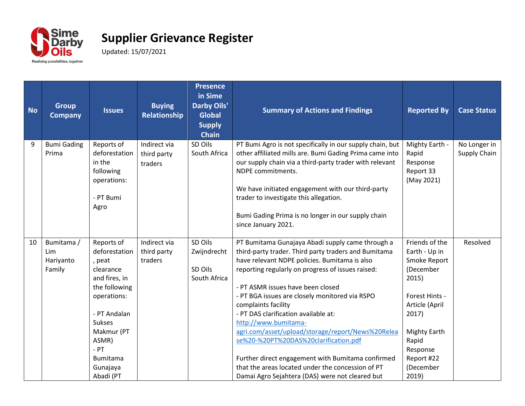

| <b>No</b> | <b>Group</b><br><b>Company</b>           | <b>Issues</b>                                                                                                                                                                                                    | <b>Buying</b><br>Relationship          | <b>Presence</b><br>in Sime<br><b>Darby Oils'</b><br><b>Global</b><br><b>Supply</b><br><b>Chain</b> | <b>Summary of Actions and Findings</b>                                                                                                                                                                                                                                                                                                                                                                                                                                                                                                                                                                                                                  | <b>Reported By</b>                                                                                                                                                                                 | <b>Case Status</b>           |
|-----------|------------------------------------------|------------------------------------------------------------------------------------------------------------------------------------------------------------------------------------------------------------------|----------------------------------------|----------------------------------------------------------------------------------------------------|---------------------------------------------------------------------------------------------------------------------------------------------------------------------------------------------------------------------------------------------------------------------------------------------------------------------------------------------------------------------------------------------------------------------------------------------------------------------------------------------------------------------------------------------------------------------------------------------------------------------------------------------------------|----------------------------------------------------------------------------------------------------------------------------------------------------------------------------------------------------|------------------------------|
| 9         | <b>Bumi Gading</b><br>Prima              | Reports of<br>deforestation<br>in the<br>following<br>operations:<br>- PT Bumi<br>Agro                                                                                                                           | Indirect via<br>third party<br>traders | SD Oils<br>South Africa                                                                            | PT Bumi Agro is not specifically in our supply chain, but<br>other affiliated mills are. Bumi Gading Prima came into<br>our supply chain via a third-party trader with relevant<br>NDPE commitments.<br>We have initiated engagement with our third-party<br>trader to investigate this allegation.<br>Bumi Gading Prima is no longer in our supply chain<br>since January 2021.                                                                                                                                                                                                                                                                        | Mighty Earth -<br>Rapid<br>Response<br>Report 33<br>(May 2021)                                                                                                                                     | No Longer in<br>Supply Chain |
| 10        | Bumitama /<br>Lim<br>Hariyanto<br>Family | Reports of<br>deforestation<br>, peat<br>clearance<br>and fires, in<br>the following<br>operations:<br>- PT Andalan<br><b>Sukses</b><br>Makmur (PT<br>ASMR)<br>$-PT$<br><b>Bumitama</b><br>Gunajaya<br>Abadi (PT | Indirect via<br>third party<br>traders | SD Oils<br>Zwijndrecht<br>SD Oils<br>South Africa                                                  | PT Bumitama Gunajaya Abadi supply came through a<br>third-party trader. Third party traders and Bumitama<br>have relevant NDPE policies. Bumitama is also<br>reporting regularly on progress of issues raised:<br>- PT ASMR issues have been closed<br>- PT BGA issues are closely monitored via RSPO<br>complaints facility<br>- PT DAS clarification available at:<br>http://www.bumitama-<br>agri.com/asset/upload/storage/report/News%20Relea<br>se%20-%20PT%20DAS%20clarification.pdf<br>Further direct engagement with Bumitama confirmed<br>that the areas located under the concession of PT<br>Damai Agro Sejahtera (DAS) were not cleared but | Friends of the<br>Earth - Up in<br>Smoke Report<br>(December<br>2015)<br>Forest Hints -<br>Article (April<br>2017)<br><b>Mighty Earth</b><br>Rapid<br>Response<br>Report #22<br>(December<br>2019) | Resolved                     |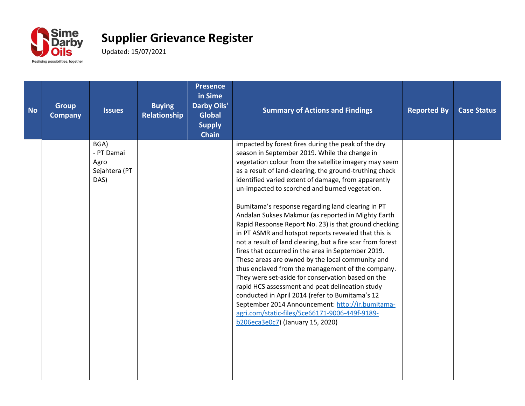

| <b>No</b> | <b>Group</b><br><b>Company</b> | <b>Issues</b>                                       | <b>Buying</b><br>Relationship | <b>Presence</b><br>in Sime<br><b>Darby Oils'</b><br><b>Global</b><br><b>Supply</b><br><b>Chain</b> | <b>Summary of Actions and Findings</b>                                                                                                                                                                                                                                                                                                                                                                                                                                                                                                                                                                                                                                                                                                                                                                                                                                                                                                                                                                                                                                                          | <b>Reported By</b> | <b>Case Status</b> |
|-----------|--------------------------------|-----------------------------------------------------|-------------------------------|----------------------------------------------------------------------------------------------------|-------------------------------------------------------------------------------------------------------------------------------------------------------------------------------------------------------------------------------------------------------------------------------------------------------------------------------------------------------------------------------------------------------------------------------------------------------------------------------------------------------------------------------------------------------------------------------------------------------------------------------------------------------------------------------------------------------------------------------------------------------------------------------------------------------------------------------------------------------------------------------------------------------------------------------------------------------------------------------------------------------------------------------------------------------------------------------------------------|--------------------|--------------------|
|           |                                | BGA)<br>- PT Damai<br>Agro<br>Sejahtera (PT<br>DAS) |                               |                                                                                                    | impacted by forest fires during the peak of the dry<br>season in September 2019. While the change in<br>vegetation colour from the satellite imagery may seem<br>as a result of land-clearing, the ground-truthing check<br>identified varied extent of damage, from apparently<br>un-impacted to scorched and burned vegetation.<br>Bumitama's response regarding land clearing in PT<br>Andalan Sukses Makmur (as reported in Mighty Earth<br>Rapid Response Report No. 23) is that ground checking<br>in PT ASMR and hotspot reports revealed that this is<br>not a result of land clearing, but a fire scar from forest<br>fires that occurred in the area in September 2019.<br>These areas are owned by the local community and<br>thus enclaved from the management of the company.<br>They were set-aside for conservation based on the<br>rapid HCS assessment and peat delineation study<br>conducted in April 2014 (refer to Bumitama's 12<br>September 2014 Announcement: http://ir.bumitama-<br>agri.com/static-files/5ce66171-9006-449f-9189-<br>b206eca3e0c7) (January 15, 2020) |                    |                    |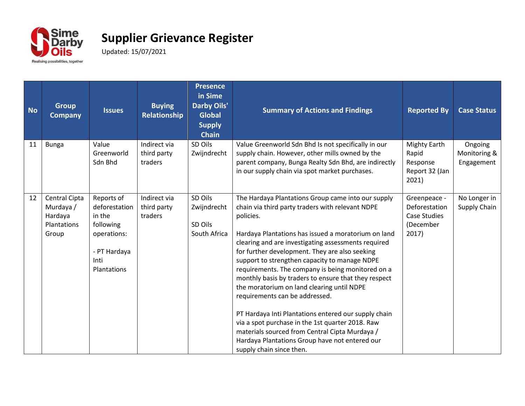

| <b>No</b> | <b>Group</b><br><b>Company</b>                                | <b>Issues</b>                                                                                            | <b>Buying</b><br><b>Relationship</b>   | <b>Presence</b><br>in Sime<br><b>Darby Oils'</b><br><b>Global</b><br><b>Supply</b><br><b>Chain</b> | <b>Summary of Actions and Findings</b>                                                                                                                                                                                                                                                                                                                                                                                                                                                                                                                                                                                                                                                                                                                                        | <b>Reported By</b>                                                         | <b>Case Status</b>                    |
|-----------|---------------------------------------------------------------|----------------------------------------------------------------------------------------------------------|----------------------------------------|----------------------------------------------------------------------------------------------------|-------------------------------------------------------------------------------------------------------------------------------------------------------------------------------------------------------------------------------------------------------------------------------------------------------------------------------------------------------------------------------------------------------------------------------------------------------------------------------------------------------------------------------------------------------------------------------------------------------------------------------------------------------------------------------------------------------------------------------------------------------------------------------|----------------------------------------------------------------------------|---------------------------------------|
| 11        | <b>Bunga</b>                                                  | Value<br>Greenworld<br>Sdn Bhd                                                                           | Indirect via<br>third party<br>traders | SD Oils<br>Zwijndrecht                                                                             | Value Greenworld Sdn Bhd Is not specifically in our<br>supply chain. However, other mills owned by the<br>parent company, Bunga Realty Sdn Bhd, are indirectly<br>in our supply chain via spot market purchases.                                                                                                                                                                                                                                                                                                                                                                                                                                                                                                                                                              | <b>Mighty Earth</b><br>Rapid<br>Response<br>Report 32 (Jan<br>2021)        | Ongoing<br>Monitoring &<br>Engagement |
| 12        | Central Cipta<br>Murdaya /<br>Hardaya<br>Plantations<br>Group | Reports of<br>deforestation<br>in the<br>following<br>operations:<br>- PT Hardaya<br>Inti<br>Plantations | Indirect via<br>third party<br>traders | SD Oils<br>Zwijndrecht<br>SD Oils<br>South Africa                                                  | The Hardaya Plantations Group came into our supply<br>chain via third party traders with relevant NDPE<br>policies.<br>Hardaya Plantations has issued a moratorium on land<br>clearing and are investigating assessments required<br>for further development. They are also seeking<br>support to strengthen capacity to manage NDPE<br>requirements. The company is being monitored on a<br>monthly basis by traders to ensure that they respect<br>the moratorium on land clearing until NDPE<br>requirements can be addressed.<br>PT Hardaya Inti Plantations entered our supply chain<br>via a spot purchase in the 1st quarter 2018. Raw<br>materials sourced from Central Cipta Murdaya /<br>Hardaya Plantations Group have not entered our<br>supply chain since then. | Greenpeace -<br>Deforestation<br><b>Case Studies</b><br>(December<br>2017) | No Longer in<br>Supply Chain          |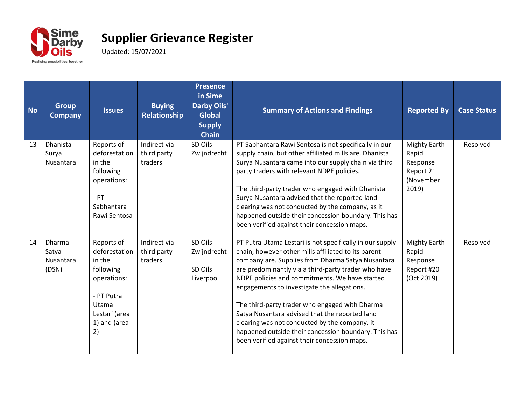

| <b>No</b> | <b>Group</b><br><b>Company</b>               | <b>Issues</b>                                                                                                                   | <b>Buying</b><br><b>Relationship</b>   | <b>Presence</b><br>in Sime<br><b>Darby Oils'</b><br><b>Global</b><br><b>Supply</b><br><b>Chain</b> | <b>Summary of Actions and Findings</b>                                                                                                                                                                                                                                                                                                                                                                                                                                                                                                                                                    | <b>Reported By</b>                                                     | <b>Case Status</b> |
|-----------|----------------------------------------------|---------------------------------------------------------------------------------------------------------------------------------|----------------------------------------|----------------------------------------------------------------------------------------------------|-------------------------------------------------------------------------------------------------------------------------------------------------------------------------------------------------------------------------------------------------------------------------------------------------------------------------------------------------------------------------------------------------------------------------------------------------------------------------------------------------------------------------------------------------------------------------------------------|------------------------------------------------------------------------|--------------------|
| 13        | <b>Dhanista</b><br>Surya<br>Nusantara        | Reports of<br>deforestation<br>in the<br>following<br>operations:<br>$-$ PT<br>Sabhantara<br>Rawi Sentosa                       | Indirect via<br>third party<br>traders | SD Oils<br>Zwijndrecht                                                                             | PT Sabhantara Rawi Sentosa is not specifically in our<br>supply chain, but other affiliated mills are. Dhanista<br>Surya Nusantara came into our supply chain via third<br>party traders with relevant NDPE policies.<br>The third-party trader who engaged with Dhanista<br>Surya Nusantara advised that the reported land<br>clearing was not conducted by the company, as it<br>happened outside their concession boundary. This has<br>been verified against their concession maps.                                                                                                   | Mighty Earth -<br>Rapid<br>Response<br>Report 21<br>(November<br>2019) | Resolved           |
| 14        | <b>Dharma</b><br>Satya<br>Nusantara<br>(DSN) | Reports of<br>deforestation<br>in the<br>following<br>operations:<br>- PT Putra<br>Utama<br>Lestari (area<br>1) and (area<br>2) | Indirect via<br>third party<br>traders | SD Oils<br>Zwijndrecht<br>SD Oils<br>Liverpool                                                     | PT Putra Utama Lestari is not specifically in our supply<br>chain, however other mills affiliated to its parent<br>company are. Supplies from Dharma Satya Nusantara<br>are predominantly via a third-party trader who have<br>NDPE policies and commitments. We have started<br>engagements to investigate the allegations.<br>The third-party trader who engaged with Dharma<br>Satya Nusantara advised that the reported land<br>clearing was not conducted by the company, it<br>happened outside their concession boundary. This has<br>been verified against their concession maps. | Mighty Earth<br>Rapid<br>Response<br>Report #20<br>(Oct 2019)          | Resolved           |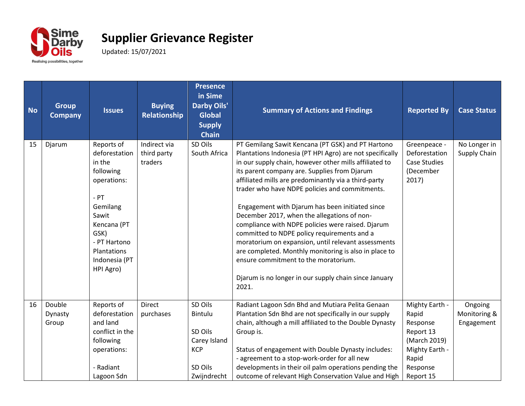

| <b>No</b> | <b>Group</b><br><b>Company</b> | <b>Issues</b>                                                                                                                                                                        | <b>Buying</b><br><b>Relationship</b>   | <b>Presence</b><br>in Sime<br><b>Darby Oils'</b><br><b>Global</b><br><b>Supply</b><br><b>Chain</b> | <b>Summary of Actions and Findings</b>                                                                                                                                                                                                                                                                                                                                                                                                                                                                                                                                                                                                                                                                                                                            | <b>Reported By</b>                                                                        | <b>Case Status</b>           |
|-----------|--------------------------------|--------------------------------------------------------------------------------------------------------------------------------------------------------------------------------------|----------------------------------------|----------------------------------------------------------------------------------------------------|-------------------------------------------------------------------------------------------------------------------------------------------------------------------------------------------------------------------------------------------------------------------------------------------------------------------------------------------------------------------------------------------------------------------------------------------------------------------------------------------------------------------------------------------------------------------------------------------------------------------------------------------------------------------------------------------------------------------------------------------------------------------|-------------------------------------------------------------------------------------------|------------------------------|
| 15        | Djarum                         | Reports of<br>deforestation<br>in the<br>following<br>operations:<br>$-$ PT<br>Gemilang<br>Sawit<br>Kencana (PT<br>GSK)<br>- PT Hartono<br>Plantations<br>Indonesia (PT<br>HPI Agro) | Indirect via<br>third party<br>traders | SD Oils<br>South Africa                                                                            | PT Gemilang Sawit Kencana (PT GSK) and PT Hartono<br>Plantations Indonesia (PT HPI Agro) are not specifically<br>in our supply chain, however other mills affiliated to<br>its parent company are. Supplies from Djarum<br>affiliated mills are predominantly via a third-party<br>trader who have NDPE policies and commitments.<br>Engagement with Djarum has been initiated since<br>December 2017, when the allegations of non-<br>compliance with NDPE policies were raised. Djarum<br>committed to NDPE policy requirements and a<br>moratorium on expansion, until relevant assessments<br>are completed. Monthly monitoring is also in place to<br>ensure commitment to the moratorium.<br>Djarum is no longer in our supply chain since January<br>2021. | Greenpeace -<br>Deforestation<br><b>Case Studies</b><br>(December<br>2017)                | No Longer in<br>Supply Chain |
| 16        | Double<br>Dynasty              | Reports of<br>deforestation                                                                                                                                                          | Direct<br>purchases                    | SD Oils<br>Bintulu                                                                                 | Radiant Lagoon Sdn Bhd and Mutiara Pelita Genaan<br>Plantation Sdn Bhd are not specifically in our supply                                                                                                                                                                                                                                                                                                                                                                                                                                                                                                                                                                                                                                                         | Mighty Earth -<br>Rapid                                                                   | Ongoing<br>Monitoring &      |
|           | Group                          | and land<br>conflict in the<br>following<br>operations:<br>- Radiant<br>Lagoon Sdn                                                                                                   |                                        | SD Oils<br>Carey Island<br><b>KCP</b><br>SD Oils<br>Zwijndrecht                                    | chain, although a mill affiliated to the Double Dynasty<br>Group is.<br>Status of engagement with Double Dynasty includes:<br>- agreement to a stop-work-order for all new<br>developments in their oil palm operations pending the<br>outcome of relevant High Conservation Value and High                                                                                                                                                                                                                                                                                                                                                                                                                                                                       | Response<br>Report 13<br>(March 2019)<br>Mighty Earth -<br>Rapid<br>Response<br>Report 15 | Engagement                   |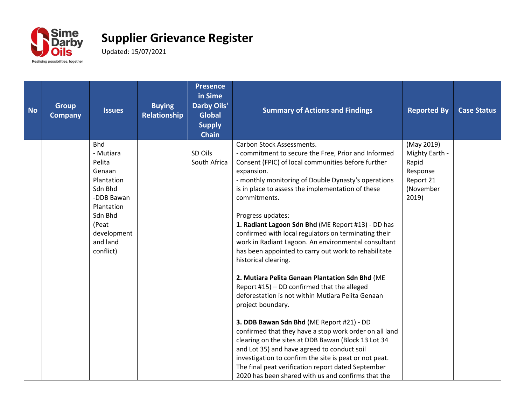

| <b>No</b> | <b>Group</b><br><b>Company</b> | <b>Issues</b>           | <b>Buying</b><br>Relationship | <b>Presence</b><br>in Sime<br><b>Darby Oils'</b><br><b>Global</b><br><b>Supply</b><br><b>Chain</b> | <b>Summary of Actions and Findings</b>                                                                      | <b>Reported By</b> | <b>Case Status</b> |
|-----------|--------------------------------|-------------------------|-------------------------------|----------------------------------------------------------------------------------------------------|-------------------------------------------------------------------------------------------------------------|--------------------|--------------------|
|           |                                | <b>Bhd</b>              |                               |                                                                                                    | <b>Carbon Stock Assessments.</b>                                                                            | (May 2019)         |                    |
|           |                                | - Mutiara               |                               | SD Oils                                                                                            | - commitment to secure the Free, Prior and Informed                                                         | Mighty Earth -     |                    |
|           |                                | Pelita<br>Genaan        |                               | South Africa                                                                                       | Consent (FPIC) of local communities before further<br>expansion.                                            | Rapid<br>Response  |                    |
|           |                                | Plantation              |                               |                                                                                                    | - monthly monitoring of Double Dynasty's operations                                                         | Report 21          |                    |
|           |                                | Sdn Bhd                 |                               |                                                                                                    | is in place to assess the implementation of these                                                           | (November          |                    |
|           |                                | -DDB Bawan              |                               |                                                                                                    | commitments.                                                                                                | 2019)              |                    |
|           |                                | Plantation              |                               |                                                                                                    |                                                                                                             |                    |                    |
|           |                                | Sdn Bhd                 |                               |                                                                                                    | Progress updates:                                                                                           |                    |                    |
|           |                                | (Peat                   |                               |                                                                                                    | 1. Radiant Lagoon Sdn Bhd (ME Report #13) - DD has                                                          |                    |                    |
|           |                                | development<br>and land |                               |                                                                                                    | confirmed with local regulators on terminating their                                                        |                    |                    |
|           |                                | conflict)               |                               |                                                                                                    | work in Radiant Lagoon. An environmental consultant<br>has been appointed to carry out work to rehabilitate |                    |                    |
|           |                                |                         |                               |                                                                                                    | historical clearing.                                                                                        |                    |                    |
|           |                                |                         |                               |                                                                                                    | 2. Mutiara Pelita Genaan Plantation Sdn Bhd (ME                                                             |                    |                    |
|           |                                |                         |                               |                                                                                                    | Report #15) - DD confirmed that the alleged                                                                 |                    |                    |
|           |                                |                         |                               |                                                                                                    | deforestation is not within Mutiara Pelita Genaan                                                           |                    |                    |
|           |                                |                         |                               |                                                                                                    | project boundary.                                                                                           |                    |                    |
|           |                                |                         |                               |                                                                                                    | 3. DDB Bawan Sdn Bhd (ME Report #21) - DD                                                                   |                    |                    |
|           |                                |                         |                               |                                                                                                    | confirmed that they have a stop work order on all land                                                      |                    |                    |
|           |                                |                         |                               |                                                                                                    | clearing on the sites at DDB Bawan (Block 13 Lot 34                                                         |                    |                    |
|           |                                |                         |                               |                                                                                                    | and Lot 35) and have agreed to conduct soil                                                                 |                    |                    |
|           |                                |                         |                               |                                                                                                    | investigation to confirm the site is peat or not peat.                                                      |                    |                    |
|           |                                |                         |                               |                                                                                                    | The final peat verification report dated September                                                          |                    |                    |
|           |                                |                         |                               |                                                                                                    | 2020 has been shared with us and confirms that the                                                          |                    |                    |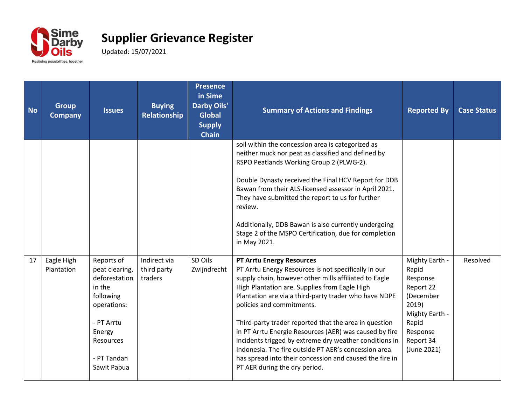

| <b>No</b> | <b>Group</b><br><b>Company</b> | <b>Issues</b>                                                                                                                                          | <b>Buying</b><br>Relationship          | <b>Presence</b><br>in Sime<br><b>Darby Oils'</b><br><b>Global</b><br><b>Supply</b><br><b>Chain</b> | <b>Summary of Actions and Findings</b>                                                                                                                                                                                                                                                                                                                                                                                                                                                                                                                                                                                    | <b>Reported By</b>                                                                                                                        | <b>Case Status</b> |
|-----------|--------------------------------|--------------------------------------------------------------------------------------------------------------------------------------------------------|----------------------------------------|----------------------------------------------------------------------------------------------------|---------------------------------------------------------------------------------------------------------------------------------------------------------------------------------------------------------------------------------------------------------------------------------------------------------------------------------------------------------------------------------------------------------------------------------------------------------------------------------------------------------------------------------------------------------------------------------------------------------------------------|-------------------------------------------------------------------------------------------------------------------------------------------|--------------------|
|           |                                |                                                                                                                                                        |                                        |                                                                                                    | soil within the concession area is categorized as<br>neither muck nor peat as classified and defined by<br>RSPO Peatlands Working Group 2 (PLWG-2).<br>Double Dynasty received the Final HCV Report for DDB<br>Bawan from their ALS-licensed assessor in April 2021.<br>They have submitted the report to us for further<br>review.<br>Additionally, DDB Bawan is also currently undergoing<br>Stage 2 of the MSPO Certification, due for completion<br>in May 2021.                                                                                                                                                      |                                                                                                                                           |                    |
| 17        | Eagle High<br>Plantation       | Reports of<br>peat clearing,<br>deforestation<br>in the<br>following<br>operations:<br>- PT Arrtu<br>Energy<br>Resources<br>- PT Tandan<br>Sawit Papua | Indirect via<br>third party<br>traders | SD Oils<br>Zwijndrecht                                                                             | <b>PT Arrtu Energy Resources</b><br>PT Arrtu Energy Resources is not specifically in our<br>supply chain, however other mills affiliated to Eagle<br>High Plantation are. Supplies from Eagle High<br>Plantation are via a third-party trader who have NDPE<br>policies and commitments.<br>Third-party trader reported that the area in question<br>in PT Arrtu Energie Resources (AER) was caused by fire<br>incidents trigged by extreme dry weather conditions in<br>Indonesia. The fire outside PT AER's concession area<br>has spread into their concession and caused the fire in<br>PT AER during the dry period. | Mighty Earth -<br>Rapid<br>Response<br>Report 22<br>(December<br>2019)<br>Mighty Earth -<br>Rapid<br>Response<br>Report 34<br>(June 2021) | Resolved           |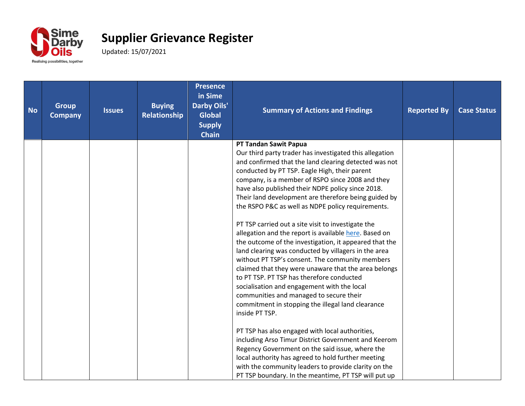

| <b>No</b> | <b>Group</b><br><b>Company</b> | <b>Issues</b> | <b>Buying</b><br>Relationship | <b>Presence</b><br>in Sime<br><b>Darby Oils'</b><br><b>Global</b><br><b>Supply</b><br><b>Chain</b> | <b>Summary of Actions and Findings</b>                                                                    | <b>Reported By</b> | <b>Case Status</b> |
|-----------|--------------------------------|---------------|-------------------------------|----------------------------------------------------------------------------------------------------|-----------------------------------------------------------------------------------------------------------|--------------------|--------------------|
|           |                                |               |                               |                                                                                                    | PT Tandan Sawit Papua                                                                                     |                    |                    |
|           |                                |               |                               |                                                                                                    | Our third party trader has investigated this allegation                                                   |                    |                    |
|           |                                |               |                               |                                                                                                    | and confirmed that the land clearing detected was not                                                     |                    |                    |
|           |                                |               |                               |                                                                                                    | conducted by PT TSP. Eagle High, their parent                                                             |                    |                    |
|           |                                |               |                               |                                                                                                    | company, is a member of RSPO since 2008 and they                                                          |                    |                    |
|           |                                |               |                               |                                                                                                    | have also published their NDPE policy since 2018.<br>Their land development are therefore being guided by |                    |                    |
|           |                                |               |                               |                                                                                                    | the RSPO P&C as well as NDPE policy requirements.                                                         |                    |                    |
|           |                                |               |                               |                                                                                                    |                                                                                                           |                    |                    |
|           |                                |               |                               |                                                                                                    | PT TSP carried out a site visit to investigate the                                                        |                    |                    |
|           |                                |               |                               |                                                                                                    | allegation and the report is available here. Based on                                                     |                    |                    |
|           |                                |               |                               |                                                                                                    | the outcome of the investigation, it appeared that the                                                    |                    |                    |
|           |                                |               |                               |                                                                                                    | land clearing was conducted by villagers in the area                                                      |                    |                    |
|           |                                |               |                               |                                                                                                    | without PT TSP's consent. The community members                                                           |                    |                    |
|           |                                |               |                               |                                                                                                    | claimed that they were unaware that the area belongs                                                      |                    |                    |
|           |                                |               |                               |                                                                                                    | to PT TSP. PT TSP has therefore conducted<br>socialisation and engagement with the local                  |                    |                    |
|           |                                |               |                               |                                                                                                    | communities and managed to secure their                                                                   |                    |                    |
|           |                                |               |                               |                                                                                                    | commitment in stopping the illegal land clearance                                                         |                    |                    |
|           |                                |               |                               |                                                                                                    | inside PT TSP.                                                                                            |                    |                    |
|           |                                |               |                               |                                                                                                    |                                                                                                           |                    |                    |
|           |                                |               |                               |                                                                                                    | PT TSP has also engaged with local authorities,                                                           |                    |                    |
|           |                                |               |                               |                                                                                                    | including Arso Timur District Government and Keerom                                                       |                    |                    |
|           |                                |               |                               |                                                                                                    | Regency Government on the said issue, where the                                                           |                    |                    |
|           |                                |               |                               |                                                                                                    | local authority has agreed to hold further meeting                                                        |                    |                    |
|           |                                |               |                               |                                                                                                    | with the community leaders to provide clarity on the                                                      |                    |                    |
|           |                                |               |                               |                                                                                                    | PT TSP boundary. In the meantime, PT TSP will put up                                                      |                    |                    |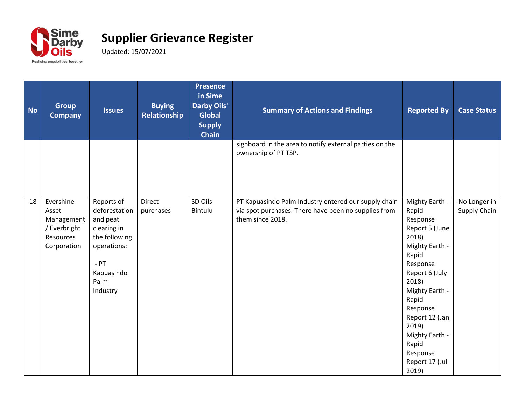

| <b>No</b> | <b>Group</b><br><b>Company</b>                                               | <b>Issues</b>                                                                                                                      | <b>Buying</b><br>Relationship | <b>Presence</b><br>in Sime<br><b>Darby Oils'</b><br><b>Global</b><br><b>Supply</b><br><b>Chain</b> | <b>Summary of Actions and Findings</b>                                                                                           | <b>Reported By</b>                                                                                                                                                                                                                                                   | <b>Case Status</b>           |
|-----------|------------------------------------------------------------------------------|------------------------------------------------------------------------------------------------------------------------------------|-------------------------------|----------------------------------------------------------------------------------------------------|----------------------------------------------------------------------------------------------------------------------------------|----------------------------------------------------------------------------------------------------------------------------------------------------------------------------------------------------------------------------------------------------------------------|------------------------------|
|           |                                                                              |                                                                                                                                    |                               |                                                                                                    | signboard in the area to notify external parties on the<br>ownership of PT TSP.                                                  |                                                                                                                                                                                                                                                                      |                              |
| 18        | Evershine<br>Asset<br>Management<br>/ Everbright<br>Resources<br>Corporation | Reports of<br>deforestation<br>and peat<br>clearing in<br>the following<br>operations:<br>$-$ PT<br>Kapuasindo<br>Palm<br>Industry | <b>Direct</b><br>purchases    | SD Oils<br>Bintulu                                                                                 | PT Kapuasindo Palm Industry entered our supply chain<br>via spot purchases. There have been no supplies from<br>them since 2018. | Mighty Earth -<br>Rapid<br>Response<br>Report 5 (June<br>2018)<br>Mighty Earth -<br>Rapid<br>Response<br>Report 6 (July<br>2018)<br>Mighty Earth -<br>Rapid<br>Response<br>Report 12 (Jan<br>2019)<br>Mighty Earth -<br>Rapid<br>Response<br>Report 17 (Jul<br>2019) | No Longer in<br>Supply Chain |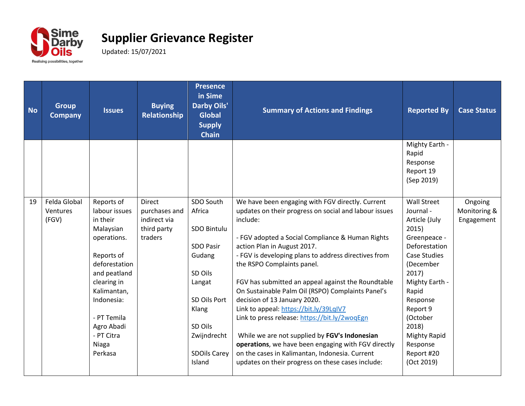

| <b>No</b> | <b>Group</b><br><b>Company</b> | <b>Issues</b>             | <b>Buying</b><br>Relationship | <b>Presence</b><br>in Sime<br><b>Darby Oils'</b><br><b>Global</b><br><b>Supply</b><br><b>Chain</b> | <b>Summary of Actions and Findings</b>                                 | <b>Reported By</b>                                             | <b>Case Status</b> |
|-----------|--------------------------------|---------------------------|-------------------------------|----------------------------------------------------------------------------------------------------|------------------------------------------------------------------------|----------------------------------------------------------------|--------------------|
|           |                                |                           |                               |                                                                                                    |                                                                        | Mighty Earth -<br>Rapid<br>Response<br>Report 19<br>(Sep 2019) |                    |
| 19        | Felda Global                   | Reports of                | <b>Direct</b>                 | SDO South                                                                                          | We have been engaging with FGV directly. Current                       | <b>Wall Street</b>                                             | Ongoing            |
|           | Ventures                       | labour issues             | purchases and                 | Africa                                                                                             | updates on their progress on social and labour issues                  | Journal -                                                      | Monitoring &       |
|           | (FGV)                          | in their                  | indirect via                  |                                                                                                    | include:                                                               | Article (July                                                  | Engagement         |
|           |                                | Malaysian                 | third party                   | SDO Bintulu                                                                                        |                                                                        | 2015)                                                          |                    |
|           |                                | operations.               | traders                       |                                                                                                    | - FGV adopted a Social Compliance & Human Rights                       | Greenpeace -                                                   |                    |
|           |                                |                           |                               | <b>SDO Pasir</b>                                                                                   | action Plan in August 2017.                                            | Deforestation                                                  |                    |
|           |                                | Reports of                |                               | Gudang                                                                                             | - FGV is developing plans to address directives from                   | <b>Case Studies</b>                                            |                    |
|           |                                | deforestation             |                               |                                                                                                    | the RSPO Complaints panel.                                             | (December                                                      |                    |
|           |                                | and peatland              |                               | SD Oils                                                                                            |                                                                        | 2017)                                                          |                    |
|           |                                | clearing in               |                               | Langat                                                                                             | FGV has submitted an appeal against the Roundtable                     | Mighty Earth -                                                 |                    |
|           |                                | Kalimantan,<br>Indonesia: |                               | SD Oils Port                                                                                       | On Sustainable Palm Oil (RSPO) Complaints Panel's                      | Rapid                                                          |                    |
|           |                                |                           |                               | Klang                                                                                              | decision of 13 January 2020.<br>Link to appeal: https://bit.ly/39LqIV7 | Response<br>Report 9                                           |                    |
|           |                                | - PT Temila               |                               |                                                                                                    | Link to press release: https://bit.ly/2woqEgn                          | (October                                                       |                    |
|           |                                | Agro Abadi                |                               | SD Oils                                                                                            |                                                                        | 2018)                                                          |                    |
|           |                                | - PT Citra                |                               | Zwijndrecht                                                                                        | While we are not supplied by FGV's Indonesian                          | <b>Mighty Rapid</b>                                            |                    |
|           |                                | Niaga                     |                               |                                                                                                    | operations, we have been engaging with FGV directly                    | Response                                                       |                    |
|           |                                | Perkasa                   |                               | <b>SDOils Carey</b>                                                                                | on the cases in Kalimantan, Indonesia. Current                         | Report #20                                                     |                    |
|           |                                |                           |                               | Island                                                                                             | updates on their progress on these cases include:                      | (Oct 2019)                                                     |                    |
|           |                                |                           |                               |                                                                                                    |                                                                        |                                                                |                    |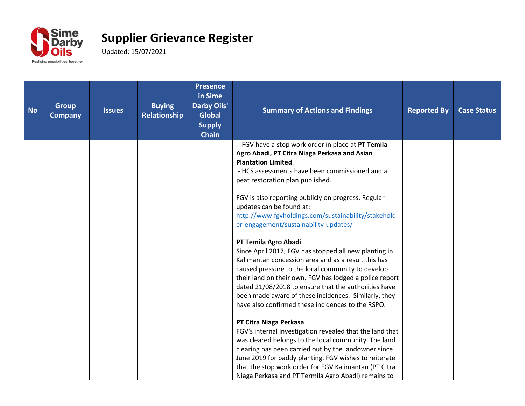

| <b>No</b> | <b>Group</b><br><b>Company</b> | <b>Issues</b> | <b>Buying</b><br>Relationship | <b>Presence</b><br>in Sime<br><b>Darby Oils'</b><br><b>Global</b><br><b>Supply</b><br><b>Chain</b> | <b>Summary of Actions and Findings</b>                                                                                                                                | <b>Reported By</b> | <b>Case Status</b> |
|-----------|--------------------------------|---------------|-------------------------------|----------------------------------------------------------------------------------------------------|-----------------------------------------------------------------------------------------------------------------------------------------------------------------------|--------------------|--------------------|
|           |                                |               |                               |                                                                                                    | - FGV have a stop work order in place at PT Temila<br>Agro Abadi, PT Citra Niaga Perkasa and Asian<br><b>Plantation Limited.</b>                                      |                    |                    |
|           |                                |               |                               |                                                                                                    | - HCS assessments have been commissioned and a<br>peat restoration plan published.                                                                                    |                    |                    |
|           |                                |               |                               |                                                                                                    | FGV is also reporting publicly on progress. Regular<br>updates can be found at:                                                                                       |                    |                    |
|           |                                |               |                               |                                                                                                    | http://www.fgvholdings.com/sustainability/stakehold<br>er-engagement/sustainability-updates/                                                                          |                    |                    |
|           |                                |               |                               |                                                                                                    | PT Temila Agro Abadi<br>Since April 2017, FGV has stopped all new planting in<br>Kalimantan concession area and as a result this has                                  |                    |                    |
|           |                                |               |                               |                                                                                                    | caused pressure to the local community to develop<br>their land on their own. FGV has lodged a police report                                                          |                    |                    |
|           |                                |               |                               |                                                                                                    | dated 21/08/2018 to ensure that the authorities have<br>been made aware of these incidences. Similarly, they<br>have also confirmed these incidences to the RSPO.     |                    |                    |
|           |                                |               |                               |                                                                                                    | PT Citra Niaga Perkasa<br>FGV's internal investigation revealed that the land that                                                                                    |                    |                    |
|           |                                |               |                               |                                                                                                    | was cleared belongs to the local community. The land<br>clearing has been carried out by the landowner since                                                          |                    |                    |
|           |                                |               |                               |                                                                                                    | June 2019 for paddy planting. FGV wishes to reiterate<br>that the stop work order for FGV Kalimantan (PT Citra<br>Niaga Perkasa and PT Termila Agro Abadi) remains to |                    |                    |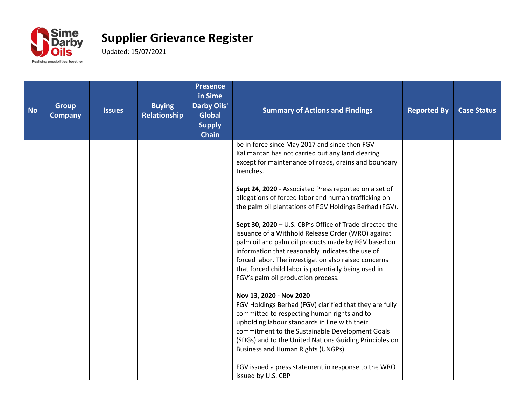

| <b>No</b> | <b>Group</b><br><b>Company</b> | <b>Issues</b> | <b>Buying</b><br>Relationship | <b>Presence</b><br>in Sime<br><b>Darby Oils'</b><br><b>Global</b><br><b>Supply</b><br><b>Chain</b> | <b>Summary of Actions and Findings</b>                                                                                                                                                                                                                                                                                                                                                                                                                                                                                                                                                                                                                                                                                                                                                                                                                                                                                                                                                                                                                                                                                              | <b>Reported By</b> | <b>Case Status</b> |
|-----------|--------------------------------|---------------|-------------------------------|----------------------------------------------------------------------------------------------------|-------------------------------------------------------------------------------------------------------------------------------------------------------------------------------------------------------------------------------------------------------------------------------------------------------------------------------------------------------------------------------------------------------------------------------------------------------------------------------------------------------------------------------------------------------------------------------------------------------------------------------------------------------------------------------------------------------------------------------------------------------------------------------------------------------------------------------------------------------------------------------------------------------------------------------------------------------------------------------------------------------------------------------------------------------------------------------------------------------------------------------------|--------------------|--------------------|
|           |                                |               |                               |                                                                                                    | be in force since May 2017 and since then FGV<br>Kalimantan has not carried out any land clearing<br>except for maintenance of roads, drains and boundary<br>trenches.<br>Sept 24, 2020 - Associated Press reported on a set of<br>allegations of forced labor and human trafficking on<br>the palm oil plantations of FGV Holdings Berhad (FGV).<br>Sept 30, 2020 - U.S. CBP's Office of Trade directed the<br>issuance of a Withhold Release Order (WRO) against<br>palm oil and palm oil products made by FGV based on<br>information that reasonably indicates the use of<br>forced labor. The investigation also raised concerns<br>that forced child labor is potentially being used in<br>FGV's palm oil production process.<br>Nov 13, 2020 - Nov 2020<br>FGV Holdings Berhad (FGV) clarified that they are fully<br>committed to respecting human rights and to<br>upholding labour standards in line with their<br>commitment to the Sustainable Development Goals<br>(SDGs) and to the United Nations Guiding Principles on<br>Business and Human Rights (UNGPs).<br>FGV issued a press statement in response to the WRO |                    |                    |
|           |                                |               |                               |                                                                                                    | issued by U.S. CBP                                                                                                                                                                                                                                                                                                                                                                                                                                                                                                                                                                                                                                                                                                                                                                                                                                                                                                                                                                                                                                                                                                                  |                    |                    |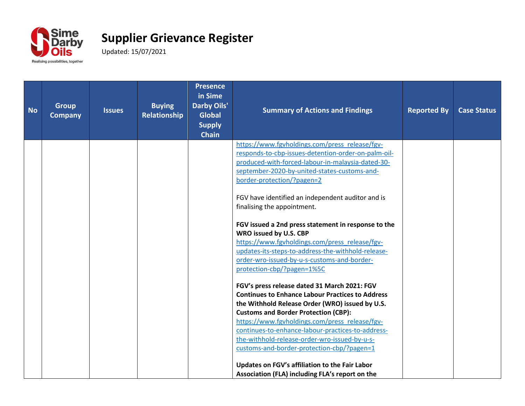

| <b>No</b> | <b>Group</b><br><b>Company</b> | <b>Issues</b> | <b>Buying</b><br>Relationship | <b>Presence</b><br>in Sime<br><b>Darby Oils'</b><br><b>Global</b><br><b>Supply</b><br><b>Chain</b> | <b>Summary of Actions and Findings</b>                                                                                                                                                                                                                                                                                                                                                                                                                                                                                                                                                                                                                                                                                                                                                                                                                                                                                                                                                                                                                                  | <b>Reported By</b> | <b>Case Status</b> |
|-----------|--------------------------------|---------------|-------------------------------|----------------------------------------------------------------------------------------------------|-------------------------------------------------------------------------------------------------------------------------------------------------------------------------------------------------------------------------------------------------------------------------------------------------------------------------------------------------------------------------------------------------------------------------------------------------------------------------------------------------------------------------------------------------------------------------------------------------------------------------------------------------------------------------------------------------------------------------------------------------------------------------------------------------------------------------------------------------------------------------------------------------------------------------------------------------------------------------------------------------------------------------------------------------------------------------|--------------------|--------------------|
|           |                                |               |                               |                                                                                                    | https://www.fgvholdings.com/press_release/fgv-<br>responds-to-cbp-issues-detention-order-on-palm-oil-<br>produced-with-forced-labour-in-malaysia-dated-30-<br>september-2020-by-united-states-customs-and-<br>border-protection/?pagen=2<br>FGV have identified an independent auditor and is<br>finalising the appointment.<br>FGV issued a 2nd press statement in response to the<br>WRO issued by U.S. CBP<br>https://www.fgvholdings.com/press release/fgv-<br>updates-its-steps-to-address-the-withhold-release-<br>order-wro-issued-by-u-s-customs-and-border-<br>protection-cbp/?pagen=1%5C<br>FGV's press release dated 31 March 2021: FGV<br><b>Continues to Enhance Labour Practices to Address</b><br>the Withhold Release Order (WRO) issued by U.S.<br><b>Customs and Border Protection (CBP):</b><br>https://www.fgvholdings.com/press_release/fgv-<br>continues-to-enhance-labour-practices-to-address-<br>the-withhold-release-order-wro-issued-by-u-s-<br>customs-and-border-protection-cbp/?pagen=1<br>Updates on FGV's affiliation to the Fair Labor |                    |                    |
|           |                                |               |                               |                                                                                                    | Association (FLA) including FLA's report on the                                                                                                                                                                                                                                                                                                                                                                                                                                                                                                                                                                                                                                                                                                                                                                                                                                                                                                                                                                                                                         |                    |                    |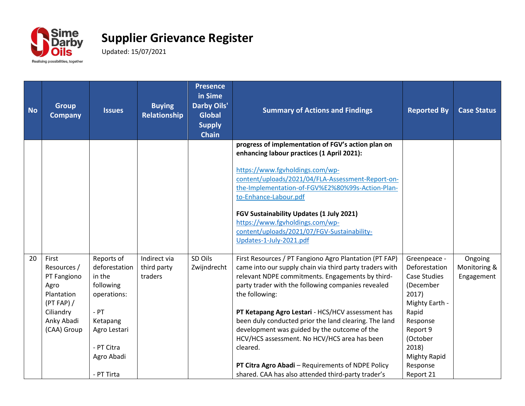

| <b>No</b> | <b>Group</b><br><b>Company</b>                                                                                    | <b>Issues</b>                                                                                                                                     | <b>Buying</b><br>Relationship          | <b>Presence</b><br>in Sime<br><b>Darby Oils'</b><br><b>Global</b><br><b>Supply</b><br><b>Chain</b> | <b>Summary of Actions and Findings</b>                                                                                                                                                                                                                                                                                                                                                                                                                                                                                                                                             | <b>Reported By</b>                                                                                                                                                                                 | <b>Case Status</b>                    |
|-----------|-------------------------------------------------------------------------------------------------------------------|---------------------------------------------------------------------------------------------------------------------------------------------------|----------------------------------------|----------------------------------------------------------------------------------------------------|------------------------------------------------------------------------------------------------------------------------------------------------------------------------------------------------------------------------------------------------------------------------------------------------------------------------------------------------------------------------------------------------------------------------------------------------------------------------------------------------------------------------------------------------------------------------------------|----------------------------------------------------------------------------------------------------------------------------------------------------------------------------------------------------|---------------------------------------|
|           |                                                                                                                   |                                                                                                                                                   |                                        |                                                                                                    | progress of implementation of FGV's action plan on<br>enhancing labour practices (1 April 2021):<br>https://www.fgvholdings.com/wp-<br>content/uploads/2021/04/FLA-Assessment-Report-on-<br>the-Implementation-of-FGV%E2%80%99s-Action-Plan-<br>to-Enhance-Labour.pdf<br>FGV Sustainability Updates (1 July 2021)<br>https://www.fgvholdings.com/wp-<br>content/uploads/2021/07/FGV-Sustainability-<br>Updates-1-July-2021.pdf                                                                                                                                                     |                                                                                                                                                                                                    |                                       |
| 20        | First<br>Resources /<br>PT Fangiono<br>Agro<br>Plantation<br>(PT FAP) /<br>Ciliandry<br>Anky Abadi<br>(CAA) Group | Reports of<br>deforestation<br>in the<br>following<br>operations:<br>$-$ PT<br>Ketapang<br>Agro Lestari<br>- PT Citra<br>Agro Abadi<br>- PT Tirta | Indirect via<br>third party<br>traders | SD Oils<br>Zwijndrecht                                                                             | First Resources / PT Fangiono Agro Plantation (PT FAP)<br>came into our supply chain via third party traders with<br>relevant NDPE commitments. Engagements by third-<br>party trader with the following companies revealed<br>the following:<br>PT Ketapang Agro Lestari - HCS/HCV assessment has<br>been duly conducted prior the land clearing. The land<br>development was guided by the outcome of the<br>HCV/HCS assessment. No HCV/HCS area has been<br>cleared.<br>PT Citra Agro Abadi - Requirements of NDPE Policy<br>shared. CAA has also attended third-party trader's | Greenpeace -<br>Deforestation<br><b>Case Studies</b><br>(December<br>2017)<br>Mighty Earth -<br>Rapid<br>Response<br>Report 9<br>(October<br>2018)<br><b>Mighty Rapid</b><br>Response<br>Report 21 | Ongoing<br>Monitoring &<br>Engagement |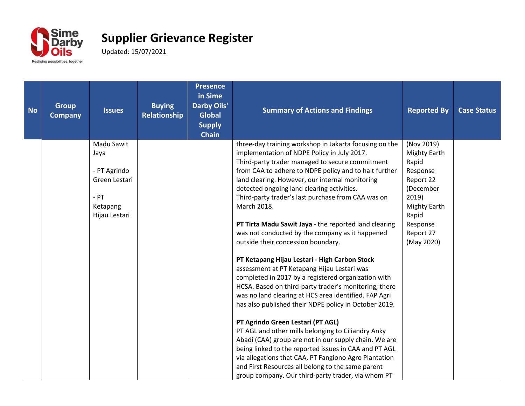

| <b>No</b> | <b>Group</b><br><b>Company</b> | <b>Issues</b>      | <b>Buying</b><br><b>Relationship</b> | <b>Presence</b><br>in Sime<br><b>Darby Oils'</b><br><b>Global</b><br><b>Supply</b><br><b>Chain</b> | <b>Summary of Actions and Findings</b>                                                                         | <b>Reported By</b>          | <b>Case Status</b> |
|-----------|--------------------------------|--------------------|--------------------------------------|----------------------------------------------------------------------------------------------------|----------------------------------------------------------------------------------------------------------------|-----------------------------|--------------------|
|           |                                | Madu Sawit         |                                      |                                                                                                    | three-day training workshop in Jakarta focusing on the<br>implementation of NDPE Policy in July 2017.          | (Nov 2019)<br>Mighty Earth  |                    |
|           |                                | Jaya               |                                      |                                                                                                    | Third-party trader managed to secure commitment                                                                | Rapid                       |                    |
|           |                                | - PT Agrindo       |                                      |                                                                                                    | from CAA to adhere to NDPE policy and to halt further                                                          | Response                    |                    |
|           |                                | Green Lestari      |                                      |                                                                                                    | land clearing. However, our internal monitoring                                                                | Report 22                   |                    |
|           |                                |                    |                                      |                                                                                                    | detected ongoing land clearing activities.                                                                     | (December                   |                    |
|           |                                | $-$ PT<br>Ketapang |                                      |                                                                                                    | Third-party trader's last purchase from CAA was on<br>March 2018.                                              | 2019<br><b>Mighty Earth</b> |                    |
|           |                                | Hijau Lestari      |                                      |                                                                                                    |                                                                                                                | Rapid                       |                    |
|           |                                |                    |                                      |                                                                                                    | PT Tirta Madu Sawit Jaya - the reported land clearing                                                          | Response                    |                    |
|           |                                |                    |                                      |                                                                                                    | was not conducted by the company as it happened                                                                | Report 27                   |                    |
|           |                                |                    |                                      |                                                                                                    | outside their concession boundary.                                                                             | (May 2020)                  |                    |
|           |                                |                    |                                      |                                                                                                    | PT Ketapang Hijau Lestari - High Carbon Stock                                                                  |                             |                    |
|           |                                |                    |                                      |                                                                                                    | assessment at PT Ketapang Hijau Lestari was                                                                    |                             |                    |
|           |                                |                    |                                      |                                                                                                    | completed in 2017 by a registered organization with                                                            |                             |                    |
|           |                                |                    |                                      |                                                                                                    | HCSA. Based on third-party trader's monitoring, there                                                          |                             |                    |
|           |                                |                    |                                      |                                                                                                    | was no land clearing at HCS area identified. FAP Agri<br>has also published their NDPE policy in October 2019. |                             |                    |
|           |                                |                    |                                      |                                                                                                    |                                                                                                                |                             |                    |
|           |                                |                    |                                      |                                                                                                    | PT Agrindo Green Lestari (PT AGL)                                                                              |                             |                    |
|           |                                |                    |                                      |                                                                                                    | PT AGL and other mills belonging to Ciliandry Anky                                                             |                             |                    |
|           |                                |                    |                                      |                                                                                                    | Abadi (CAA) group are not in our supply chain. We are                                                          |                             |                    |
|           |                                |                    |                                      |                                                                                                    | being linked to the reported issues in CAA and PT AGL<br>via allegations that CAA, PT Fangiono Agro Plantation |                             |                    |
|           |                                |                    |                                      |                                                                                                    | and First Resources all belong to the same parent                                                              |                             |                    |
|           |                                |                    |                                      |                                                                                                    | group company. Our third-party trader, via whom PT                                                             |                             |                    |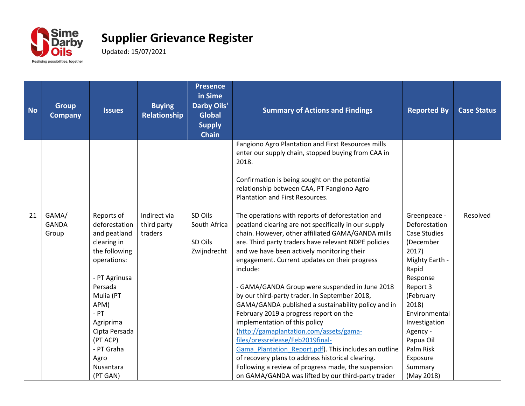

| <b>No</b> | <b>Group</b><br><b>Company</b> | <b>Issues</b> | <b>Buying</b><br>Relationship | <b>Presence</b><br>in Sime<br><b>Darby Oils'</b><br><b>Global</b><br><b>Supply</b><br><b>Chain</b> | <b>Summary of Actions and Findings</b>                                                                                         | <b>Reported By</b>      | <b>Case Status</b> |
|-----------|--------------------------------|---------------|-------------------------------|----------------------------------------------------------------------------------------------------|--------------------------------------------------------------------------------------------------------------------------------|-------------------------|--------------------|
|           |                                |               |                               |                                                                                                    | Fangiono Agro Plantation and First Resources mills<br>enter our supply chain, stopped buying from CAA in<br>2018.              |                         |                    |
|           |                                |               |                               |                                                                                                    | Confirmation is being sought on the potential<br>relationship between CAA, PT Fangiono Agro<br>Plantation and First Resources. |                         |                    |
| 21        | GAMA/                          | Reports of    | Indirect via                  | SD Oils                                                                                            | The operations with reports of deforestation and                                                                               | Greenpeace -            | Resolved           |
|           | <b>GANDA</b>                   | deforestation | third party                   | South Africa                                                                                       | peatland clearing are not specifically in our supply                                                                           | Deforestation           |                    |
|           | Group                          | and peatland  | traders                       |                                                                                                    | chain. However, other affiliated GAMA/GANDA mills                                                                              | <b>Case Studies</b>     |                    |
|           |                                | clearing in   |                               | SD Oils                                                                                            | are. Third party traders have relevant NDPE policies                                                                           | (December               |                    |
|           |                                | the following |                               | Zwijndrecht                                                                                        | and we have been actively monitoring their<br>engagement. Current updates on their progress                                    | 2017)<br>Mighty Earth - |                    |
|           |                                | operations:   |                               |                                                                                                    | include:                                                                                                                       | Rapid                   |                    |
|           |                                | - PT Agrinusa |                               |                                                                                                    |                                                                                                                                | Response                |                    |
|           |                                | Persada       |                               |                                                                                                    | - GAMA/GANDA Group were suspended in June 2018                                                                                 | Report 3                |                    |
|           |                                | Mulia (PT     |                               |                                                                                                    | by our third-party trader. In September 2018,                                                                                  | (February               |                    |
|           |                                | APM)          |                               |                                                                                                    | GAMA/GANDA published a sustainability policy and in                                                                            | 2018)                   |                    |
|           |                                | $-PT$         |                               |                                                                                                    | February 2019 a progress report on the                                                                                         | Environmental           |                    |
|           |                                | Agriprima     |                               |                                                                                                    | implementation of this policy                                                                                                  | Investigation           |                    |
|           |                                | Cipta Persada |                               |                                                                                                    | (http://gamaplantation.com/assets/gama-                                                                                        | Agency -                |                    |
|           |                                | (PT ACP)      |                               |                                                                                                    | files/pressrelease/Feb2019final-                                                                                               | Papua Oil               |                    |
|           |                                | - PT Graha    |                               |                                                                                                    | Gama Plantation Report.pdf). This includes an outline                                                                          | Palm Risk               |                    |
|           |                                | Agro          |                               |                                                                                                    | of recovery plans to address historical clearing.                                                                              | Exposure                |                    |
|           |                                | Nusantara     |                               |                                                                                                    | Following a review of progress made, the suspension                                                                            | Summary                 |                    |
|           |                                | (PT GAN)      |                               |                                                                                                    | on GAMA/GANDA was lifted by our third-party trader                                                                             | (May 2018)              |                    |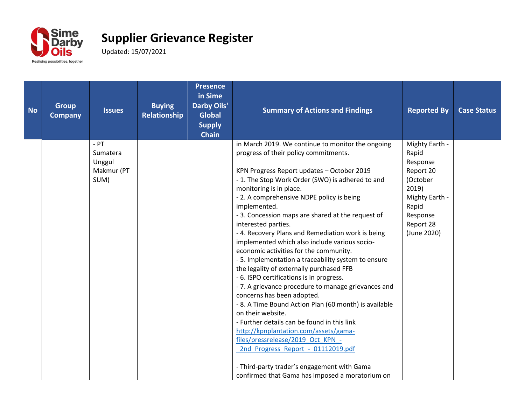

| <b>No</b> | <b>Group</b><br><b>Company</b> | <b>Issues</b>      | <b>Buying</b><br>Relationship | <b>Presence</b><br>in Sime<br><b>Darby Oils'</b><br><b>Global</b><br><b>Supply</b><br><b>Chain</b> | <b>Summary of Actions and Findings</b>                                                     | <b>Reported By</b>      | <b>Case Status</b> |
|-----------|--------------------------------|--------------------|-------------------------------|----------------------------------------------------------------------------------------------------|--------------------------------------------------------------------------------------------|-------------------------|--------------------|
|           |                                | $-$ PT<br>Sumatera |                               |                                                                                                    | in March 2019. We continue to monitor the ongoing<br>progress of their policy commitments. | Mighty Earth -<br>Rapid |                    |
|           |                                | Unggul             |                               |                                                                                                    |                                                                                            | Response                |                    |
|           |                                | Makmur (PT         |                               |                                                                                                    | KPN Progress Report updates - October 2019                                                 | Report 20               |                    |
|           |                                | SUM)               |                               |                                                                                                    | - 1. The Stop Work Order (SWO) is adhered to and                                           | (October                |                    |
|           |                                |                    |                               |                                                                                                    | monitoring is in place.                                                                    | 2019)                   |                    |
|           |                                |                    |                               |                                                                                                    | - 2. A comprehensive NDPE policy is being                                                  | Mighty Earth -          |                    |
|           |                                |                    |                               |                                                                                                    | implemented.<br>- 3. Concession maps are shared at the request of                          | Rapid<br>Response       |                    |
|           |                                |                    |                               |                                                                                                    | interested parties.                                                                        | Report 28               |                    |
|           |                                |                    |                               |                                                                                                    | - 4. Recovery Plans and Remediation work is being                                          | (June 2020)             |                    |
|           |                                |                    |                               |                                                                                                    | implemented which also include various socio-                                              |                         |                    |
|           |                                |                    |                               |                                                                                                    | economic activities for the community.                                                     |                         |                    |
|           |                                |                    |                               |                                                                                                    | - 5. Implementation a traceability system to ensure                                        |                         |                    |
|           |                                |                    |                               |                                                                                                    | the legality of externally purchased FFB                                                   |                         |                    |
|           |                                |                    |                               |                                                                                                    | - 6. ISPO certifications is in progress.                                                   |                         |                    |
|           |                                |                    |                               |                                                                                                    | - 7. A grievance procedure to manage grievances and<br>concerns has been adopted.          |                         |                    |
|           |                                |                    |                               |                                                                                                    | - 8. A Time Bound Action Plan (60 month) is available                                      |                         |                    |
|           |                                |                    |                               |                                                                                                    | on their website.                                                                          |                         |                    |
|           |                                |                    |                               |                                                                                                    | - Further details can be found in this link                                                |                         |                    |
|           |                                |                    |                               |                                                                                                    | http://kpnplantation.com/assets/gama-                                                      |                         |                    |
|           |                                |                    |                               |                                                                                                    | files/pressrelease/2019 Oct KPN -                                                          |                         |                    |
|           |                                |                    |                               |                                                                                                    | 2nd Progress Report - 01112019.pdf                                                         |                         |                    |
|           |                                |                    |                               |                                                                                                    | - Third-party trader's engagement with Gama                                                |                         |                    |
|           |                                |                    |                               |                                                                                                    | confirmed that Gama has imposed a moratorium on                                            |                         |                    |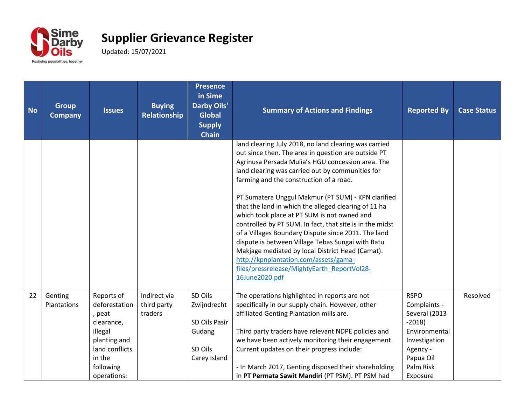

| <b>No</b> | <b>Group</b><br><b>Company</b> | <b>Issues</b>                                                                                                                          | <b>Buying</b><br>Relationship          | <b>Presence</b><br>in Sime<br><b>Darby Oils'</b><br><b>Global</b><br><b>Supply</b><br><b>Chain</b> | <b>Summary of Actions and Findings</b>                                                                                                                                                                                                                                                                                                                                                                                                                                                                                                                                                                                                                                                                                                                              | <b>Reported By</b>                                                                                                                          | <b>Case Status</b> |
|-----------|--------------------------------|----------------------------------------------------------------------------------------------------------------------------------------|----------------------------------------|----------------------------------------------------------------------------------------------------|---------------------------------------------------------------------------------------------------------------------------------------------------------------------------------------------------------------------------------------------------------------------------------------------------------------------------------------------------------------------------------------------------------------------------------------------------------------------------------------------------------------------------------------------------------------------------------------------------------------------------------------------------------------------------------------------------------------------------------------------------------------------|---------------------------------------------------------------------------------------------------------------------------------------------|--------------------|
|           |                                |                                                                                                                                        |                                        |                                                                                                    | land clearing July 2018, no land clearing was carried<br>out since then. The area in question are outside PT<br>Agrinusa Persada Mulia's HGU concession area. The<br>land clearing was carried out by communities for<br>farming and the construction of a road.<br>PT Sumatera Unggul Makmur (PT SUM) - KPN clarified<br>that the land in which the alleged clearing of 11 ha<br>which took place at PT SUM is not owned and<br>controlled by PT SUM. In fact, that site is in the midst<br>of a Villages Boundary Dispute since 2011. The land<br>dispute is between Village Tebas Sungai with Batu<br>Makjage mediated by local District Head (Camat).<br>http://kpnplantation.com/assets/gama-<br>files/pressrelease/MightyEarth_ReportVol28-<br>16June2020.pdf |                                                                                                                                             |                    |
| 22        | Genting<br>Plantations         | Reports of<br>deforestation<br>, peat<br>clearance,<br>illegal<br>planting and<br>land conflicts<br>in the<br>following<br>operations: | Indirect via<br>third party<br>traders | SD Oils<br>Zwijndrecht<br>SD Oils Pasir<br>Gudang<br>SD Oils<br>Carey Island                       | The operations highlighted in reports are not<br>specifically in our supply chain. However, other<br>affiliated Genting Plantation mills are.<br>Third party traders have relevant NDPE policies and<br>we have been actively monitoring their engagement.<br>Current updates on their progress include:<br>- In March 2017, Genting disposed their shareholding<br>in PT Permata Sawit Mandiri (PT PSM). PT PSM had                                                                                                                                                                                                                                                                                                                                                | <b>RSPO</b><br>Complaints -<br>Several (2013<br>$-2018$<br>Environmental<br>Investigation<br>Agency -<br>Papua Oil<br>Palm Risk<br>Exposure | Resolved           |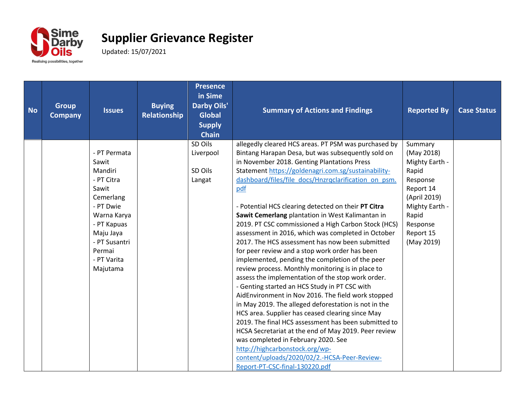

| <b>No</b> | <b>Group</b><br><b>Company</b> | <b>Issues</b>                                                                                                                                                                      | <b>Buying</b><br>Relationship | <b>Presence</b><br>in Sime<br><b>Darby Oils'</b><br><b>Global</b><br><b>Supply</b><br><b>Chain</b> | <b>Summary of Actions and Findings</b>                                                                                                                                                                                                                                                                                                                                                                                                                                                                                                                                                                                                                                                                                                                                                                                                                                                                                                                                                                                                                                                                                                              | <b>Reported By</b>                                                                                                                                          | <b>Case Status</b> |
|-----------|--------------------------------|------------------------------------------------------------------------------------------------------------------------------------------------------------------------------------|-------------------------------|----------------------------------------------------------------------------------------------------|-----------------------------------------------------------------------------------------------------------------------------------------------------------------------------------------------------------------------------------------------------------------------------------------------------------------------------------------------------------------------------------------------------------------------------------------------------------------------------------------------------------------------------------------------------------------------------------------------------------------------------------------------------------------------------------------------------------------------------------------------------------------------------------------------------------------------------------------------------------------------------------------------------------------------------------------------------------------------------------------------------------------------------------------------------------------------------------------------------------------------------------------------------|-------------------------------------------------------------------------------------------------------------------------------------------------------------|--------------------|
|           |                                | - PT Permata<br>Sawit<br>Mandiri<br>- PT Citra<br>Sawit<br>Cemerlang<br>- PT Dwie<br>Warna Karya<br>- PT Kapuas<br>Maju Jaya<br>- PT Susantri<br>Permai<br>- PT Varita<br>Majutama |                               | SD Oils<br>Liverpool<br>SD Oils<br>Langat                                                          | allegedly cleared HCS areas. PT PSM was purchased by<br>Bintang Harapan Desa, but was subsequently sold on<br>in November 2018. Genting Plantations Press<br>Statement https://goldenagri.com.sg/sustainability-<br>dashboard/files/file docs/Hnzrqclarification on psm.<br>pdf<br>- Potential HCS clearing detected on their PT Citra<br>Sawit Cemerlang plantation in West Kalimantan in<br>2019. PT CSC commissioned a High Carbon Stock (HCS)<br>assessment in 2016, which was completed in October<br>2017. The HCS assessment has now been submitted<br>for peer review and a stop work order has been<br>implemented, pending the completion of the peer<br>review process. Monthly monitoring is in place to<br>assess the implementation of the stop work order.<br>- Genting started an HCS Study in PT CSC with<br>AidEnvironment in Nov 2016. The field work stopped<br>in May 2019. The alleged deforestation is not in the<br>HCS area. Supplier has ceased clearing since May<br>2019. The final HCS assessment has been submitted to<br>HCSA Secretariat at the end of May 2019. Peer review<br>was completed in February 2020. See | Summary<br>(May 2018)<br>Mighty Earth -<br>Rapid<br>Response<br>Report 14<br>(April 2019)<br>Mighty Earth -<br>Rapid<br>Response<br>Report 15<br>(May 2019) |                    |
|           |                                |                                                                                                                                                                                    |                               |                                                                                                    | http://highcarbonstock.org/wp-<br>content/uploads/2020/02/2.-HCSA-Peer-Review-<br>Report-PT-CSC-final-130220.pdf                                                                                                                                                                                                                                                                                                                                                                                                                                                                                                                                                                                                                                                                                                                                                                                                                                                                                                                                                                                                                                    |                                                                                                                                                             |                    |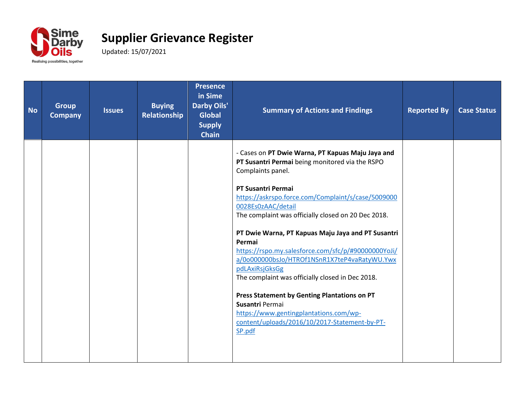

| <b>No</b> | <b>Group</b><br><b>Company</b> | <b>Issues</b> | <b>Buying</b><br>Relationship | <b>Presence</b><br>in Sime<br><b>Darby Oils'</b><br><b>Global</b><br><b>Supply</b><br><b>Chain</b> | <b>Summary of Actions and Findings</b>                                                                                                                                                                                                                                                                                                                                                                                                                                                                                                                                                                                                                                                                  | <b>Reported By</b> | <b>Case Status</b> |
|-----------|--------------------------------|---------------|-------------------------------|----------------------------------------------------------------------------------------------------|---------------------------------------------------------------------------------------------------------------------------------------------------------------------------------------------------------------------------------------------------------------------------------------------------------------------------------------------------------------------------------------------------------------------------------------------------------------------------------------------------------------------------------------------------------------------------------------------------------------------------------------------------------------------------------------------------------|--------------------|--------------------|
|           |                                |               |                               |                                                                                                    | - Cases on PT Dwie Warna, PT Kapuas Maju Jaya and<br>PT Susantri Permai being monitored via the RSPO<br>Complaints panel.<br>PT Susantri Permai<br>https://askrspo.force.com/Complaint/s/case/5009000<br>0028Es0zAAC/detail<br>The complaint was officially closed on 20 Dec 2018.<br>PT Dwie Warna, PT Kapuas Maju Jaya and PT Susantri<br>Permai<br>https://rspo.my.salesforce.com/sfc/p/#90000000YoJi/<br>a/0o000000bsJo/HTROf1NSnR1X7teP4vaRatyWU.Ywx<br>pdLAxiRsjGksGg<br>The complaint was officially closed in Dec 2018.<br>Press Statement by Genting Plantations on PT<br>Susantri Permai<br>https://www.gentingplantations.com/wp-<br>content/uploads/2016/10/2017-Statement-by-PT-<br>SP.pdf |                    |                    |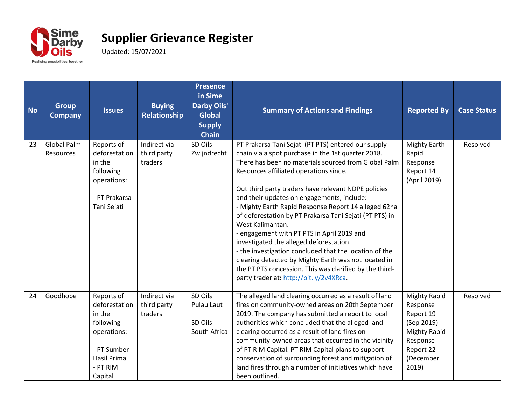

| <b>No</b> | <b>Group</b><br><b>Company</b>  | <b>Issues</b>                                                                                                          | <b>Buying</b><br>Relationship          | <b>Presence</b><br>in Sime<br><b>Darby Oils'</b><br><b>Global</b><br><b>Supply</b><br><b>Chain</b> | <b>Summary of Actions and Findings</b>                                                                                                                                                                                                                                                                                                                                                                                                                                                                                                                                                                                                                                                                                                                                   | <b>Reported By</b>                                                                                                               | <b>Case Status</b> |
|-----------|---------------------------------|------------------------------------------------------------------------------------------------------------------------|----------------------------------------|----------------------------------------------------------------------------------------------------|--------------------------------------------------------------------------------------------------------------------------------------------------------------------------------------------------------------------------------------------------------------------------------------------------------------------------------------------------------------------------------------------------------------------------------------------------------------------------------------------------------------------------------------------------------------------------------------------------------------------------------------------------------------------------------------------------------------------------------------------------------------------------|----------------------------------------------------------------------------------------------------------------------------------|--------------------|
| 23        | Global Palm<br><b>Resources</b> | Reports of<br>deforestation<br>in the<br>following<br>operations:<br>- PT Prakarsa<br>Tani Sejati                      | Indirect via<br>third party<br>traders | SD Oils<br>Zwijndrecht                                                                             | PT Prakarsa Tani Sejati (PT PTS) entered our supply<br>chain via a spot purchase in the 1st quarter 2018.<br>There has been no materials sourced from Global Palm<br>Resources affiliated operations since.<br>Out third party traders have relevant NDPE policies<br>and their updates on engagements, include:<br>- Mighty Earth Rapid Response Report 14 alleged 62ha<br>of deforestation by PT Prakarsa Tani Sejati (PT PTS) in<br>West Kalimantan.<br>- engagement with PT PTS in April 2019 and<br>investigated the alleged deforestation.<br>- the investigation concluded that the location of the<br>clearing detected by Mighty Earth was not located in<br>the PT PTS concession. This was clarified by the third-<br>party trader at: http://bit.ly/2v4XRca. | Mighty Earth -<br>Rapid<br>Response<br>Report 14<br>(April 2019)                                                                 | Resolved           |
| 24        | Goodhope                        | Reports of<br>deforestation<br>in the<br>following<br>operations:<br>- PT Sumber<br>Hasil Prima<br>- PT RIM<br>Capital | Indirect via<br>third party<br>traders | SD Oils<br>Pulau Laut<br>SD Oils<br>South Africa                                                   | The alleged land clearing occurred as a result of land<br>fires on community-owned areas on 20th September<br>2019. The company has submitted a report to local<br>authorities which concluded that the alleged land<br>clearing occurred as a result of land fires on<br>community-owned areas that occurred in the vicinity<br>of PT RIM Capital. PT RIM Capital plans to support<br>conservation of surrounding forest and mitigation of<br>land fires through a number of initiatives which have<br>been outlined.                                                                                                                                                                                                                                                   | <b>Mighty Rapid</b><br>Response<br>Report 19<br>(Sep 2019)<br><b>Mighty Rapid</b><br>Response<br>Report 22<br>(December<br>2019) | Resolved           |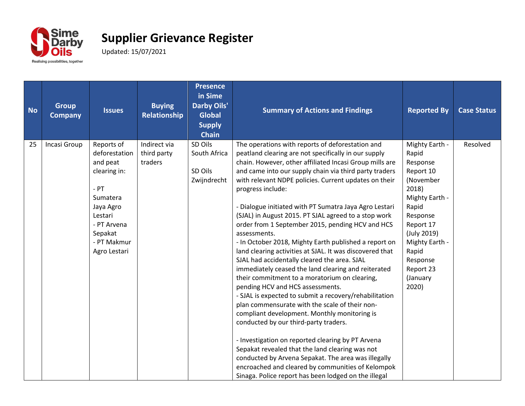

| <b>No</b> | <b>Group</b><br><b>Company</b> | <b>Issues</b>                                                                                                                                                  | <b>Buying</b><br><b>Relationship</b>   | <b>Presence</b><br>in Sime<br><b>Darby Oils'</b><br><b>Global</b><br><b>Supply</b><br><b>Chain</b> | <b>Summary of Actions and Findings</b>                                                                                                                                                                                                                                                                                                                                                                                                                                                                                                                                                                                                                                                                                                                                                                                                                                                                                                                                                                                                                                                                                                                                                                                                                                                              | <b>Reported By</b>                                                                                                                                                                                                 | <b>Case Status</b> |
|-----------|--------------------------------|----------------------------------------------------------------------------------------------------------------------------------------------------------------|----------------------------------------|----------------------------------------------------------------------------------------------------|-----------------------------------------------------------------------------------------------------------------------------------------------------------------------------------------------------------------------------------------------------------------------------------------------------------------------------------------------------------------------------------------------------------------------------------------------------------------------------------------------------------------------------------------------------------------------------------------------------------------------------------------------------------------------------------------------------------------------------------------------------------------------------------------------------------------------------------------------------------------------------------------------------------------------------------------------------------------------------------------------------------------------------------------------------------------------------------------------------------------------------------------------------------------------------------------------------------------------------------------------------------------------------------------------------|--------------------------------------------------------------------------------------------------------------------------------------------------------------------------------------------------------------------|--------------------|
| 25        | Incasi Group                   | Reports of<br>deforestation<br>and peat<br>clearing in:<br>$-$ PT<br>Sumatera<br>Jaya Agro<br>Lestari<br>- PT Arvena<br>Sepakat<br>- PT Makmur<br>Agro Lestari | Indirect via<br>third party<br>traders | SD Oils<br>South Africa<br>SD Oils<br>Zwijndrecht                                                  | The operations with reports of deforestation and<br>peatland clearing are not specifically in our supply<br>chain. However, other affiliated Incasi Group mills are<br>and came into our supply chain via third party traders<br>with relevant NDPE policies. Current updates on their<br>progress include:<br>- Dialogue initiated with PT Sumatra Jaya Agro Lestari<br>(SJAL) in August 2015. PT SJAL agreed to a stop work<br>order from 1 September 2015, pending HCV and HCS<br>assessments.<br>- In October 2018, Mighty Earth published a report on<br>land clearing activities at SJAL. It was discovered that<br>SJAL had accidentally cleared the area. SJAL<br>immediately ceased the land clearing and reiterated<br>their commitment to a moratorium on clearing,<br>pending HCV and HCS assessments.<br>- SJAL is expected to submit a recovery/rehabilitation<br>plan commensurate with the scale of their non-<br>compliant development. Monthly monitoring is<br>conducted by our third-party traders.<br>- Investigation on reported clearing by PT Arvena<br>Sepakat revealed that the land clearing was not<br>conducted by Arvena Sepakat. The area was illegally<br>encroached and cleared by communities of Kelompok<br>Sinaga. Police report has been lodged on the illegal | Mighty Earth -<br>Rapid<br>Response<br>Report 10<br>(November<br>2018)<br>Mighty Earth -<br>Rapid<br>Response<br>Report 17<br>(July 2019)<br>Mighty Earth -<br>Rapid<br>Response<br>Report 23<br>(January<br>2020) | Resolved           |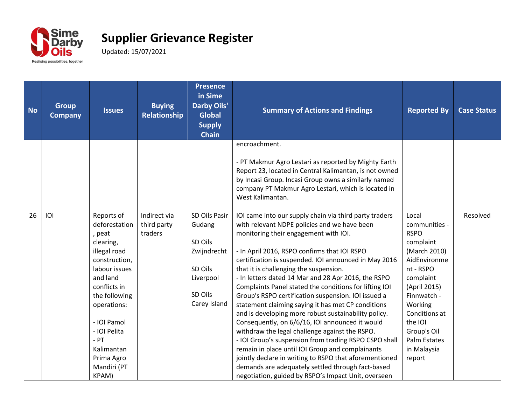

| <b>No</b> | <b>Group</b><br><b>Company</b> | <b>Issues</b>                                                                                                                                                                                                                                                 | <b>Buying</b><br><b>Relationship</b>   | <b>Presence</b><br>in Sime<br><b>Darby Oils'</b><br><b>Global</b><br><b>Supply</b><br><b>Chain</b>   | <b>Summary of Actions and Findings</b>                                                                                                                                                                                                                                                                                                                                                                                                                                                                                                                                                                                                                                                                                                                                                                                                                                                                                                                                           | <b>Reported By</b>                                                                                                                                                                                                                         | <b>Case Status</b> |
|-----------|--------------------------------|---------------------------------------------------------------------------------------------------------------------------------------------------------------------------------------------------------------------------------------------------------------|----------------------------------------|------------------------------------------------------------------------------------------------------|----------------------------------------------------------------------------------------------------------------------------------------------------------------------------------------------------------------------------------------------------------------------------------------------------------------------------------------------------------------------------------------------------------------------------------------------------------------------------------------------------------------------------------------------------------------------------------------------------------------------------------------------------------------------------------------------------------------------------------------------------------------------------------------------------------------------------------------------------------------------------------------------------------------------------------------------------------------------------------|--------------------------------------------------------------------------------------------------------------------------------------------------------------------------------------------------------------------------------------------|--------------------|
|           |                                |                                                                                                                                                                                                                                                               |                                        |                                                                                                      | encroachment.<br>- PT Makmur Agro Lestari as reported by Mighty Earth<br>Report 23, located in Central Kalimantan, is not owned<br>by Incasi Group. Incasi Group owns a similarly named<br>company PT Makmur Agro Lestari, which is located in<br>West Kalimantan.                                                                                                                                                                                                                                                                                                                                                                                                                                                                                                                                                                                                                                                                                                               |                                                                                                                                                                                                                                            |                    |
| 26        | IOI                            | Reports of<br>deforestation<br>, peat<br>clearing,<br>illegal road<br>construction,<br>labour issues<br>and land<br>conflicts in<br>the following<br>operations:<br>- IOI Pamol<br>- IOI Pelita<br>$-$ PT<br>Kalimantan<br>Prima Agro<br>Mandiri (PT<br>KPAM) | Indirect via<br>third party<br>traders | SD Oils Pasir<br>Gudang<br>SD Oils<br>Zwijndrecht<br>SD Oils<br>Liverpool<br>SD Oils<br>Carey Island | IOI came into our supply chain via third party traders<br>with relevant NDPE policies and we have been<br>monitoring their engagement with IOI.<br>- In April 2016, RSPO confirms that IOI RSPO<br>certification is suspended. IOI announced in May 2016<br>that it is challenging the suspension.<br>- In letters dated 14 Mar and 28 Apr 2016, the RSPO<br>Complaints Panel stated the conditions for lifting IOI<br>Group's RSPO certification suspension. IOI issued a<br>statement claiming saying it has met CP conditions<br>and is developing more robust sustainability policy.<br>Consequently, on 6/6/16, IOI announced it would<br>withdraw the legal challenge against the RSPO.<br>- IOI Group's suspension from trading RSPO CSPO shall<br>remain in place until IOI Group and complainants<br>jointly declare in writing to RSPO that aforementioned<br>demands are adequately settled through fact-based<br>negotiation, guided by RSPO's Impact Unit, overseen | Local<br>communities -<br><b>RSPO</b><br>complaint<br>(March 2010)<br>AidEnvironme<br>nt - RSPO<br>complaint<br>(April 2015)<br>Finnwatch -<br>Working<br>Conditions at<br>the IOI<br>Group's Oil<br>Palm Estates<br>in Malaysia<br>report | Resolved           |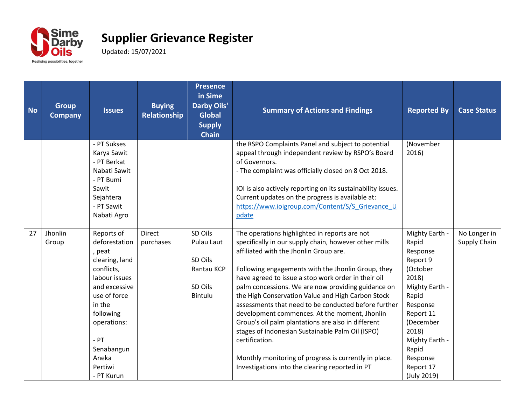

| <b>No</b> | <b>Group</b><br><b>Company</b> | <b>Issues</b>                                                                                                                                                                                                           | <b>Buying</b><br>Relationship | <b>Presence</b><br>in Sime<br><b>Darby Oils'</b><br><b>Global</b><br><b>Supply</b><br><b>Chain</b> | <b>Summary of Actions and Findings</b>                                                                                                                                                                                                                                                                                                                                                                                                                                                                                                                                                                                                                                                                                    | <b>Reported By</b>                                                                                                                                                                                                | <b>Case Status</b>           |
|-----------|--------------------------------|-------------------------------------------------------------------------------------------------------------------------------------------------------------------------------------------------------------------------|-------------------------------|----------------------------------------------------------------------------------------------------|---------------------------------------------------------------------------------------------------------------------------------------------------------------------------------------------------------------------------------------------------------------------------------------------------------------------------------------------------------------------------------------------------------------------------------------------------------------------------------------------------------------------------------------------------------------------------------------------------------------------------------------------------------------------------------------------------------------------------|-------------------------------------------------------------------------------------------------------------------------------------------------------------------------------------------------------------------|------------------------------|
|           |                                | - PT Sukses<br>Karya Sawit<br>- PT Berkat<br>Nabati Sawit<br>- PT Bumi<br>Sawit<br>Sejahtera<br>- PT Sawit<br>Nabati Agro                                                                                               |                               |                                                                                                    | the RSPO Complaints Panel and subject to potential<br>appeal through independent review by RSPO's Board<br>of Governors.<br>- The complaint was officially closed on 8 Oct 2018.<br>IOI is also actively reporting on its sustainability issues.<br>Current updates on the progress is available at:<br>https://www.ioigroup.com/Content/S/S_Grievance_U<br>pdate                                                                                                                                                                                                                                                                                                                                                         | (November<br>2016)                                                                                                                                                                                                |                              |
| 27        | Jhonlin<br>Group               | Reports of<br>deforestation<br>, peat<br>clearing, land<br>conflicts,<br>labour issues<br>and excessive<br>use of force<br>in the<br>following<br>operations:<br>$-$ PT<br>Senabangun<br>Aneka<br>Pertiwi<br>- PT Kurun | <b>Direct</b><br>purchases    | SD Oils<br>Pulau Laut<br>SD Oils<br>Rantau KCP<br>SD Oils<br>Bintulu                               | The operations highlighted in reports are not<br>specifically in our supply chain, however other mills<br>affiliated with the Jhonlin Group are.<br>Following engagements with the Jhonlin Group, they<br>have agreed to issue a stop work order in their oil<br>palm concessions. We are now providing guidance on<br>the High Conservation Value and High Carbon Stock<br>assessments that need to be conducted before further<br>development commences. At the moment, Jhonlin<br>Group's oil palm plantations are also in different<br>stages of Indonesian Sustainable Palm Oil (ISPO)<br>certification.<br>Monthly monitoring of progress is currently in place.<br>Investigations into the clearing reported in PT | Mighty Earth -<br>Rapid<br>Response<br>Report 9<br>(October<br>2018)<br>Mighty Earth -<br>Rapid<br>Response<br>Report 11<br>(December<br>2018)<br>Mighty Earth -<br>Rapid<br>Response<br>Report 17<br>(July 2019) | No Longer in<br>Supply Chain |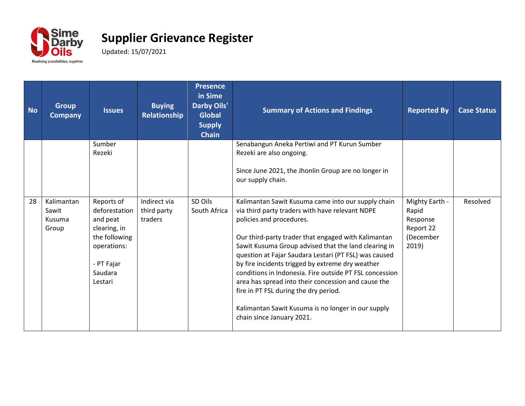

| <b>No</b> | <b>Group</b><br><b>Company</b>         | <b>Issues</b>                                                                                                               | <b>Buying</b><br><b>Relationship</b>   | <b>Presence</b><br>in Sime<br><b>Darby Oils'</b><br><b>Global</b><br><b>Supply</b><br><b>Chain</b> | <b>Summary of Actions and Findings</b>                                                                                                                                                                                                                                                                                                                                                                                                                                                                                                                                                                      | <b>Reported By</b>                                                     | <b>Case Status</b> |
|-----------|----------------------------------------|-----------------------------------------------------------------------------------------------------------------------------|----------------------------------------|----------------------------------------------------------------------------------------------------|-------------------------------------------------------------------------------------------------------------------------------------------------------------------------------------------------------------------------------------------------------------------------------------------------------------------------------------------------------------------------------------------------------------------------------------------------------------------------------------------------------------------------------------------------------------------------------------------------------------|------------------------------------------------------------------------|--------------------|
|           |                                        | Sumber<br>Rezeki                                                                                                            |                                        |                                                                                                    | Senabangun Aneka Pertiwi and PT Kurun Sumber<br>Rezeki are also ongoing.<br>Since June 2021, the Jhonlin Group are no longer in<br>our supply chain.                                                                                                                                                                                                                                                                                                                                                                                                                                                        |                                                                        |                    |
| 28        | Kalimantan<br>Sawit<br>Kusuma<br>Group | Reports of<br>deforestation<br>and peat<br>clearing, in<br>the following<br>operations:<br>- PT Fajar<br>Saudara<br>Lestari | Indirect via<br>third party<br>traders | SD Oils<br>South Africa                                                                            | Kalimantan Sawit Kusuma came into our supply chain<br>via third party traders with have relevant NDPE<br>policies and procedures.<br>Our third-party trader that engaged with Kalimantan<br>Sawit Kusuma Group advised that the land clearing in<br>question at Fajar Saudara Lestari (PT FSL) was caused<br>by fire incidents trigged by extreme dry weather<br>conditions in Indonesia. Fire outside PT FSL concession<br>area has spread into their concession and cause the<br>fire in PT FSL during the dry period.<br>Kalimantan Sawit Kusuma is no longer in our supply<br>chain since January 2021. | Mighty Earth -<br>Rapid<br>Response<br>Report 22<br>(December<br>2019) | Resolved           |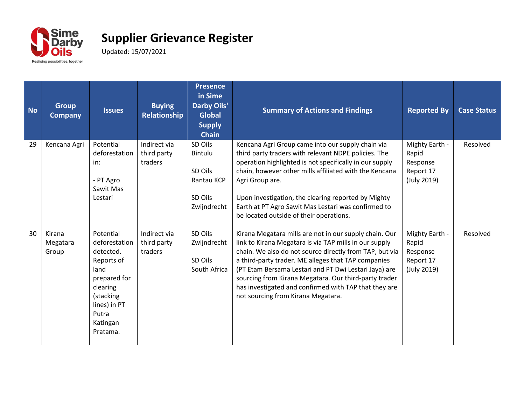

| <b>No</b> | <b>Group</b><br><b>Company</b> | <b>Issues</b>                                                                                                                                           | <b>Buying</b><br>Relationship          | <b>Presence</b><br>in Sime<br><b>Darby Oils'</b><br><b>Global</b><br><b>Supply</b><br><b>Chain</b> | <b>Summary of Actions and Findings</b>                                                                                                                                                                                                                                                                                                                                                                                                              | <b>Reported By</b>                                              | <b>Case Status</b> |
|-----------|--------------------------------|---------------------------------------------------------------------------------------------------------------------------------------------------------|----------------------------------------|----------------------------------------------------------------------------------------------------|-----------------------------------------------------------------------------------------------------------------------------------------------------------------------------------------------------------------------------------------------------------------------------------------------------------------------------------------------------------------------------------------------------------------------------------------------------|-----------------------------------------------------------------|--------------------|
| 29        | Kencana Agri                   | Potential<br>deforestation<br>in:<br>- PT Agro<br>Sawit Mas<br>Lestari                                                                                  | Indirect via<br>third party<br>traders | SD Oils<br>Bintulu<br>SD Oils<br>Rantau KCP<br>SD Oils<br>Zwijndrecht                              | Kencana Agri Group came into our supply chain via<br>third party traders with relevant NDPE policies. The<br>operation highlighted is not specifically in our supply<br>chain, however other mills affiliated with the Kencana<br>Agri Group are.<br>Upon investigation, the clearing reported by Mighty<br>Earth at PT Agro Sawit Mas Lestari was confirmed to<br>be located outside of their operations.                                          | Mighty Earth -<br>Rapid<br>Response<br>Report 17<br>(July 2019) | Resolved           |
| 30        | Kirana<br>Megatara<br>Group    | Potential<br>deforestation<br>detected.<br>Reports of<br>land<br>prepared for<br>clearing<br>(stacking<br>lines) in PT<br>Putra<br>Katingan<br>Pratama. | Indirect via<br>third party<br>traders | SD Oils<br>Zwijndrecht<br>SD Oils<br>South Africa                                                  | Kirana Megatara mills are not in our supply chain. Our<br>link to Kirana Megatara is via TAP mills in our supply<br>chain. We also do not source directly from TAP, but via<br>a third-party trader. ME alleges that TAP companies<br>(PT Etam Bersama Lestari and PT Dwi Lestari Jaya) are<br>sourcing from Kirana Megatara. Our third-party trader<br>has investigated and confirmed with TAP that they are<br>not sourcing from Kirana Megatara. | Mighty Earth -<br>Rapid<br>Response<br>Report 17<br>(July 2019) | Resolved           |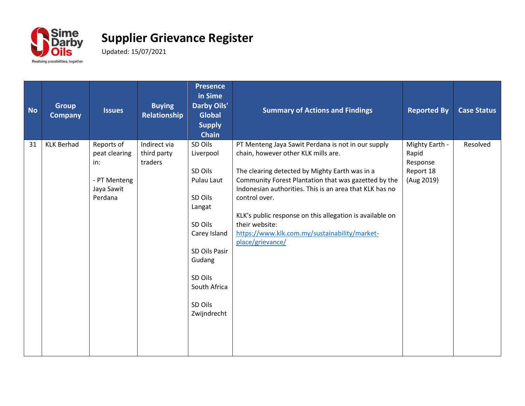

| <b>No</b> | <b>Group</b><br><b>Company</b> | <b>Issues</b>                                                               | <b>Buying</b><br>Relationship          | <b>Presence</b><br>in Sime<br><b>Darby Oils'</b><br><b>Global</b><br><b>Supply</b><br><b>Chain</b>                                                                            | <b>Summary of Actions and Findings</b>                                                                                                                                                                                                                                                                                                                                                                                             | <b>Reported By</b>                                             | <b>Case Status</b> |
|-----------|--------------------------------|-----------------------------------------------------------------------------|----------------------------------------|-------------------------------------------------------------------------------------------------------------------------------------------------------------------------------|------------------------------------------------------------------------------------------------------------------------------------------------------------------------------------------------------------------------------------------------------------------------------------------------------------------------------------------------------------------------------------------------------------------------------------|----------------------------------------------------------------|--------------------|
| 31        | <b>KLK Berhad</b>              | Reports of<br>peat clearing<br>in:<br>- PT Menteng<br>Jaya Sawit<br>Perdana | Indirect via<br>third party<br>traders | SD Oils<br>Liverpool<br>SD Oils<br>Pulau Laut<br>SD Oils<br>Langat<br>SD Oils<br>Carey Island<br>SD Oils Pasir<br>Gudang<br>SD Oils<br>South Africa<br>SD Oils<br>Zwijndrecht | PT Menteng Jaya Sawit Perdana is not in our supply<br>chain, however other KLK mills are.<br>The clearing detected by Mighty Earth was in a<br>Community Forest Plantation that was gazetted by the<br>Indonesian authorities. This is an area that KLK has no<br>control over.<br>KLK's public response on this allegation is available on<br>their website:<br>https://www.klk.com.my/sustainability/market-<br>place/grievance/ | Mighty Earth -<br>Rapid<br>Response<br>Report 18<br>(Aug 2019) | Resolved           |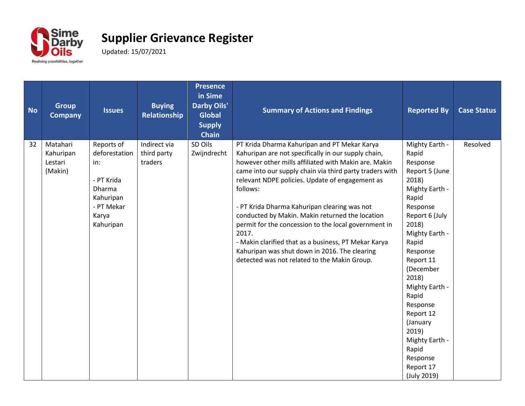

| <b>No</b> | <b>Group</b><br><b>Company</b>              | <b>Issues</b>                                                                                               | <b>Buying</b><br>Relationship          | <b>Presence</b><br>in Sime<br><b>Darby Oils'</b><br><b>Global</b><br><b>Supply</b><br><b>Chain</b> | <b>Summary of Actions and Findings</b>                                                                                                                                                                                                                                                                                                                                                                                                                                                                                                                                                                             | <b>Reported By</b>                                                                                                                                                                                                                                                                                                                                     | <b>Case Status</b> |
|-----------|---------------------------------------------|-------------------------------------------------------------------------------------------------------------|----------------------------------------|----------------------------------------------------------------------------------------------------|--------------------------------------------------------------------------------------------------------------------------------------------------------------------------------------------------------------------------------------------------------------------------------------------------------------------------------------------------------------------------------------------------------------------------------------------------------------------------------------------------------------------------------------------------------------------------------------------------------------------|--------------------------------------------------------------------------------------------------------------------------------------------------------------------------------------------------------------------------------------------------------------------------------------------------------------------------------------------------------|--------------------|
| 32        | Matahari<br>Kahuripan<br>Lestari<br>(Makin) | Reports of<br>deforestation<br>in:<br>- PT Krida<br>Dharma<br>Kahuripan<br>- PT Mekar<br>Karya<br>Kahuripan | Indirect via<br>third party<br>traders | SD Oils<br>Zwijndrecht                                                                             | PT Krida Dharma Kahuripan and PT Mekar Karya<br>Kahuripan are not specifically in our supply chain,<br>however other mills affiliated with Makin are. Makin<br>came into our supply chain via third party traders with<br>relevant NDPE policies. Update of engagement as<br>follows:<br>- PT Krida Dharma Kahuripan clearing was not<br>conducted by Makin. Makin returned the location<br>permit for the concession to the local government in<br>2017.<br>- Makin clarified that as a business, PT Mekar Karya<br>Kahuripan was shut down in 2016. The clearing<br>detected was not related to the Makin Group. | Mighty Earth -<br>Rapid<br>Response<br>Report 5 (June<br>2018)<br>Mighty Earth -<br>Rapid<br>Response<br>Report 6 (July<br>2018)<br>Mighty Earth -<br>Rapid<br>Response<br>Report 11<br>(December<br>2018)<br>Mighty Earth -<br>Rapid<br>Response<br>Report 12<br>(January<br>2019)<br>Mighty Earth -<br>Rapid<br>Response<br>Report 17<br>(July 2019) | Resolved           |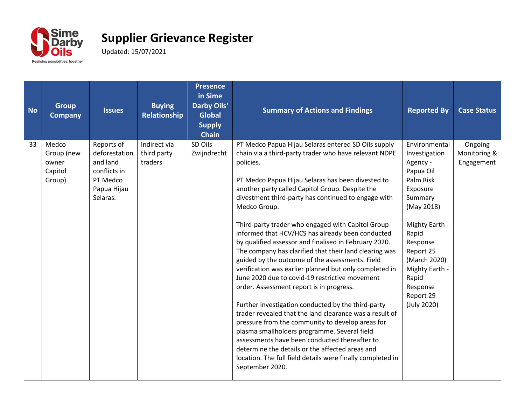

| <b>No</b> | <b>Group</b><br><b>Company</b>                    | <b>Issues</b>                                                                                  | <b>Buying</b><br>Relationship          | <b>Presence</b><br>in Sime<br><b>Darby Oils'</b><br><b>Global</b><br><b>Supply</b><br><b>Chain</b> | <b>Summary of Actions and Findings</b>                                                                                                                                                                                                                                                                                                                                                                                                                                                                                                                                                                                                                                                                                                                                                                                                                                                                                                                                                                                                                                                                                                                    | <b>Reported By</b>                                                                                                                                                                                                                               | <b>Case Status</b>                    |
|-----------|---------------------------------------------------|------------------------------------------------------------------------------------------------|----------------------------------------|----------------------------------------------------------------------------------------------------|-----------------------------------------------------------------------------------------------------------------------------------------------------------------------------------------------------------------------------------------------------------------------------------------------------------------------------------------------------------------------------------------------------------------------------------------------------------------------------------------------------------------------------------------------------------------------------------------------------------------------------------------------------------------------------------------------------------------------------------------------------------------------------------------------------------------------------------------------------------------------------------------------------------------------------------------------------------------------------------------------------------------------------------------------------------------------------------------------------------------------------------------------------------|--------------------------------------------------------------------------------------------------------------------------------------------------------------------------------------------------------------------------------------------------|---------------------------------------|
| 33        | Medco<br>Group (new<br>owner<br>Capitol<br>Group) | Reports of<br>deforestation<br>and land<br>conflicts in<br>PT Medco<br>Papua Hijau<br>Selaras. | Indirect via<br>third party<br>traders | SD Oils<br>Zwijndrecht                                                                             | PT Medco Papua Hijau Selaras entered SD Oils supply<br>chain via a third-party trader who have relevant NDPE<br>policies.<br>PT Medco Papua Hijau Selaras has been divested to<br>another party called Capitol Group. Despite the<br>divestment third-party has continued to engage with<br>Medco Group.<br>Third-party trader who engaged with Capitol Group<br>informed that HCV/HCS has already been conducted<br>by qualified assessor and finalised in February 2020.<br>The company has clarified that their land clearing was<br>guided by the outcome of the assessments. Field<br>verification was earlier planned but only completed in<br>June 2020 due to covid-19 restrictive movement<br>order. Assessment report is in progress.<br>Further investigation conducted by the third-party<br>trader revealed that the land clearance was a result of<br>pressure from the community to develop areas for<br>plasma smallholders programme. Several field<br>assessments have been conducted thereafter to<br>determine the details or the affected areas and<br>location. The full field details were finally completed in<br>September 2020. | Environmental<br>Investigation<br>Agency -<br>Papua Oil<br>Palm Risk<br>Exposure<br>Summary<br>(May 2018)<br>Mighty Earth -<br>Rapid<br>Response<br>Report 25<br>(March 2020)<br>Mighty Earth -<br>Rapid<br>Response<br>Report 29<br>(July 2020) | Ongoing<br>Monitoring &<br>Engagement |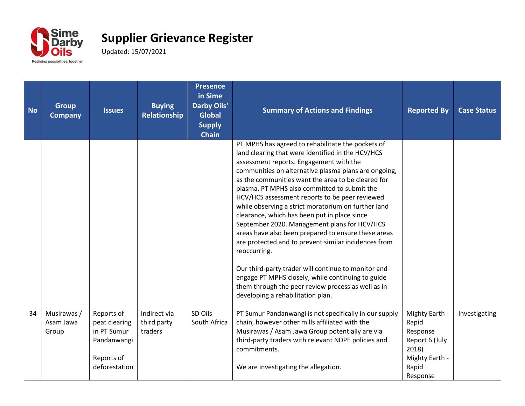

| <b>No</b> | <b>Group</b><br><b>Company</b>    | <b>Issues</b>                                                                            | <b>Buying</b><br>Relationship          | <b>Presence</b><br>in Sime<br><b>Darby Oils'</b><br><b>Global</b><br><b>Supply</b><br><b>Chain</b> | <b>Summary of Actions and Findings</b>                                                                                                                                                                                                                                                                                                                                                                                                                                                                                                                                                                                                                                                                                                                                                                                                                         | <b>Reported By</b>                                                                                    | <b>Case Status</b> |
|-----------|-----------------------------------|------------------------------------------------------------------------------------------|----------------------------------------|----------------------------------------------------------------------------------------------------|----------------------------------------------------------------------------------------------------------------------------------------------------------------------------------------------------------------------------------------------------------------------------------------------------------------------------------------------------------------------------------------------------------------------------------------------------------------------------------------------------------------------------------------------------------------------------------------------------------------------------------------------------------------------------------------------------------------------------------------------------------------------------------------------------------------------------------------------------------------|-------------------------------------------------------------------------------------------------------|--------------------|
|           |                                   |                                                                                          |                                        |                                                                                                    | PT MPHS has agreed to rehabilitate the pockets of<br>land clearing that were identified in the HCV/HCS<br>assessment reports. Engagement with the<br>communities on alternative plasma plans are ongoing,<br>as the communities want the area to be cleared for<br>plasma. PT MPHS also committed to submit the<br>HCV/HCS assessment reports to be peer reviewed<br>while observing a strict moratorium on further land<br>clearance, which has been put in place since<br>September 2020. Management plans for HCV/HCS<br>areas have also been prepared to ensure these areas<br>are protected and to prevent similar incidences from<br>reoccurring.<br>Our third-party trader will continue to monitor and<br>engage PT MPHS closely, while continuing to guide<br>them through the peer review process as well as in<br>developing a rehabilitation plan. |                                                                                                       |                    |
| 34        | Musirawas /<br>Asam Jawa<br>Group | Reports of<br>peat clearing<br>in PT Sumur<br>Pandanwangi<br>Reports of<br>deforestation | Indirect via<br>third party<br>traders | SD Oils<br>South Africa                                                                            | PT Sumur Pandanwangi is not specifically in our supply<br>chain, however other mills affiliated with the<br>Musirawas / Asam Jawa Group potentially are via<br>third-party traders with relevant NDPE policies and<br>commitments.<br>We are investigating the allegation.                                                                                                                                                                                                                                                                                                                                                                                                                                                                                                                                                                                     | Mighty Earth -<br>Rapid<br>Response<br>Report 6 (July<br>2018)<br>Mighty Earth -<br>Rapid<br>Response | Investigating      |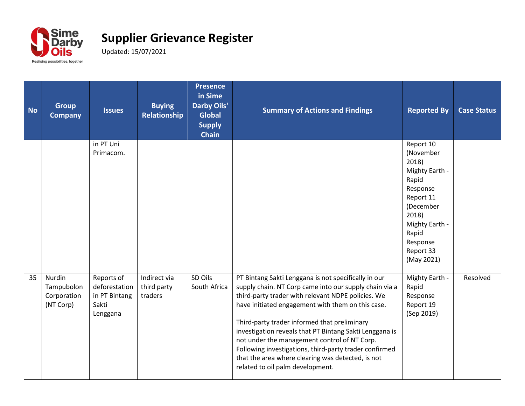

| <b>No</b> | <b>Group</b><br><b>Company</b>                   | <b>Issues</b>                                                     | <b>Buying</b><br>Relationship          | <b>Presence</b><br>in Sime<br><b>Darby Oils'</b><br><b>Global</b><br><b>Supply</b><br><b>Chain</b> | <b>Summary of Actions and Findings</b>                                                                                                                                                                                                                                                                                                                                                                                                                                                                                                  | <b>Reported By</b>                                                                                                                                                          | <b>Case Status</b> |
|-----------|--------------------------------------------------|-------------------------------------------------------------------|----------------------------------------|----------------------------------------------------------------------------------------------------|-----------------------------------------------------------------------------------------------------------------------------------------------------------------------------------------------------------------------------------------------------------------------------------------------------------------------------------------------------------------------------------------------------------------------------------------------------------------------------------------------------------------------------------------|-----------------------------------------------------------------------------------------------------------------------------------------------------------------------------|--------------------|
|           |                                                  | in PT Uni<br>Primacom.                                            |                                        |                                                                                                    |                                                                                                                                                                                                                                                                                                                                                                                                                                                                                                                                         | Report 10<br>(November<br>2018)<br>Mighty Earth -<br>Rapid<br>Response<br>Report 11<br>(December<br>2018)<br>Mighty Earth -<br>Rapid<br>Response<br>Report 33<br>(May 2021) |                    |
| 35        | Nurdin<br>Tampubolon<br>Corporation<br>(NT Corp) | Reports of<br>deforestation<br>in PT Bintang<br>Sakti<br>Lenggana | Indirect via<br>third party<br>traders | SD Oils<br>South Africa                                                                            | PT Bintang Sakti Lenggana is not specifically in our<br>supply chain. NT Corp came into our supply chain via a<br>third-party trader with relevant NDPE policies. We<br>have initiated engagement with them on this case.<br>Third-party trader informed that preliminary<br>investigation reveals that PT Bintang Sakti Lenggana is<br>not under the management control of NT Corp.<br>Following investigations, third-party trader confirmed<br>that the area where clearing was detected, is not<br>related to oil palm development. | Mighty Earth -<br>Rapid<br>Response<br>Report 19<br>(Sep 2019)                                                                                                              | Resolved           |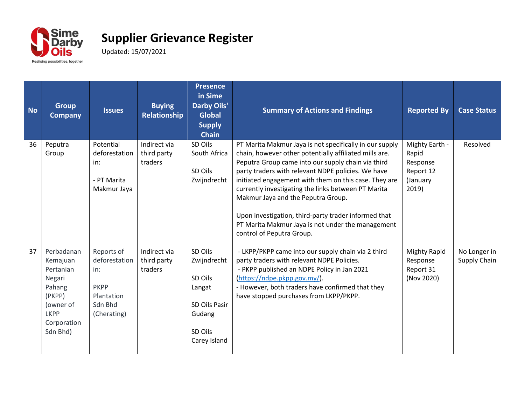

| <b>No</b> | <b>Group</b><br><b>Company</b>                                                                                           | <b>Issues</b>                                                                             | <b>Buying</b><br>Relationship          | <b>Presence</b><br>in Sime<br><b>Darby Oils'</b><br><b>Global</b><br><b>Supply</b><br><b>Chain</b> | <b>Summary of Actions and Findings</b>                                                                                                                                                                                                                                                                                                                                                                                                                                                                                        | <b>Reported By</b>                                                    | <b>Case Status</b>           |
|-----------|--------------------------------------------------------------------------------------------------------------------------|-------------------------------------------------------------------------------------------|----------------------------------------|----------------------------------------------------------------------------------------------------|-------------------------------------------------------------------------------------------------------------------------------------------------------------------------------------------------------------------------------------------------------------------------------------------------------------------------------------------------------------------------------------------------------------------------------------------------------------------------------------------------------------------------------|-----------------------------------------------------------------------|------------------------------|
| 36        | Peputra<br>Group                                                                                                         | Potential<br>deforestation<br>in:<br>- PT Marita<br>Makmur Jaya                           | Indirect via<br>third party<br>traders | SD Oils<br>South Africa<br>SD Oils<br>Zwijndrecht                                                  | PT Marita Makmur Jaya is not specifically in our supply<br>chain, however other potentially affiliated mills are.<br>Peputra Group came into our supply chain via third<br>party traders with relevant NDPE policies. We have<br>initiated engagement with them on this case. They are<br>currently investigating the links between PT Marita<br>Makmur Jaya and the Peputra Group.<br>Upon investigation, third-party trader informed that<br>PT Marita Makmur Jaya is not under the management<br>control of Peputra Group. | Mighty Earth -<br>Rapid<br>Response<br>Report 12<br>(January<br>2019) | Resolved                     |
| 37        | Perbadanan<br>Kemajuan<br>Pertanian<br>Negari<br>Pahang<br>(PKPP)<br>(owner of<br><b>LKPP</b><br>Corporation<br>Sdn Bhd) | Reports of<br>deforestation<br>in:<br><b>PKPP</b><br>Plantation<br>Sdn Bhd<br>(Cherating) | Indirect via<br>third party<br>traders | SD Oils<br>Zwijndrecht<br>SD Oils<br>Langat<br>SD Oils Pasir<br>Gudang<br>SD Oils<br>Carey Island  | - LKPP/PKPP came into our supply chain via 2 third<br>party traders with relevant NDPE Policies.<br>- PKPP published an NDPE Policy in Jan 2021<br>(https://ndpe.pkpp.gov.my/).<br>- However, both traders have confirmed that they<br>have stopped purchases from LKPP/PKPP.                                                                                                                                                                                                                                                 | <b>Mighty Rapid</b><br>Response<br>Report 31<br>(Nov 2020)            | No Longer in<br>Supply Chain |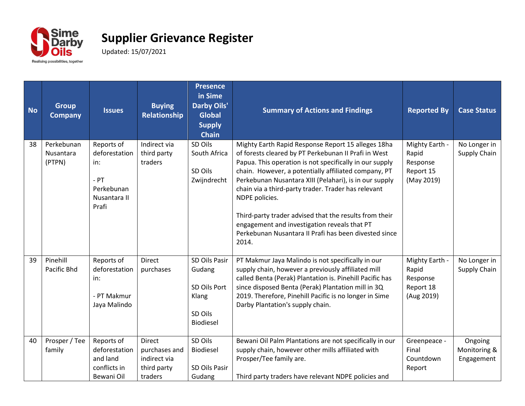

| <b>No</b> | <b>Group</b><br><b>Company</b>    | <b>Issues</b>                                                                       | <b>Buying</b><br>Relationship                                            | <b>Presence</b><br>in Sime<br><b>Darby Oils'</b><br><b>Global</b><br><b>Supply</b><br><b>Chain</b> | <b>Summary of Actions and Findings</b>                                                                                                                                                                                                                                                                                                                                                                                                                                                                                                       | <b>Reported By</b>                                             | <b>Case Status</b>                    |
|-----------|-----------------------------------|-------------------------------------------------------------------------------------|--------------------------------------------------------------------------|----------------------------------------------------------------------------------------------------|----------------------------------------------------------------------------------------------------------------------------------------------------------------------------------------------------------------------------------------------------------------------------------------------------------------------------------------------------------------------------------------------------------------------------------------------------------------------------------------------------------------------------------------------|----------------------------------------------------------------|---------------------------------------|
| 38        | Perkebunan<br>Nusantara<br>(PTPN) | Reports of<br>deforestation<br>in:<br>$-$ PT<br>Perkebunan<br>Nusantara II<br>Prafi | Indirect via<br>third party<br>traders                                   | SD Oils<br>South Africa<br>SD Oils<br>Zwijndrecht                                                  | Mighty Earth Rapid Response Report 15 alleges 18ha<br>of forests cleared by PT Perkebunan II Prafi in West<br>Papua. This operation is not specifically in our supply<br>chain. However, a potentially affiliated company, PT<br>Perkebunan Nusantara XIII (Pelahari), is in our supply<br>chain via a third-party trader. Trader has relevant<br>NDPE policies.<br>Third-party trader advised that the results from their<br>engagement and investigation reveals that PT<br>Perkebunan Nusantara II Prafi has been divested since<br>2014. | Mighty Earth -<br>Rapid<br>Response<br>Report 15<br>(May 2019) | No Longer in<br>Supply Chain          |
| 39        | Pinehill<br><b>Pacific Bhd</b>    | Reports of<br>deforestation<br>in:<br>- PT Makmur<br>Jaya Malindo                   | <b>Direct</b><br>purchases                                               | SD Oils Pasir<br>Gudang<br>SD Oils Port<br>Klang<br>SD Oils<br>Biodiesel                           | PT Makmur Jaya Malindo is not specifically in our<br>supply chain, however a previously affiliated mill<br>called Benta (Perak) Plantation is. Pinehill Pacific has<br>since disposed Benta (Perak) Plantation mill in 3Q<br>2019. Therefore, Pinehill Pacific is no longer in Sime<br>Darby Plantation's supply chain.                                                                                                                                                                                                                      | Mighty Earth -<br>Rapid<br>Response<br>Report 18<br>(Aug 2019) | No Longer in<br>Supply Chain          |
| 40        | Prosper / Tee<br>family           | Reports of<br>deforestation<br>and land<br>conflicts in<br>Bewani Oil               | <b>Direct</b><br>purchases and<br>indirect via<br>third party<br>traders | SD Oils<br>Biodiesel<br>SD Oils Pasir<br>Gudang                                                    | Bewani Oil Palm Plantations are not specifically in our<br>supply chain, however other mills affiliated with<br>Prosper/Tee family are.<br>Third party traders have relevant NDPE policies and                                                                                                                                                                                                                                                                                                                                               | Greenpeace -<br>Final<br>Countdown<br>Report                   | Ongoing<br>Monitoring &<br>Engagement |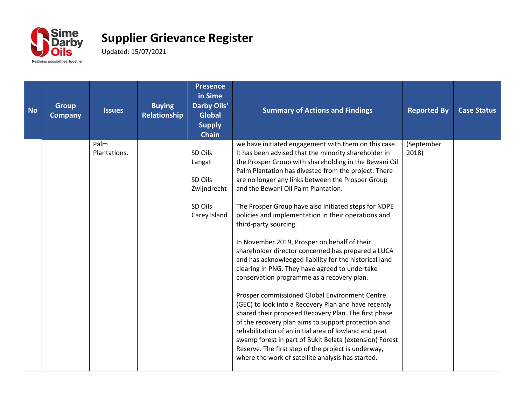

| <b>No</b> | <b>Group</b><br><b>Company</b> | <b>Issues</b>        | <b>Buying</b><br>Relationship | <b>Presence</b><br>in Sime<br><b>Darby Oils'</b><br><b>Global</b><br><b>Supply</b><br><b>Chain</b> | <b>Summary of Actions and Findings</b>                                                                                                                                                                                                                                                                                                                                                                                                                                                                                                                                                                                                                                                                                                                                                                                                                                                                                                                                                                                                                                                                                                                                                     | <b>Reported By</b>  | <b>Case Status</b> |
|-----------|--------------------------------|----------------------|-------------------------------|----------------------------------------------------------------------------------------------------|--------------------------------------------------------------------------------------------------------------------------------------------------------------------------------------------------------------------------------------------------------------------------------------------------------------------------------------------------------------------------------------------------------------------------------------------------------------------------------------------------------------------------------------------------------------------------------------------------------------------------------------------------------------------------------------------------------------------------------------------------------------------------------------------------------------------------------------------------------------------------------------------------------------------------------------------------------------------------------------------------------------------------------------------------------------------------------------------------------------------------------------------------------------------------------------------|---------------------|--------------------|
|           |                                | Palm<br>Plantations. |                               | SD Oils<br>Langat<br>SD Oils<br>Zwijndrecht<br>SD Oils<br>Carey Island                             | we have initiated engagement with them on this case.<br>It has been advised that the minority shareholder in<br>the Prosper Group with shareholding in the Bewani Oil<br>Palm Plantation has divested from the project. There<br>are no longer any links between the Prosper Group<br>and the Bewani Oil Palm Plantation.<br>The Prosper Group have also initiated steps for NDPE<br>policies and implementation in their operations and<br>third-party sourcing.<br>In November 2019, Prosper on behalf of their<br>shareholder director concerned has prepared a LUCA<br>and has acknowledged liability for the historical land<br>clearing in PNG. They have agreed to undertake<br>conservation programme as a recovery plan.<br>Prosper commissioned Global Environment Centre<br>(GEC) to look into a Recovery Plan and have recently<br>shared their proposed Recovery Plan. The first phase<br>of the recovery plan aims to support protection and<br>rehabilitation of an initial area of lowland and peat<br>swamp forest in part of Bukit Belata (extension) Forest<br>Reserve. The first step of the project is underway,<br>where the work of satellite analysis has started. | (September<br>2018) |                    |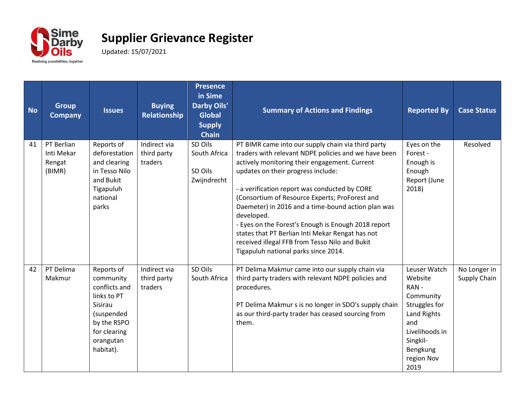

| <b>No</b> | <b>Group</b><br><b>Company</b>               | <b>Issues</b>                                                                                                                             | <b>Buying</b><br>Relationship          | <b>Presence</b><br>in Sime<br><b>Darby Oils'</b><br><b>Global</b><br><b>Supply</b><br><b>Chain</b> | <b>Summary of Actions and Findings</b>                                                                                                                                                                                                                                                                                                                                                                                                                                                                                                                                        | <b>Reported By</b>                                                                                                                                  | <b>Case Status</b>           |
|-----------|----------------------------------------------|-------------------------------------------------------------------------------------------------------------------------------------------|----------------------------------------|----------------------------------------------------------------------------------------------------|-------------------------------------------------------------------------------------------------------------------------------------------------------------------------------------------------------------------------------------------------------------------------------------------------------------------------------------------------------------------------------------------------------------------------------------------------------------------------------------------------------------------------------------------------------------------------------|-----------------------------------------------------------------------------------------------------------------------------------------------------|------------------------------|
| 41        | PT Berlian<br>Inti Mekar<br>Rengat<br>(BIMR) | Reports of<br>deforestation<br>and clearing<br>in Tesso Nilo<br>and Bukit<br>Tigapuluh<br>national<br>parks                               | Indirect via<br>third party<br>traders | SD Oils<br>South Africa<br>SD Oils<br>Zwijndrecht                                                  | PT BIMR came into our supply chain via third party<br>traders with relevant NDPE policies and we have been<br>actively monitoring their engagement. Current<br>updates on their progress include:<br>- a verification report was conducted by CORE<br>(Consortium of Resource Experts; ProForest and<br>Daemeter) in 2016 and a time-bound action plan was<br>developed.<br>- Eyes on the Forest's Enough is Enough 2018 report<br>states that PT Berlian Inti Mekar Rengat has not<br>received illegal FFB from Tesso Nilo and Bukit<br>Tigapuluh national parks since 2014. | Eyes on the<br>Forest -<br>Enough is<br>Enough<br>Report (June<br>2018)                                                                             | Resolved                     |
| 42        | PT Delima<br>Makmur                          | Reports of<br>community<br>conflicts and<br>links to PT<br>Sisirau<br>(suspended<br>by the RSPO<br>for clearing<br>orangutan<br>habitat). | Indirect via<br>third party<br>traders | SD Oils<br>South Africa                                                                            | PT Delima Makmur came into our supply chain via<br>third party traders with relevant NDPE policies and<br>procedures.<br>PT Delima Makmur s is no longer in SDO's supply chain<br>as our third-party trader has ceased sourcing from<br>them.                                                                                                                                                                                                                                                                                                                                 | Leuser Watch<br>Website<br>RAN-<br>Community<br>Struggles for<br>Land Rights<br>and<br>Livelihoods in<br>Singkil-<br>Bengkung<br>region Nov<br>2019 | No Longer in<br>Supply Chain |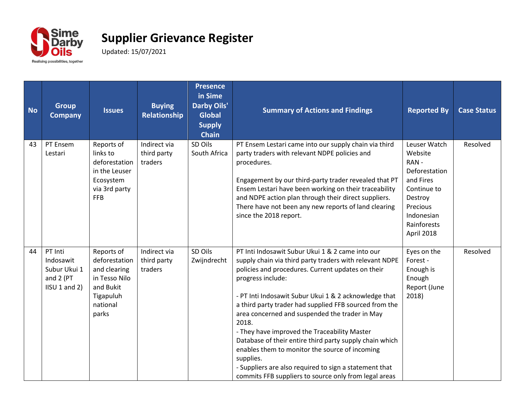

| <b>No</b> | <b>Group</b><br><b>Company</b>                                     | <b>Issues</b>                                                                                               | <b>Buying</b><br>Relationship          | <b>Presence</b><br>in Sime<br><b>Darby Oils'</b><br><b>Global</b><br><b>Supply</b><br><b>Chain</b> | <b>Summary of Actions and Findings</b>                                                                                                                                                                                                                                                                                                                                                                                                                                                                                                                                                                                                                           | <b>Reported By</b>                                                                                                                             | <b>Case Status</b> |
|-----------|--------------------------------------------------------------------|-------------------------------------------------------------------------------------------------------------|----------------------------------------|----------------------------------------------------------------------------------------------------|------------------------------------------------------------------------------------------------------------------------------------------------------------------------------------------------------------------------------------------------------------------------------------------------------------------------------------------------------------------------------------------------------------------------------------------------------------------------------------------------------------------------------------------------------------------------------------------------------------------------------------------------------------------|------------------------------------------------------------------------------------------------------------------------------------------------|--------------------|
| 43        | PT Ensem<br>Lestari                                                | Reports of<br>links to<br>deforestation<br>in the Leuser<br>Ecosystem<br>via 3rd party<br><b>FFB</b>        | Indirect via<br>third party<br>traders | SD Oils<br>South Africa                                                                            | PT Ensem Lestari came into our supply chain via third<br>party traders with relevant NDPE policies and<br>procedures.<br>Engagement by our third-party trader revealed that PT<br>Ensem Lestari have been working on their traceability<br>and NDPE action plan through their direct suppliers.<br>There have not been any new reports of land clearing<br>since the 2018 report.                                                                                                                                                                                                                                                                                | Leuser Watch<br>Website<br>RAN-<br>Deforestation<br>and Fires<br>Continue to<br>Destroy<br>Precious<br>Indonesian<br>Rainforests<br>April 2018 | Resolved           |
| 44        | PT Inti<br>Indosawit<br>Subur Ukui 1<br>and 2 (PT<br>IISU 1 and 2) | Reports of<br>deforestation<br>and clearing<br>in Tesso Nilo<br>and Bukit<br>Tigapuluh<br>national<br>parks | Indirect via<br>third party<br>traders | SD Oils<br>Zwijndrecht                                                                             | PT Inti Indosawit Subur Ukui 1 & 2 came into our<br>supply chain via third party traders with relevant NDPE<br>policies and procedures. Current updates on their<br>progress include:<br>- PT Inti Indosawit Subur Ukui 1 & 2 acknowledge that<br>a third party trader had supplied FFB sourced from the<br>area concerned and suspended the trader in May<br>2018.<br>- They have improved the Traceability Master<br>Database of their entire third party supply chain which<br>enables them to monitor the source of incoming<br>supplies.<br>- Suppliers are also required to sign a statement that<br>commits FFB suppliers to source only from legal areas | Eyes on the<br>Forest -<br>Enough is<br>Enough<br>Report (June<br>2018)                                                                        | Resolved           |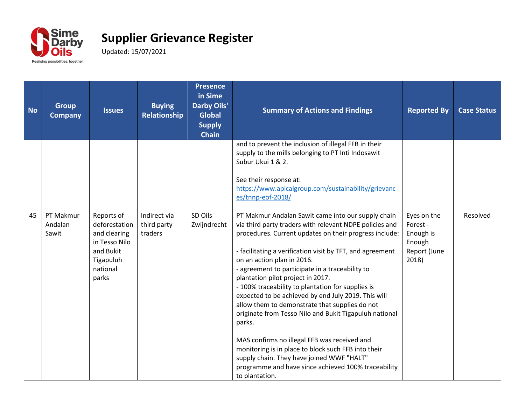

| <b>No</b> | <b>Group</b><br><b>Company</b> | <b>Issues</b>                                                                                               | <b>Buying</b><br>Relationship          | <b>Presence</b><br>in Sime<br><b>Darby Oils'</b><br><b>Global</b><br><b>Supply</b><br><b>Chain</b> | <b>Summary of Actions and Findings</b>                                                                                                                                                                                                                                                                                                                                                                                                                                                                                                                                                                                                                                                                                                                                                                                    | <b>Reported By</b>                                                      | <b>Case Status</b> |
|-----------|--------------------------------|-------------------------------------------------------------------------------------------------------------|----------------------------------------|----------------------------------------------------------------------------------------------------|---------------------------------------------------------------------------------------------------------------------------------------------------------------------------------------------------------------------------------------------------------------------------------------------------------------------------------------------------------------------------------------------------------------------------------------------------------------------------------------------------------------------------------------------------------------------------------------------------------------------------------------------------------------------------------------------------------------------------------------------------------------------------------------------------------------------------|-------------------------------------------------------------------------|--------------------|
|           |                                |                                                                                                             |                                        |                                                                                                    | and to prevent the inclusion of illegal FFB in their<br>supply to the mills belonging to PT Inti Indosawit<br>Subur Ukui 1 & 2.<br>See their response at:<br>https://www.apicalgroup.com/sustainability/grievanc<br>es/tnnp-eof-2018/                                                                                                                                                                                                                                                                                                                                                                                                                                                                                                                                                                                     |                                                                         |                    |
| 45        | PT Makmur<br>Andalan<br>Sawit  | Reports of<br>deforestation<br>and clearing<br>in Tesso Nilo<br>and Bukit<br>Tigapuluh<br>national<br>parks | Indirect via<br>third party<br>traders | SD Oils<br>Zwijndrecht                                                                             | PT Makmur Andalan Sawit came into our supply chain<br>via third party traders with relevant NDPE policies and<br>procedures. Current updates on their progress include:<br>- facilitating a verification visit by TFT, and agreement<br>on an action plan in 2016.<br>- agreement to participate in a traceability to<br>plantation pilot project in 2017.<br>- 100% traceability to plantation for supplies is<br>expected to be achieved by end July 2019. This will<br>allow them to demonstrate that supplies do not<br>originate from Tesso Nilo and Bukit Tigapuluh national<br>parks.<br>MAS confirms no illegal FFB was received and<br>monitoring is in place to block such FFB into their<br>supply chain. They have joined WWF "HALT"<br>programme and have since achieved 100% traceability<br>to plantation. | Eyes on the<br>Forest -<br>Enough is<br>Enough<br>Report (June<br>2018) | Resolved           |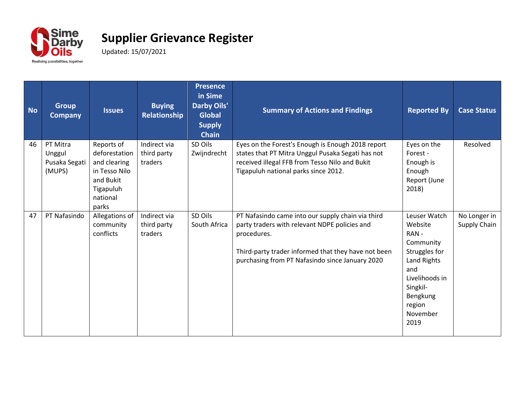

| <b>No</b> | <b>Group</b><br><b>Company</b>                | <b>Issues</b>                                                                                               | <b>Buying</b><br>Relationship          | <b>Presence</b><br>in Sime<br><b>Darby Oils'</b><br><b>Global</b><br><b>Supply</b><br><b>Chain</b> | <b>Summary of Actions and Findings</b>                                                                                                                                                                                      | <b>Reported By</b>                                                                                                                                          | <b>Case Status</b>           |
|-----------|-----------------------------------------------|-------------------------------------------------------------------------------------------------------------|----------------------------------------|----------------------------------------------------------------------------------------------------|-----------------------------------------------------------------------------------------------------------------------------------------------------------------------------------------------------------------------------|-------------------------------------------------------------------------------------------------------------------------------------------------------------|------------------------------|
| 46        | PT Mitra<br>Unggul<br>Pusaka Segati<br>(MUPS) | Reports of<br>deforestation<br>and clearing<br>in Tesso Nilo<br>and Bukit<br>Tigapuluh<br>national<br>parks | Indirect via<br>third party<br>traders | SD Oils<br>Zwijndrecht                                                                             | Eyes on the Forest's Enough is Enough 2018 report<br>states that PT Mitra Unggul Pusaka Segati has not<br>received illegal FFB from Tesso Nilo and Bukit<br>Tigapuluh national parks since 2012.                            | Eyes on the<br>Forest -<br>Enough is<br>Enough<br>Report (June<br>2018)                                                                                     | Resolved                     |
| 47        | PT Nafasindo                                  | Allegations of<br>community<br>conflicts                                                                    | Indirect via<br>third party<br>traders | SD Oils<br>South Africa                                                                            | PT Nafasindo came into our supply chain via third<br>party traders with relevant NDPE policies and<br>procedures.<br>Third-party trader informed that they have not been<br>purchasing from PT Nafasindo since January 2020 | Leuser Watch<br>Website<br>RAN-<br>Community<br>Struggles for<br>Land Rights<br>and<br>Livelihoods in<br>Singkil-<br>Bengkung<br>region<br>November<br>2019 | No Longer in<br>Supply Chain |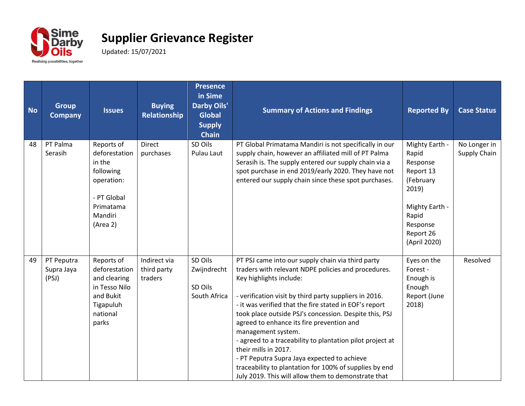

| <b>No</b> | <b>Group</b><br><b>Company</b>    | <b>Issues</b>                                                                                                       | <b>Buying</b><br><b>Relationship</b>   | <b>Presence</b><br>in Sime<br><b>Darby Oils'</b><br><b>Global</b><br><b>Supply</b><br><b>Chain</b> | <b>Summary of Actions and Findings</b>                                                                                                                                                                                                                                                                                                                                                                                                                                                                                                                                                                                                    | <b>Reported By</b>                                                                                                                         | <b>Case Status</b>           |
|-----------|-----------------------------------|---------------------------------------------------------------------------------------------------------------------|----------------------------------------|----------------------------------------------------------------------------------------------------|-------------------------------------------------------------------------------------------------------------------------------------------------------------------------------------------------------------------------------------------------------------------------------------------------------------------------------------------------------------------------------------------------------------------------------------------------------------------------------------------------------------------------------------------------------------------------------------------------------------------------------------------|--------------------------------------------------------------------------------------------------------------------------------------------|------------------------------|
| 48        | PT Palma<br>Serasih               | Reports of<br>deforestation<br>in the<br>following<br>operation:<br>- PT Global<br>Primatama<br>Mandiri<br>(Area 2) | <b>Direct</b><br>purchases             | SD Oils<br>Pulau Laut                                                                              | PT Global Primatama Mandiri is not specifically in our<br>supply chain, however an affiliated mill of PT Palma<br>Serasih is. The supply entered our supply chain via a<br>spot purchase in end 2019/early 2020. They have not<br>entered our supply chain since these spot purchases.                                                                                                                                                                                                                                                                                                                                                    | Mighty Earth -<br>Rapid<br>Response<br>Report 13<br>(February<br>2019)<br>Mighty Earth -<br>Rapid<br>Response<br>Report 26<br>(April 2020) | No Longer in<br>Supply Chain |
| 49        | PT Peputra<br>Supra Jaya<br>(PSJ) | Reports of<br>deforestation<br>and clearing<br>in Tesso Nilo<br>and Bukit<br>Tigapuluh<br>national<br>parks         | Indirect via<br>third party<br>traders | SD Oils<br>Zwijndrecht<br>SD Oils<br>South Africa                                                  | PT PSJ came into our supply chain via third party<br>traders with relevant NDPE policies and procedures.<br>Key highlights include:<br>- verification visit by third party suppliers in 2016.<br>- it was verified that the fire stated in EOF's report<br>took place outside PSJ's concession. Despite this, PSJ<br>agreed to enhance its fire prevention and<br>management system.<br>- agreed to a traceability to plantation pilot project at<br>their mills in 2017.<br>- PT Peputra Supra Jaya expected to achieve<br>traceability to plantation for 100% of supplies by end<br>July 2019. This will allow them to demonstrate that | Eyes on the<br>Forest -<br>Enough is<br>Enough<br>Report (June<br>2018)                                                                    | Resolved                     |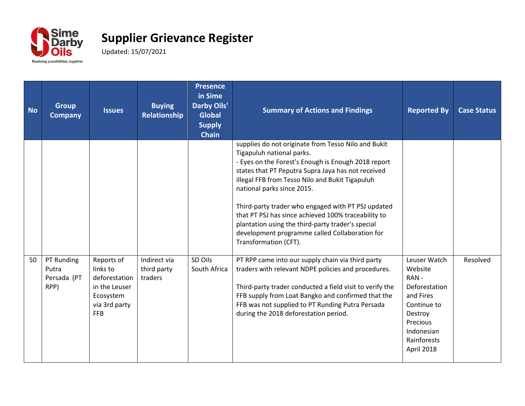

| <b>No</b> | <b>Group</b><br><b>Company</b>             | <b>Issues</b>                                                                                        | <b>Buying</b><br>Relationship          | <b>Presence</b><br>in Sime<br><b>Darby Oils'</b><br><b>Global</b><br><b>Supply</b><br><b>Chain</b> | <b>Summary of Actions and Findings</b>                                                                                                                                                                                                                                                                                                                                                                                                                                                                                      | <b>Reported By</b>                                                                                                                             | <b>Case Status</b> |
|-----------|--------------------------------------------|------------------------------------------------------------------------------------------------------|----------------------------------------|----------------------------------------------------------------------------------------------------|-----------------------------------------------------------------------------------------------------------------------------------------------------------------------------------------------------------------------------------------------------------------------------------------------------------------------------------------------------------------------------------------------------------------------------------------------------------------------------------------------------------------------------|------------------------------------------------------------------------------------------------------------------------------------------------|--------------------|
|           |                                            |                                                                                                      |                                        |                                                                                                    | supplies do not originate from Tesso Nilo and Bukit<br>Tigapuluh national parks.<br>- Eyes on the Forest's Enough is Enough 2018 report<br>states that PT Peputra Supra Jaya has not received<br>illegal FFB from Tesso Nilo and Bukit Tigapuluh<br>national parks since 2015.<br>Third-party trader who engaged with PT PSJ updated<br>that PT PSJ has since achieved 100% traceability to<br>plantation using the third-party trader's special<br>development programme called Collaboration for<br>Transformation (CFT). |                                                                                                                                                |                    |
| 50        | PT Runding<br>Putra<br>Persada (PT<br>RPP) | Reports of<br>links to<br>deforestation<br>in the Leuser<br>Ecosystem<br>via 3rd party<br><b>FFB</b> | Indirect via<br>third party<br>traders | SD Oils<br>South Africa                                                                            | PT RPP came into our supply chain via third party<br>traders with relevant NDPE policies and procedures.<br>Third-party trader conducted a field visit to verify the<br>FFB supply from Loat Bangko and confirmed that the<br>FFB was not supplied to PT Runding Putra Persada<br>during the 2018 deforestation period.                                                                                                                                                                                                     | Leuser Watch<br>Website<br>RAN-<br>Deforestation<br>and Fires<br>Continue to<br>Destroy<br>Precious<br>Indonesian<br>Rainforests<br>April 2018 | Resolved           |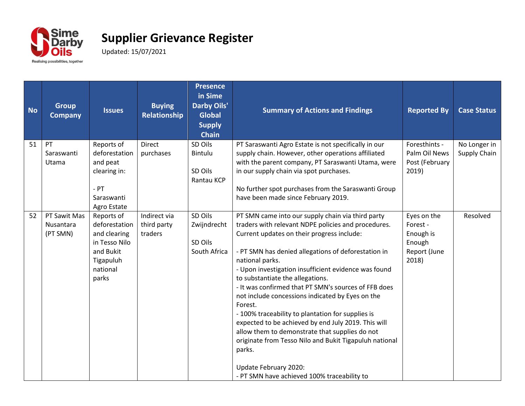

| <b>No</b> | <b>Group</b><br><b>Company</b>        | <b>Issues</b>                                                                                               | <b>Buying</b><br><b>Relationship</b>   | <b>Presence</b><br>in Sime<br><b>Darby Oils'</b><br><b>Global</b><br><b>Supply</b><br><b>Chain</b> | <b>Summary of Actions and Findings</b>                                                                                                                                                                                                                                                                                                                                                                                                                                                                                                                                                                                                                                                                                                                        | <b>Reported By</b>                                                      | <b>Case Status</b>           |
|-----------|---------------------------------------|-------------------------------------------------------------------------------------------------------------|----------------------------------------|----------------------------------------------------------------------------------------------------|---------------------------------------------------------------------------------------------------------------------------------------------------------------------------------------------------------------------------------------------------------------------------------------------------------------------------------------------------------------------------------------------------------------------------------------------------------------------------------------------------------------------------------------------------------------------------------------------------------------------------------------------------------------------------------------------------------------------------------------------------------------|-------------------------------------------------------------------------|------------------------------|
| 51        | PT<br>Saraswanti<br>Utama             | Reports of<br>deforestation<br>and peat<br>clearing in:<br>$-$ PT<br>Saraswanti<br>Agro Estate              | <b>Direct</b><br>purchases             | SD Oils<br>Bintulu<br>SD Oils<br>Rantau KCP                                                        | PT Saraswanti Agro Estate is not specifically in our<br>supply chain. However, other operations affiliated<br>with the parent company, PT Saraswanti Utama, were<br>in our supply chain via spot purchases.<br>No further spot purchases from the Saraswanti Group<br>have been made since February 2019.                                                                                                                                                                                                                                                                                                                                                                                                                                                     | Foresthints -<br>Palm Oil News<br>Post (February<br>2019)               | No Longer in<br>Supply Chain |
| 52        | PT Sawit Mas<br>Nusantara<br>(PT SMN) | Reports of<br>deforestation<br>and clearing<br>in Tesso Nilo<br>and Bukit<br>Tigapuluh<br>national<br>parks | Indirect via<br>third party<br>traders | SD Oils<br>Zwijndrecht<br>SD Oils<br>South Africa                                                  | PT SMN came into our supply chain via third party<br>traders with relevant NDPE policies and procedures.<br>Current updates on their progress include:<br>- PT SMN has denied allegations of deforestation in<br>national parks.<br>- Upon investigation insufficient evidence was found<br>to substantiate the allegations.<br>- It was confirmed that PT SMN's sources of FFB does<br>not include concessions indicated by Eyes on the<br>Forest.<br>- 100% traceability to plantation for supplies is<br>expected to be achieved by end July 2019. This will<br>allow them to demonstrate that supplies do not<br>originate from Tesso Nilo and Bukit Tigapuluh national<br>parks.<br>Update February 2020:<br>- PT SMN have achieved 100% traceability to | Eyes on the<br>Forest -<br>Enough is<br>Enough<br>Report (June<br>2018) | Resolved                     |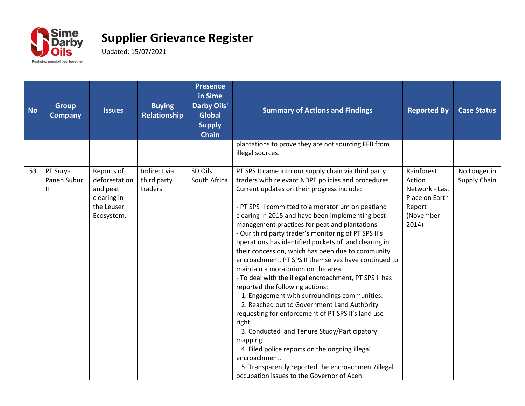

| <b>No</b> | <b>Group</b><br><b>Company</b>          | <b>Issues</b>                                                                      | <b>Buying</b><br>Relationship          | <b>Presence</b><br>in Sime<br><b>Darby Oils'</b><br><b>Global</b><br><b>Supply</b><br><b>Chain</b> | <b>Summary of Actions and Findings</b>                                                                                                                                                                                                                                                                                                                                                                                                                                                                                                                                                                                                                                                                                                                                                                                                                                                                                                                                                                                                                                                  | <b>Reported By</b>                                                                       | <b>Case Status</b>           |
|-----------|-----------------------------------------|------------------------------------------------------------------------------------|----------------------------------------|----------------------------------------------------------------------------------------------------|-----------------------------------------------------------------------------------------------------------------------------------------------------------------------------------------------------------------------------------------------------------------------------------------------------------------------------------------------------------------------------------------------------------------------------------------------------------------------------------------------------------------------------------------------------------------------------------------------------------------------------------------------------------------------------------------------------------------------------------------------------------------------------------------------------------------------------------------------------------------------------------------------------------------------------------------------------------------------------------------------------------------------------------------------------------------------------------------|------------------------------------------------------------------------------------------|------------------------------|
|           |                                         |                                                                                    |                                        |                                                                                                    | plantations to prove they are not sourcing FFB from<br>illegal sources.                                                                                                                                                                                                                                                                                                                                                                                                                                                                                                                                                                                                                                                                                                                                                                                                                                                                                                                                                                                                                 |                                                                                          |                              |
| 53        | PT Surya<br>Panen Subur<br>$\mathbf{H}$ | Reports of<br>deforestation<br>and peat<br>clearing in<br>the Leuser<br>Ecosystem. | Indirect via<br>third party<br>traders | SD Oils<br>South Africa                                                                            | PT SPS II came into our supply chain via third party<br>traders with relevant NDPE policies and procedures.<br>Current updates on their progress include:<br>- PT SPS II committed to a moratorium on peatland<br>clearing in 2015 and have been implementing best<br>management practices for peatland plantations.<br>- Our third party trader's monitoring of PT SPS II's<br>operations has identified pockets of land clearing in<br>their concession, which has been due to community<br>encroachment. PT SPS II themselves have continued to<br>maintain a moratorium on the area.<br>- To deal with the illegal encroachment, PT SPS II has<br>reported the following actions:<br>1. Engagement with surroundings communities.<br>2. Reached out to Government Land Authority<br>requesting for enforcement of PT SPS II's land use<br>right.<br>3. Conducted land Tenure Study/Participatory<br>mapping.<br>4. Filed police reports on the ongoing illegal<br>encroachment.<br>5. Transparently reported the encroachment/illegal<br>occupation issues to the Governor of Aceh. | Rainforest<br>Action<br>Network - Last<br>Place on Earth<br>Report<br>(November<br>2014) | No Longer in<br>Supply Chain |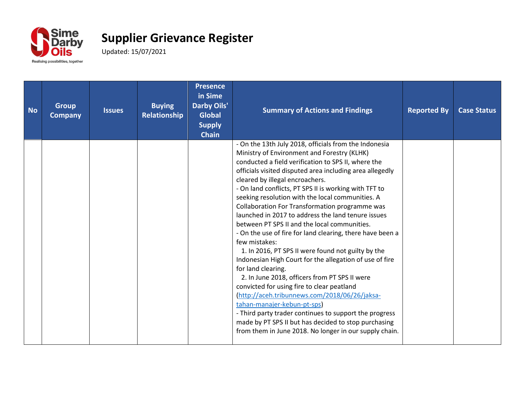

| <b>No</b> | <b>Group</b><br><b>Company</b> | <b>Issues</b> | <b>Buying</b><br><b>Relationship</b> | <b>Presence</b><br>in Sime<br><b>Darby Oils'</b><br><b>Global</b><br><b>Supply</b><br><b>Chain</b> | <b>Summary of Actions and Findings</b>                                                                                                                                                                                                                                                                                                                                                                                                                                                                                                                                                                                                                                                                                                                                                                                                                                                                                                                                                                                                                                                                          | <b>Reported By</b> | <b>Case Status</b> |
|-----------|--------------------------------|---------------|--------------------------------------|----------------------------------------------------------------------------------------------------|-----------------------------------------------------------------------------------------------------------------------------------------------------------------------------------------------------------------------------------------------------------------------------------------------------------------------------------------------------------------------------------------------------------------------------------------------------------------------------------------------------------------------------------------------------------------------------------------------------------------------------------------------------------------------------------------------------------------------------------------------------------------------------------------------------------------------------------------------------------------------------------------------------------------------------------------------------------------------------------------------------------------------------------------------------------------------------------------------------------------|--------------------|--------------------|
|           |                                |               |                                      |                                                                                                    | - On the 13th July 2018, officials from the Indonesia<br>Ministry of Environment and Forestry (KLHK)<br>conducted a field verification to SPS II, where the<br>officials visited disputed area including area allegedly<br>cleared by illegal encroachers.<br>- On land conflicts, PT SPS II is working with TFT to<br>seeking resolution with the local communities. A<br>Collaboration For Transformation programme was<br>launched in 2017 to address the land tenure issues<br>between PT SPS II and the local communities.<br>- On the use of fire for land clearing, there have been a<br>few mistakes:<br>1. In 2016, PT SPS II were found not guilty by the<br>Indonesian High Court for the allegation of use of fire<br>for land clearing.<br>2. In June 2018, officers from PT SPS II were<br>convicted for using fire to clear peatland<br>(http://aceh.tribunnews.com/2018/06/26/jaksa-<br>tahan-manajer-kebun-pt-sps)<br>- Third party trader continues to support the progress<br>made by PT SPS II but has decided to stop purchasing<br>from them in June 2018. No longer in our supply chain. |                    |                    |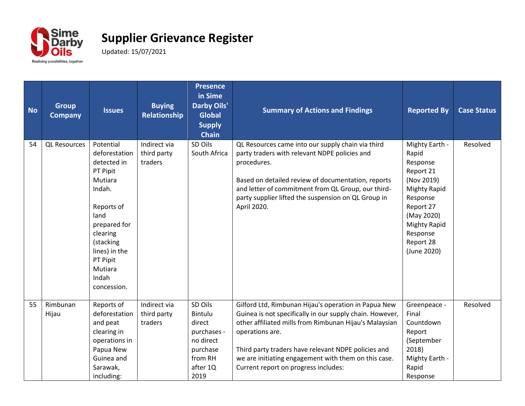

| <b>No</b> | <b>Group</b><br><b>Company</b> | <b>Issues</b>                                                                                                                                                                                             | <b>Buying</b><br>Relationship          | <b>Presence</b><br>in Sime<br><b>Darby Oils'</b><br><b>Global</b><br><b>Supply</b><br><b>Chain</b>  | <b>Summary of Actions and Findings</b>                                                                                                                                                                                                                                                                                                               | <b>Reported By</b>                                                                                                                                                                          | <b>Case Status</b> |
|-----------|--------------------------------|-----------------------------------------------------------------------------------------------------------------------------------------------------------------------------------------------------------|----------------------------------------|-----------------------------------------------------------------------------------------------------|------------------------------------------------------------------------------------------------------------------------------------------------------------------------------------------------------------------------------------------------------------------------------------------------------------------------------------------------------|---------------------------------------------------------------------------------------------------------------------------------------------------------------------------------------------|--------------------|
| 54        | <b>QL Resources</b>            | Potential<br>deforestation<br>detected in<br>PT Pipit<br>Mutiara<br>Indah.<br>Reports of<br>land<br>prepared for<br>clearing<br>(stacking<br>lines) in the<br>PT Pipit<br>Mutiara<br>Indah<br>concession. | Indirect via<br>third party<br>traders | SD Oils<br>South Africa                                                                             | QL Resources came into our supply chain via third<br>party traders with relevant NDPE policies and<br>procedures.<br>Based on detailed review of documentation, reports<br>and letter of commitment from QL Group, our third-<br>party supplier lifted the suspension on QL Group in<br>April 2020.                                                  | Mighty Earth -<br>Rapid<br>Response<br>Report 21<br>(Nov 2019)<br><b>Mighty Rapid</b><br>Response<br>Report 27<br>(May 2020)<br><b>Mighty Rapid</b><br>Response<br>Report 28<br>(June 2020) | Resolved           |
| 55        | Rimbunan<br>Hijau              | Reports of<br>deforestation<br>and peat<br>clearing in<br>operations in<br>Papua New<br>Guinea and<br>Sarawak,<br>including:                                                                              | Indirect via<br>third party<br>traders | SD Oils<br>Bintulu<br>direct<br>purchases -<br>no direct<br>purchase<br>from RH<br>after 1Q<br>2019 | Gilford Ltd, Rimbunan Hijau's operation in Papua New<br>Guinea is not specifically in our supply chain. However,<br>other affiliated mills from Rimbunan Hijau's Malaysian<br>operations are.<br>Third party traders have relevant NDPE policies and<br>we are initiating engagement with them on this case.<br>Current report on progress includes: | Greenpeace -<br>Final<br>Countdown<br>Report<br>(September<br>2018)<br>Mighty Earth -<br>Rapid<br>Response                                                                                  | Resolved           |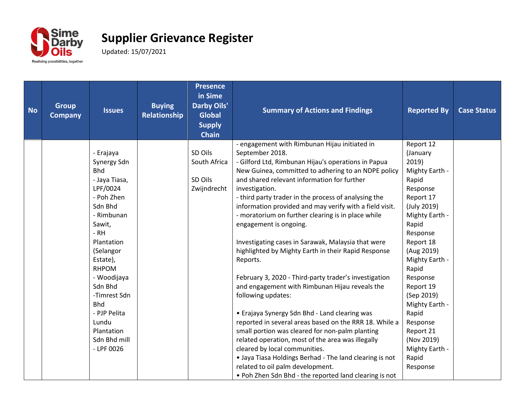

| <b>No</b> | <b>Group</b><br><b>Company</b> | <b>Issues</b> | <b>Buying</b><br>Relationship | <b>Presence</b><br>in Sime<br><b>Darby Oils'</b><br><b>Global</b><br><b>Supply</b><br><b>Chain</b> | <b>Summary of Actions and Findings</b>                  | <b>Reported By</b> | <b>Case Status</b> |
|-----------|--------------------------------|---------------|-------------------------------|----------------------------------------------------------------------------------------------------|---------------------------------------------------------|--------------------|--------------------|
|           |                                |               |                               |                                                                                                    | - engagement with Rimbunan Hijau initiated in           | Report 12          |                    |
|           |                                | - Erajaya     |                               | SD Oils                                                                                            | September 2018.                                         | (January           |                    |
|           |                                | Synergy Sdn   |                               | South Africa                                                                                       | - Gilford Ltd, Rimbunan Hijau's operations in Papua     | 2019)              |                    |
|           |                                | <b>Bhd</b>    |                               |                                                                                                    | New Guinea, committed to adhering to an NDPE policy     | Mighty Earth -     |                    |
|           |                                | - Jaya Tiasa, |                               | SD Oils                                                                                            | and shared relevant information for further             | Rapid              |                    |
|           |                                | LPF/0024      |                               | Zwijndrecht                                                                                        | investigation.                                          | Response           |                    |
|           |                                | - Poh Zhen    |                               |                                                                                                    | - third party trader in the process of analysing the    | Report 17          |                    |
|           |                                | Sdn Bhd       |                               |                                                                                                    | information provided and may verify with a field visit. | (July 2019)        |                    |
|           |                                | - Rimbunan    |                               |                                                                                                    | - moratorium on further clearing is in place while      | Mighty Earth -     |                    |
|           |                                | Sawit,        |                               |                                                                                                    | engagement is ongoing.                                  | Rapid              |                    |
|           |                                | $-RH$         |                               |                                                                                                    |                                                         | Response           |                    |
|           |                                | Plantation    |                               |                                                                                                    | Investigating cases in Sarawak, Malaysia that were      | Report 18          |                    |
|           |                                | (Selangor     |                               |                                                                                                    | highlighted by Mighty Earth in their Rapid Response     | (Aug 2019)         |                    |
|           |                                | Estate),      |                               |                                                                                                    | Reports.                                                | Mighty Earth -     |                    |
|           |                                | <b>RHPOM</b>  |                               |                                                                                                    |                                                         | Rapid              |                    |
|           |                                | - Woodijaya   |                               |                                                                                                    | February 3, 2020 - Third-party trader's investigation   | Response           |                    |
|           |                                | Sdn Bhd       |                               |                                                                                                    | and engagement with Rimbunan Hijau reveals the          | Report 19          |                    |
|           |                                | -Timrest Sdn  |                               |                                                                                                    | following updates:                                      | (Sep 2019)         |                    |
|           |                                | <b>Bhd</b>    |                               |                                                                                                    |                                                         | Mighty Earth -     |                    |
|           |                                | - PJP Pelita  |                               |                                                                                                    | • Erajaya Synergy Sdn Bhd - Land clearing was           | Rapid              |                    |
|           |                                | Lundu         |                               |                                                                                                    | reported in several areas based on the RRR 18. While a  | Response           |                    |
|           |                                | Plantation    |                               |                                                                                                    | small portion was cleared for non-palm planting         | Report 21          |                    |
|           |                                | Sdn Bhd mill  |                               |                                                                                                    | related operation, most of the area was illegally       | (Nov 2019)         |                    |
|           |                                | $-$ LPF 0026  |                               |                                                                                                    | cleared by local communities.                           | Mighty Earth -     |                    |
|           |                                |               |                               |                                                                                                    | • Jaya Tiasa Holdings Berhad - The land clearing is not | Rapid              |                    |
|           |                                |               |                               |                                                                                                    | related to oil palm development.                        | Response           |                    |
|           |                                |               |                               |                                                                                                    | . Poh Zhen Sdn Bhd - the reported land clearing is not  |                    |                    |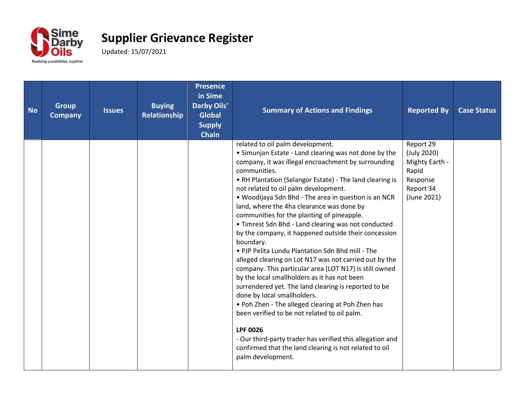

| <b>No</b> | <b>Group</b><br><b>Company</b> | <b>Issues</b> | <b>Buying</b><br><b>Relationship</b> | <b>Presence</b><br>in Sime<br><b>Darby Oils'</b><br><b>Global</b><br><b>Supply</b><br><b>Chain</b> | <b>Summary of Actions and Findings</b>                                                                                                                                                                                                                                                                                                                                                                                                                                                                                                                                                                                                                                                                                                                                                                                                                                                                                                                                                                                                                                                                                                 | <b>Reported By</b>                                                                          | <b>Case Status</b> |
|-----------|--------------------------------|---------------|--------------------------------------|----------------------------------------------------------------------------------------------------|----------------------------------------------------------------------------------------------------------------------------------------------------------------------------------------------------------------------------------------------------------------------------------------------------------------------------------------------------------------------------------------------------------------------------------------------------------------------------------------------------------------------------------------------------------------------------------------------------------------------------------------------------------------------------------------------------------------------------------------------------------------------------------------------------------------------------------------------------------------------------------------------------------------------------------------------------------------------------------------------------------------------------------------------------------------------------------------------------------------------------------------|---------------------------------------------------------------------------------------------|--------------------|
|           |                                |               |                                      |                                                                                                    | related to oil palm development.<br>• Simunjan Estate - Land clearing was not done by the<br>company, it was illegal encroachment by surrounding<br>communities.<br>• RH Plantation (Selangor Estate) - The land clearing is<br>not related to oil palm development.<br>. Woodijaya Sdn Bhd - The area in question is an NCR<br>land, where the 4ha clearance was done by<br>communities for the planting of pineapple.<br>• Timrest Sdn Bhd - Land clearing was not conducted<br>by the company, it happened outside their concession<br>boundary.<br>• PJP Pelita Lundu Plantation Sdn Bhd mill - The<br>alleged clearing on Lot N17 was not carried out by the<br>company. This particular area (LOT N17) is still owned<br>by the local smallholders as it has not been<br>surrendered yet. The land clearing is reported to be<br>done by local smallholders.<br>. Poh Zhen - The alleged clearing at Poh Zhen has<br>been verified to be not related to oil palm.<br><b>LPF 0026</b><br>- Our third-party trader has verified this allegation and<br>confirmed that the land clearing is not related to oil<br>palm development. | Report 29<br>(July 2020)<br>Mighty Earth -<br>Rapid<br>Response<br>Report 34<br>(June 2021) |                    |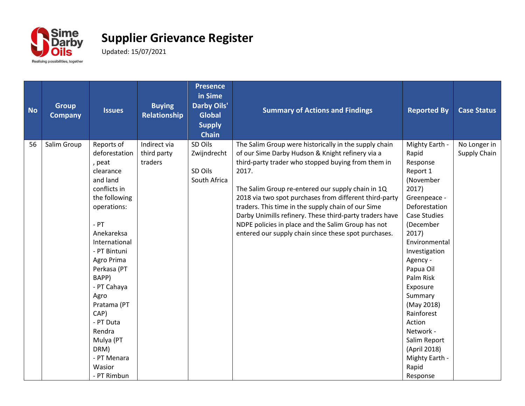

| <b>Group</b><br><b>No</b><br><b>Company</b>                                                | <b>Issues</b>                                                                                                                                                                                                                                                          | <b>Buying</b><br>Relationship          | <b>Presence</b><br>in Sime<br><b>Darby Oils'</b><br><b>Global</b><br><b>Supply</b><br><b>Chain</b> | <b>Summary of Actions and Findings</b>                                                                                                                                                                                                                                                                                                                                                                                                                                                                                 | <b>Reported By</b>                                                                                                                                                                                                                                                                                                                                                           | <b>Case Status</b>           |
|--------------------------------------------------------------------------------------------|------------------------------------------------------------------------------------------------------------------------------------------------------------------------------------------------------------------------------------------------------------------------|----------------------------------------|----------------------------------------------------------------------------------------------------|------------------------------------------------------------------------------------------------------------------------------------------------------------------------------------------------------------------------------------------------------------------------------------------------------------------------------------------------------------------------------------------------------------------------------------------------------------------------------------------------------------------------|------------------------------------------------------------------------------------------------------------------------------------------------------------------------------------------------------------------------------------------------------------------------------------------------------------------------------------------------------------------------------|------------------------------|
| Salim Group<br>56<br>, peat<br>$-$ PT<br>BAPP)<br>Agro<br>CAP)<br>Rendra<br>DRM)<br>Wasior | Reports of<br>deforestation<br>clearance<br>and land<br>conflicts in<br>the following<br>operations:<br>Anekareksa<br>International<br>- PT Bintuni<br>Agro Prima<br>Perkasa (PT<br>- PT Cahaya<br>Pratama (PT<br>- PT Duta<br>Mulya (PT<br>- PT Menara<br>- PT Rimbun | Indirect via<br>third party<br>traders | SD Oils<br>Zwijndrecht<br>SD Oils<br>South Africa                                                  | The Salim Group were historically in the supply chain<br>of our Sime Darby Hudson & Knight refinery via a<br>third-party trader who stopped buying from them in<br>2017.<br>The Salim Group re-entered our supply chain in 1Q<br>2018 via two spot purchases from different third-party<br>traders. This time in the supply chain of our Sime<br>Darby Unimills refinery. These third-party traders have<br>NDPE policies in place and the Salim Group has not<br>entered our supply chain since these spot purchases. | Mighty Earth -<br>Rapid<br>Response<br>Report 1<br>(November<br>2017)<br>Greenpeace -<br>Deforestation<br><b>Case Studies</b><br>(December<br>2017)<br>Environmental<br>Investigation<br>Agency -<br>Papua Oil<br>Palm Risk<br>Exposure<br>Summary<br>(May 2018)<br>Rainforest<br>Action<br>Network -<br>Salim Report<br>(April 2018)<br>Mighty Earth -<br>Rapid<br>Response | No Longer in<br>Supply Chain |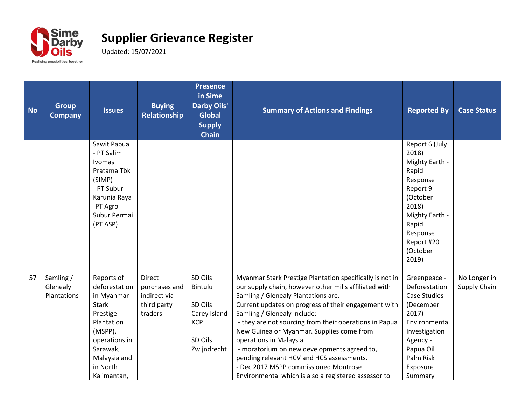

| <b>No</b> | <b>Group</b><br><b>Company</b>       | <b>Issues</b>                                                                                                                                                          | <b>Buying</b><br>Relationship                                            | <b>Presence</b><br>in Sime<br><b>Darby Oils'</b><br><b>Global</b><br><b>Supply</b><br><b>Chain</b> | <b>Summary of Actions and Findings</b>                                                                                                                                                                                                                                                                                                                                                                                                                                                                                                                                         | <b>Reported By</b>                                                                                                                                                        | <b>Case Status</b>           |
|-----------|--------------------------------------|------------------------------------------------------------------------------------------------------------------------------------------------------------------------|--------------------------------------------------------------------------|----------------------------------------------------------------------------------------------------|--------------------------------------------------------------------------------------------------------------------------------------------------------------------------------------------------------------------------------------------------------------------------------------------------------------------------------------------------------------------------------------------------------------------------------------------------------------------------------------------------------------------------------------------------------------------------------|---------------------------------------------------------------------------------------------------------------------------------------------------------------------------|------------------------------|
|           |                                      | Sawit Papua<br>- PT Salim<br>Ivomas<br>Pratama Tbk<br>(SIMP)<br>- PT Subur<br>Karunia Raya<br>-PT Agro<br>Subur Permai<br>(PT ASP)                                     |                                                                          |                                                                                                    |                                                                                                                                                                                                                                                                                                                                                                                                                                                                                                                                                                                | Report 6 (July<br>2018)<br>Mighty Earth -<br>Rapid<br>Response<br>Report 9<br>(October<br>2018)<br>Mighty Earth -<br>Rapid<br>Response<br>Report #20<br>(October<br>2019) |                              |
| 57        | Samling /<br>Glenealy<br>Plantations | Reports of<br>deforestation<br>in Myanmar<br><b>Stark</b><br>Prestige<br>Plantation<br>(MSPP),<br>operations in<br>Sarawak,<br>Malaysia and<br>in North<br>Kalimantan, | <b>Direct</b><br>purchases and<br>indirect via<br>third party<br>traders | SD Oils<br>Bintulu<br>SD Oils<br>Carey Island<br><b>KCP</b><br>SD Oils<br>Zwijndrecht              | Myanmar Stark Prestige Plantation specifically is not in<br>our supply chain, however other mills affiliated with<br>Samling / Glenealy Plantations are.<br>Current updates on progress of their engagement with<br>Samling / Glenealy include:<br>- they are not sourcing from their operations in Papua<br>New Guinea or Myanmar. Supplies come from<br>operations in Malaysia.<br>- moratorium on new developments agreed to,<br>pending relevant HCV and HCS assessments.<br>- Dec 2017 MSPP commissioned Montrose<br>Environmental which is also a registered assessor to | Greenpeace -<br>Deforestation<br><b>Case Studies</b><br>(December<br>2017)<br>Environmental<br>Investigation<br>Agency -<br>Papua Oil<br>Palm Risk<br>Exposure<br>Summary | No Longer in<br>Supply Chain |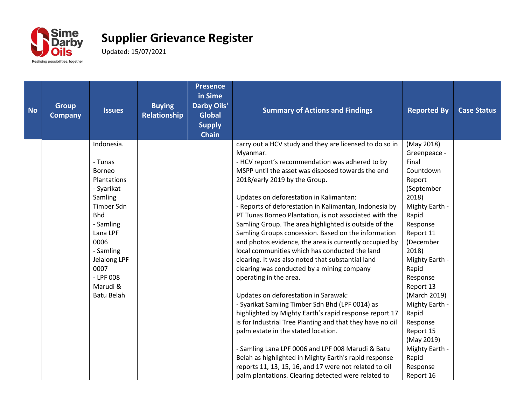

| <b>No</b> | <b>Group</b><br><b>Company</b> | <b>Issues</b>     | <b>Buying</b><br>Relationship | <b>Presence</b><br>in Sime<br><b>Darby Oils'</b><br><b>Global</b><br><b>Supply</b><br><b>Chain</b> | <b>Summary of Actions and Findings</b>                    | <b>Reported By</b> | <b>Case Status</b> |
|-----------|--------------------------------|-------------------|-------------------------------|----------------------------------------------------------------------------------------------------|-----------------------------------------------------------|--------------------|--------------------|
|           |                                | Indonesia.        |                               |                                                                                                    | carry out a HCV study and they are licensed to do so in   | (May 2018)         |                    |
|           |                                |                   |                               |                                                                                                    | Myanmar.                                                  | Greenpeace -       |                    |
|           |                                | - Tunas           |                               |                                                                                                    | - HCV report's recommendation was adhered to by           | Final              |                    |
|           |                                | <b>Borneo</b>     |                               |                                                                                                    | MSPP until the asset was disposed towards the end         | Countdown          |                    |
|           |                                | Plantations       |                               |                                                                                                    | 2018/early 2019 by the Group.                             | Report             |                    |
|           |                                | - Syarikat        |                               |                                                                                                    |                                                           | (September         |                    |
|           |                                | Samling           |                               |                                                                                                    | Updates on deforestation in Kalimantan:                   | 2018)              |                    |
|           |                                | <b>Timber Sdn</b> |                               |                                                                                                    | - Reports of deforestation in Kalimantan, Indonesia by    | Mighty Earth -     |                    |
|           |                                | <b>Bhd</b>        |                               |                                                                                                    | PT Tunas Borneo Plantation, is not associated with the    | Rapid              |                    |
|           |                                | - Samling         |                               |                                                                                                    | Samling Group. The area highlighted is outside of the     | Response           |                    |
|           |                                | Lana LPF          |                               |                                                                                                    | Samling Groups concession. Based on the information       | Report 11          |                    |
|           |                                | 0006              |                               |                                                                                                    | and photos evidence, the area is currently occupied by    | (December          |                    |
|           |                                | - Samling         |                               |                                                                                                    | local communities which has conducted the land            | 2018)              |                    |
|           |                                | Jelalong LPF      |                               |                                                                                                    | clearing. It was also noted that substantial land         | Mighty Earth -     |                    |
|           |                                | 0007              |                               |                                                                                                    | clearing was conducted by a mining company                | Rapid              |                    |
|           |                                | $-$ LPF 008       |                               |                                                                                                    | operating in the area.                                    | Response           |                    |
|           |                                | Marudi &          |                               |                                                                                                    |                                                           | Report 13          |                    |
|           |                                | <b>Batu Belah</b> |                               |                                                                                                    | Updates on deforestation in Sarawak:                      | (March 2019)       |                    |
|           |                                |                   |                               |                                                                                                    | - Syarikat Samling Timber Sdn Bhd (LPF 0014) as           | Mighty Earth -     |                    |
|           |                                |                   |                               |                                                                                                    | highlighted by Mighty Earth's rapid response report 17    | Rapid              |                    |
|           |                                |                   |                               |                                                                                                    | is for Industrial Tree Planting and that they have no oil | Response           |                    |
|           |                                |                   |                               |                                                                                                    | palm estate in the stated location.                       | Report 15          |                    |
|           |                                |                   |                               |                                                                                                    |                                                           | (May 2019)         |                    |
|           |                                |                   |                               |                                                                                                    | - Samling Lana LPF 0006 and LPF 008 Marudi & Batu         | Mighty Earth -     |                    |
|           |                                |                   |                               |                                                                                                    | Belah as highlighted in Mighty Earth's rapid response     | Rapid              |                    |
|           |                                |                   |                               |                                                                                                    | reports 11, 13, 15, 16, and 17 were not related to oil    | Response           |                    |
|           |                                |                   |                               |                                                                                                    | palm plantations. Clearing detected were related to       | Report 16          |                    |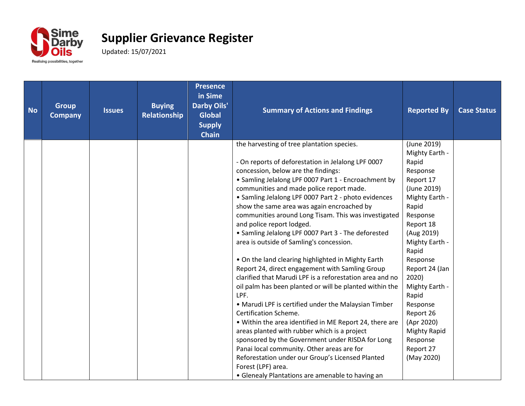

| <b>No</b> | <b>Group</b><br><b>Company</b> | <b>Issues</b> | <b>Buying</b><br><b>Relationship</b> | <b>Presence</b><br>in Sime<br>Darby Oils'<br><b>Global</b><br><b>Supply</b><br><b>Chain</b> | <b>Summary of Actions and Findings</b>                                                                                                                                                                                                                                                                                                                                                                                                                                                                                                                                                                                                                                                                                                                                                                                                                                                                                                                                                                                                                                                                                                                                                                        | <b>Reported By</b>                                                                                                                                                                                                                                                                                                                                 | <b>Case Status</b> |
|-----------|--------------------------------|---------------|--------------------------------------|---------------------------------------------------------------------------------------------|---------------------------------------------------------------------------------------------------------------------------------------------------------------------------------------------------------------------------------------------------------------------------------------------------------------------------------------------------------------------------------------------------------------------------------------------------------------------------------------------------------------------------------------------------------------------------------------------------------------------------------------------------------------------------------------------------------------------------------------------------------------------------------------------------------------------------------------------------------------------------------------------------------------------------------------------------------------------------------------------------------------------------------------------------------------------------------------------------------------------------------------------------------------------------------------------------------------|----------------------------------------------------------------------------------------------------------------------------------------------------------------------------------------------------------------------------------------------------------------------------------------------------------------------------------------------------|--------------------|
|           |                                |               |                                      |                                                                                             | the harvesting of tree plantation species.<br>- On reports of deforestation in Jelalong LPF 0007<br>concession, below are the findings:<br>• Samling Jelalong LPF 0007 Part 1 - Encroachment by<br>communities and made police report made.<br>• Samling Jelalong LPF 0007 Part 2 - photo evidences<br>show the same area was again encroached by<br>communities around Long Tisam. This was investigated<br>and police report lodged.<br>• Samling Jelalong LPF 0007 Part 3 - The deforested<br>area is outside of Samling's concession.<br>• On the land clearing highlighted in Mighty Earth<br>Report 24, direct engagement with Samling Group<br>clarified that Marudi LPF is a reforestation area and no<br>oil palm has been planted or will be planted within the<br>LPF.<br>• Marudi LPF is certified under the Malaysian Timber<br>Certification Scheme.<br>. Within the area identified in ME Report 24, there are<br>areas planted with rubber which is a project<br>sponsored by the Government under RISDA for Long<br>Panai local community. Other areas are for<br>Reforestation under our Group's Licensed Planted<br>Forest (LPF) area.<br>• Glenealy Plantations are amenable to having an | (June 2019)<br>Mighty Earth -<br>Rapid<br>Response<br>Report 17<br>(June 2019)<br>Mighty Earth -<br>Rapid<br>Response<br>Report 18<br>(Aug 2019)<br>Mighty Earth -<br>Rapid<br>Response<br>Report 24 (Jan<br>2020)<br>Mighty Earth -<br>Rapid<br>Response<br>Report 26<br>(Apr 2020)<br><b>Mighty Rapid</b><br>Response<br>Report 27<br>(May 2020) |                    |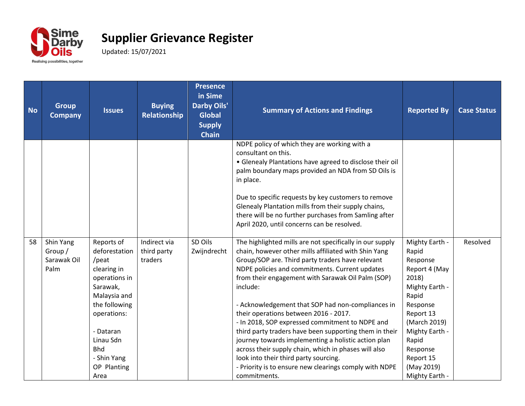

| <b>No</b> | <b>Group</b><br><b>Company</b>              | <b>Issues</b>                                                                                                                                                                                                  | <b>Buying</b><br>Relationship          | <b>Presence</b><br>in Sime<br><b>Darby Oils'</b><br><b>Global</b><br><b>Supply</b><br><b>Chain</b> | <b>Summary of Actions and Findings</b>                                                                                                                                                                                                                                                                                                                                                                                                                                                                                                                                                                                                                                                                                               | <b>Reported By</b>                                                                                                                                                                                                    | <b>Case Status</b> |
|-----------|---------------------------------------------|----------------------------------------------------------------------------------------------------------------------------------------------------------------------------------------------------------------|----------------------------------------|----------------------------------------------------------------------------------------------------|--------------------------------------------------------------------------------------------------------------------------------------------------------------------------------------------------------------------------------------------------------------------------------------------------------------------------------------------------------------------------------------------------------------------------------------------------------------------------------------------------------------------------------------------------------------------------------------------------------------------------------------------------------------------------------------------------------------------------------------|-----------------------------------------------------------------------------------------------------------------------------------------------------------------------------------------------------------------------|--------------------|
|           |                                             |                                                                                                                                                                                                                |                                        |                                                                                                    | NDPE policy of which they are working with a<br>consultant on this.<br>• Glenealy Plantations have agreed to disclose their oil<br>palm boundary maps provided an NDA from SD Oils is<br>in place.<br>Due to specific requests by key customers to remove<br>Glenealy Plantation mills from their supply chains,<br>there will be no further purchases from Samling after<br>April 2020, until concerns can be resolved.                                                                                                                                                                                                                                                                                                             |                                                                                                                                                                                                                       |                    |
| 58        | Shin Yang<br>Group /<br>Sarawak Oil<br>Palm | Reports of<br>deforestation<br>/peat<br>clearing in<br>operations in<br>Sarawak,<br>Malaysia and<br>the following<br>operations:<br>- Dataran<br>Linau Sdn<br><b>Bhd</b><br>- Shin Yang<br>OP Planting<br>Area | Indirect via<br>third party<br>traders | SD Oils<br>Zwijndrecht                                                                             | The highlighted mills are not specifically in our supply<br>chain, however other mills affiliated with Shin Yang<br>Group/SOP are. Third party traders have relevant<br>NDPE policies and commitments. Current updates<br>from their engagement with Sarawak Oil Palm (SOP)<br>include:<br>- Acknowledgement that SOP had non-compliances in<br>their operations between 2016 - 2017.<br>- In 2018, SOP expressed commitment to NDPE and<br>third party traders have been supporting them in their<br>journey towards implementing a holistic action plan<br>across their supply chain, which in phases will also<br>look into their third party sourcing.<br>- Priority is to ensure new clearings comply with NDPE<br>commitments. | Mighty Earth -<br>Rapid<br>Response<br>Report 4 (May<br>2018)<br>Mighty Earth -<br>Rapid<br>Response<br>Report 13<br>(March 2019)<br>Mighty Earth -<br>Rapid<br>Response<br>Report 15<br>(May 2019)<br>Mighty Earth - | Resolved           |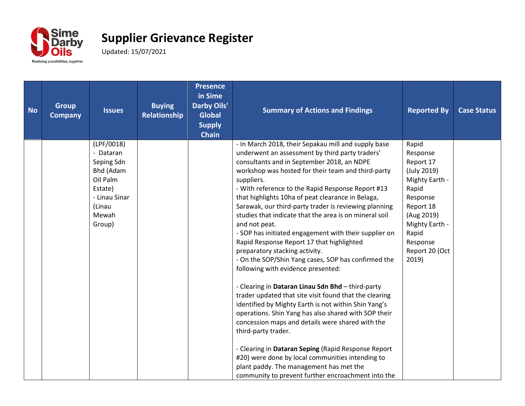

| <b>No</b> | <b>Group</b><br><b>Company</b> | <b>Issues</b>                                                                                                           | <b>Buying</b><br>Relationship | <b>Presence</b><br>in Sime<br><b>Darby Oils'</b><br><b>Global</b><br><b>Supply</b><br><b>Chain</b> | <b>Summary of Actions and Findings</b>                                                                                                                                                                                                                                                                                                                                                                                                                                                                                                                                                                                                                                                                                                                                                                                                                                                                                                                                                                                                                                                                                                                                                                                            | <b>Reported By</b>                                                                                                                                                                | <b>Case Status</b> |
|-----------|--------------------------------|-------------------------------------------------------------------------------------------------------------------------|-------------------------------|----------------------------------------------------------------------------------------------------|-----------------------------------------------------------------------------------------------------------------------------------------------------------------------------------------------------------------------------------------------------------------------------------------------------------------------------------------------------------------------------------------------------------------------------------------------------------------------------------------------------------------------------------------------------------------------------------------------------------------------------------------------------------------------------------------------------------------------------------------------------------------------------------------------------------------------------------------------------------------------------------------------------------------------------------------------------------------------------------------------------------------------------------------------------------------------------------------------------------------------------------------------------------------------------------------------------------------------------------|-----------------------------------------------------------------------------------------------------------------------------------------------------------------------------------|--------------------|
|           |                                | (LPF/0018)<br>- Dataran<br>Seping Sdn<br>Bhd (Adam<br>Oil Palm<br>Estate)<br>- Linau Sinar<br>(Linau<br>Mewah<br>Group) |                               |                                                                                                    | - In March 2018, their Sepakau mill and supply base<br>underwent an assessment by third party traders'<br>consultants and in September 2018, an NDPE<br>workshop was hosted for their team and third-party<br>suppliers.<br>- With reference to the Rapid Response Report #13<br>that highlights 10ha of peat clearance in Belaga,<br>Sarawak, our third-party trader is reviewing planning<br>studies that indicate that the area is on mineral soil<br>and not peat.<br>- SOP has initiated engagement with their supplier on<br>Rapid Response Report 17 that highlighted<br>preparatory stacking activity.<br>- On the SOP/Shin Yang cases, SOP has confirmed the<br>following with evidence presented:<br>- Clearing in Dataran Linau Sdn Bhd - third-party<br>trader updated that site visit found that the clearing<br>identified by Mighty Earth is not within Shin Yang's<br>operations. Shin Yang has also shared with SOP their<br>concession maps and details were shared with the<br>third-party trader.<br>- Clearing in Dataran Seping (Rapid Response Report<br>#20) were done by local communities intending to<br>plant paddy. The management has met the<br>community to prevent further encroachment into the | Rapid<br>Response<br>Report 17<br>(July 2019)<br>Mighty Earth -<br>Rapid<br>Response<br>Report 18<br>(Aug 2019)<br>Mighty Earth -<br>Rapid<br>Response<br>Report 20 (Oct<br>2019) |                    |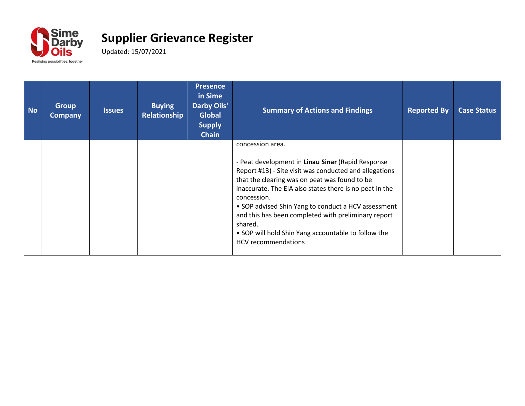

| <b>No</b> | <b>Group</b><br><b>Company</b> | <b>Issues</b> | <b>Buying</b><br><b>Relationship</b> | <b>Presence</b><br>in Sime<br><b>Darby Oils'</b><br><b>Global</b><br><b>Supply</b><br><b>Chain</b> | <b>Summary of Actions and Findings</b>                                                                                                                                                                                                                                                                                                                                                                                                                                   | <b>Reported By</b> | <b>Case Status</b> |
|-----------|--------------------------------|---------------|--------------------------------------|----------------------------------------------------------------------------------------------------|--------------------------------------------------------------------------------------------------------------------------------------------------------------------------------------------------------------------------------------------------------------------------------------------------------------------------------------------------------------------------------------------------------------------------------------------------------------------------|--------------------|--------------------|
|           |                                |               |                                      |                                                                                                    | concession area.<br>- Peat development in Linau Sinar (Rapid Response<br>Report #13) - Site visit was conducted and allegations<br>that the clearing was on peat was found to be<br>inaccurate. The EIA also states there is no peat in the<br>concession.<br>• SOP advised Shin Yang to conduct a HCV assessment<br>and this has been completed with preliminary report<br>shared.<br>• SOP will hold Shin Yang accountable to follow the<br><b>HCV</b> recommendations |                    |                    |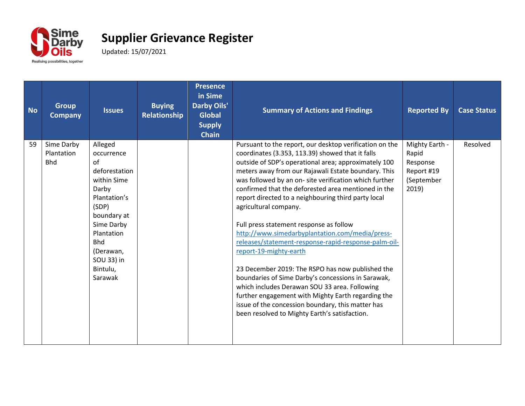

| <b>No</b> | <b>Group</b><br><b>Company</b>         | <b>Issues</b>                                                                                                                                                                                            | <b>Buying</b><br><b>Relationship</b> | <b>Presence</b><br>in Sime<br><b>Darby Oils'</b><br><b>Global</b><br><b>Supply</b><br><b>Chain</b> | <b>Summary of Actions and Findings</b>                                                                                                                                                                                                                                                                                                                                                                                                                                                                                                                                                                                                                                                                                                                                                                                                                                                                                             | <b>Reported By</b>                                                       | <b>Case Status</b> |
|-----------|----------------------------------------|----------------------------------------------------------------------------------------------------------------------------------------------------------------------------------------------------------|--------------------------------------|----------------------------------------------------------------------------------------------------|------------------------------------------------------------------------------------------------------------------------------------------------------------------------------------------------------------------------------------------------------------------------------------------------------------------------------------------------------------------------------------------------------------------------------------------------------------------------------------------------------------------------------------------------------------------------------------------------------------------------------------------------------------------------------------------------------------------------------------------------------------------------------------------------------------------------------------------------------------------------------------------------------------------------------------|--------------------------------------------------------------------------|--------------------|
| 59        | Sime Darby<br>Plantation<br><b>Bhd</b> | Alleged<br>occurrence<br>of<br>deforestation<br>within Sime<br>Darby<br>Plantation's<br>(SDP)<br>boundary at<br>Sime Darby<br>Plantation<br><b>Bhd</b><br>(Derawan,<br>SOU 33) in<br>Bintulu,<br>Sarawak |                                      |                                                                                                    | Pursuant to the report, our desktop verification on the<br>coordinates (3.353, 113.39) showed that it falls<br>outside of SDP's operational area; approximately 100<br>meters away from our Rajawali Estate boundary. This<br>was followed by an on- site verification which further<br>confirmed that the deforested area mentioned in the<br>report directed to a neighbouring third party local<br>agricultural company.<br>Full press statement response as follow<br>http://www.simedarbyplantation.com/media/press-<br>releases/statement-response-rapid-response-palm-oil-<br>report-19-mighty-earth<br>23 December 2019: The RSPO has now published the<br>boundaries of Sime Darby's concessions in Sarawak,<br>which includes Derawan SOU 33 area. Following<br>further engagement with Mighty Earth regarding the<br>issue of the concession boundary, this matter has<br>been resolved to Mighty Earth's satisfaction. | Mighty Earth -<br>Rapid<br>Response<br>Report #19<br>(September<br>2019) | Resolved           |
|           |                                        |                                                                                                                                                                                                          |                                      |                                                                                                    |                                                                                                                                                                                                                                                                                                                                                                                                                                                                                                                                                                                                                                                                                                                                                                                                                                                                                                                                    |                                                                          |                    |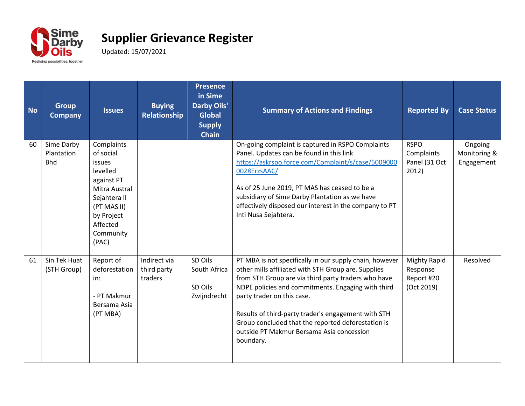

| <b>No</b> | <b>Group</b><br><b>Company</b>         | <b>Issues</b>                                                                                                                                               | <b>Buying</b><br>Relationship          | <b>Presence</b><br>in Sime<br><b>Darby Oils'</b><br><b>Global</b><br><b>Supply</b><br><b>Chain</b> | <b>Summary of Actions and Findings</b>                                                                                                                                                                                                                                                                                                                                                                                           | <b>Reported By</b>                                          | <b>Case Status</b>                    |
|-----------|----------------------------------------|-------------------------------------------------------------------------------------------------------------------------------------------------------------|----------------------------------------|----------------------------------------------------------------------------------------------------|----------------------------------------------------------------------------------------------------------------------------------------------------------------------------------------------------------------------------------------------------------------------------------------------------------------------------------------------------------------------------------------------------------------------------------|-------------------------------------------------------------|---------------------------------------|
| 60        | Sime Darby<br>Plantation<br><b>Bhd</b> | Complaints<br>of social<br>issues<br>levelled<br>against PT<br>Mitra Austral<br>Sejahtera II<br>(PT MAS II)<br>by Project<br>Affected<br>Community<br>(PAC) |                                        |                                                                                                    | On-going complaint is captured in RSPO Complaints<br>Panel. Updates can be found in this link<br>https://askrspo.force.com/Complaint/s/case/5009000<br>0028ErzsAAC/<br>As of 25 June 2019, PT MAS has ceased to be a<br>subsidiary of Sime Darby Plantation as we have<br>effectively disposed our interest in the company to PT<br>Inti Nusa Sejahtera.                                                                         | <b>RSPO</b><br>Complaints<br>Panel (31 Oct<br>2012)         | Ongoing<br>Monitoring &<br>Engagement |
| 61        | Sin Tek Huat<br>(STH Group)            | Report of<br>deforestation<br>in:<br>- PT Makmur<br>Bersama Asia<br>(PT MBA)                                                                                | Indirect via<br>third party<br>traders | SD Oils<br>South Africa<br>SD Oils<br>Zwijndrecht                                                  | PT MBA is not specifically in our supply chain, however<br>other mills affiliated with STH Group are. Supplies<br>from STH Group are via third party traders who have<br>NDPE policies and commitments. Engaging with third<br>party trader on this case.<br>Results of third-party trader's engagement with STH<br>Group concluded that the reported deforestation is<br>outside PT Makmur Bersama Asia concession<br>boundary. | <b>Mighty Rapid</b><br>Response<br>Report #20<br>(Oct 2019) | Resolved                              |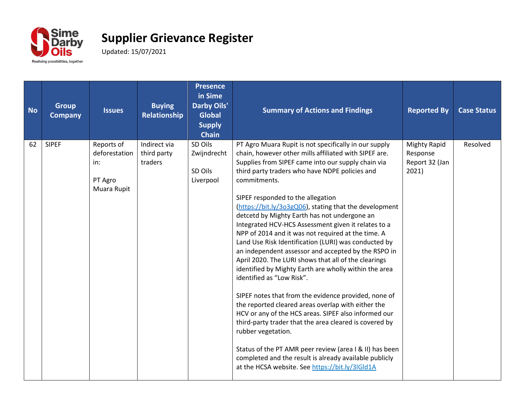

| <b>No</b> | <b>Group</b><br><b>Company</b> | <b>Issues</b>                                                | <b>Buying</b><br>Relationship          | <b>Presence</b><br>in Sime<br><b>Darby Oils'</b><br><b>Global</b><br><b>Supply</b><br><b>Chain</b> | <b>Summary of Actions and Findings</b>                                                                                                                                                                                                                                                                                                                                                                                                                                                                                                                                                                                                                                                                                                                                                                                                                                                                                                                                                                                                                                                                                                                                                        | <b>Reported By</b>                                         | <b>Case Status</b> |
|-----------|--------------------------------|--------------------------------------------------------------|----------------------------------------|----------------------------------------------------------------------------------------------------|-----------------------------------------------------------------------------------------------------------------------------------------------------------------------------------------------------------------------------------------------------------------------------------------------------------------------------------------------------------------------------------------------------------------------------------------------------------------------------------------------------------------------------------------------------------------------------------------------------------------------------------------------------------------------------------------------------------------------------------------------------------------------------------------------------------------------------------------------------------------------------------------------------------------------------------------------------------------------------------------------------------------------------------------------------------------------------------------------------------------------------------------------------------------------------------------------|------------------------------------------------------------|--------------------|
| 62        | <b>SIPEF</b>                   | Reports of<br>deforestation<br>in:<br>PT Agro<br>Muara Rupit | Indirect via<br>third party<br>traders | SD Oils<br>Zwijndrecht<br>SD Oils<br>Liverpool                                                     | PT Agro Muara Rupit is not specifically in our supply<br>chain, however other mills affiliated with SIPEF are.<br>Supplies from SIPEF came into our supply chain via<br>third party traders who have NDPE policies and<br>commitments.<br>SIPEF responded to the allegation<br>(https://bit.ly/3o3gQ06), stating that the development<br>detcetd by Mighty Earth has not undergone an<br>Integrated HCV-HCS Assessment given it relates to a<br>NPP of 2014 and it was not required at the time. A<br>Land Use Risk Identification (LURI) was conducted by<br>an independent assessor and accepted by the RSPO in<br>April 2020. The LURI shows that all of the clearings<br>identified by Mighty Earth are wholly within the area<br>identified as "Low Risk".<br>SIPEF notes that from the evidence provided, none of<br>the reported cleared areas overlap with either the<br>HCV or any of the HCS areas. SIPEF also informed our<br>third-party trader that the area cleared is covered by<br>rubber vegetation.<br>Status of the PT AMR peer review (area I & II) has been<br>completed and the result is already available publicly<br>at the HCSA website. See https://bit.ly/3lGld1A | <b>Mighty Rapid</b><br>Response<br>Report 32 (Jan<br>2021) | Resolved           |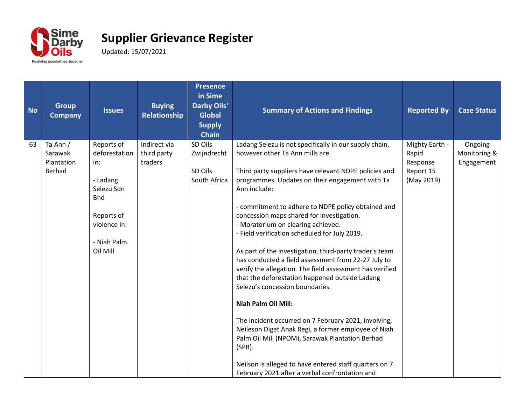

| <b>No</b> | <b>Group</b><br><b>Company</b>              | <b>Issues</b>                                                                                                                       | <b>Buying</b><br><b>Relationship</b>   | <b>Presence</b><br>in Sime<br><b>Darby Oils'</b><br><b>Global</b><br><b>Supply</b><br><b>Chain</b> | <b>Summary of Actions and Findings</b>                                                                                                                                                                                                                                                                                                                                                                                                                                                                                                                                                                                                                                                                                                                                                                                                                                                                                                                                                                      | <b>Reported By</b>                                             | <b>Case Status</b>                    |
|-----------|---------------------------------------------|-------------------------------------------------------------------------------------------------------------------------------------|----------------------------------------|----------------------------------------------------------------------------------------------------|-------------------------------------------------------------------------------------------------------------------------------------------------------------------------------------------------------------------------------------------------------------------------------------------------------------------------------------------------------------------------------------------------------------------------------------------------------------------------------------------------------------------------------------------------------------------------------------------------------------------------------------------------------------------------------------------------------------------------------------------------------------------------------------------------------------------------------------------------------------------------------------------------------------------------------------------------------------------------------------------------------------|----------------------------------------------------------------|---------------------------------------|
| 63        | Ta Ann /<br>Sarawak<br>Plantation<br>Berhad | Reports of<br>deforestation<br>in:<br>- Ladang<br>Selezu Sdn<br><b>Bhd</b><br>Reports of<br>violence in:<br>- Niah Palm<br>Oil Mill | Indirect via<br>third party<br>traders | SD Oils<br>Zwijndrecht<br>SD Oils<br>South Africa                                                  | Ladang Selezu is not specifically in our supply chain,<br>however other Ta Ann mills are.<br>Third party suppliers have relevant NDPE policies and<br>programmes. Updates on their engagement with Ta<br>Ann include:<br>- commitment to adhere to NDPE policy obtained and<br>concession maps shared for investigation.<br>- Moratorium on clearing achieved.<br>- Field verification scheduled for July 2019.<br>As part of the investigation, third-party trader's team<br>has conducted a field assessment from 22-27 July to<br>verify the allegation. The field assessment has verified<br>that the deforestation happened outside Ladang<br>Selezu's concession boundaries.<br><b>Niah Palm Oil Mill:</b><br>The incident occurred on 7 February 2021, involving,<br>Neileson Digat Anak Regi, a former employee of Niah<br>Palm Oil Mill (NPOM), Sarawak Plantation Berhad<br>$(SPB)$ .<br>Neilson is alleged to have entered staff quarters on 7<br>February 2021 after a verbal confrontation and | Mighty Earth -<br>Rapid<br>Response<br>Report 15<br>(May 2019) | Ongoing<br>Monitoring &<br>Engagement |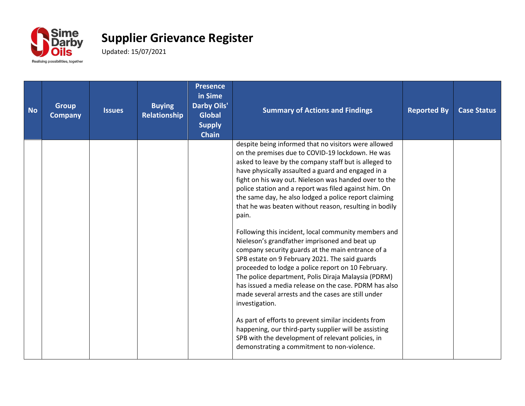

| <b>No</b> | <b>Group</b><br><b>Company</b> | <b>Issues</b> | <b>Buying</b><br><b>Relationship</b> | <b>Presence</b><br>in Sime<br><b>Darby Oils'</b><br><b>Global</b><br><b>Supply</b><br><b>Chain</b> | <b>Summary of Actions and Findings</b>                                                                                                                                                                                                                                                                                                                                                                                                                                                                                                                                                                                                                                                                                                                                                                                                                                                                                                                                                                                                                                                                                                                   | <b>Reported By</b> | <b>Case Status</b> |
|-----------|--------------------------------|---------------|--------------------------------------|----------------------------------------------------------------------------------------------------|----------------------------------------------------------------------------------------------------------------------------------------------------------------------------------------------------------------------------------------------------------------------------------------------------------------------------------------------------------------------------------------------------------------------------------------------------------------------------------------------------------------------------------------------------------------------------------------------------------------------------------------------------------------------------------------------------------------------------------------------------------------------------------------------------------------------------------------------------------------------------------------------------------------------------------------------------------------------------------------------------------------------------------------------------------------------------------------------------------------------------------------------------------|--------------------|--------------------|
|           |                                |               |                                      |                                                                                                    | despite being informed that no visitors were allowed<br>on the premises due to COVID-19 lockdown. He was<br>asked to leave by the company staff but is alleged to<br>have physically assaulted a guard and engaged in a<br>fight on his way out. Nieleson was handed over to the<br>police station and a report was filed against him. On<br>the same day, he also lodged a police report claiming<br>that he was beaten without reason, resulting in bodily<br>pain.<br>Following this incident, local community members and<br>Nieleson's grandfather imprisoned and beat up<br>company security guards at the main entrance of a<br>SPB estate on 9 February 2021. The said guards<br>proceeded to lodge a police report on 10 February.<br>The police department, Polis Diraja Malaysia (PDRM)<br>has issued a media release on the case. PDRM has also<br>made several arrests and the cases are still under<br>investigation.<br>As part of efforts to prevent similar incidents from<br>happening, our third-party supplier will be assisting<br>SPB with the development of relevant policies, in<br>demonstrating a commitment to non-violence. |                    |                    |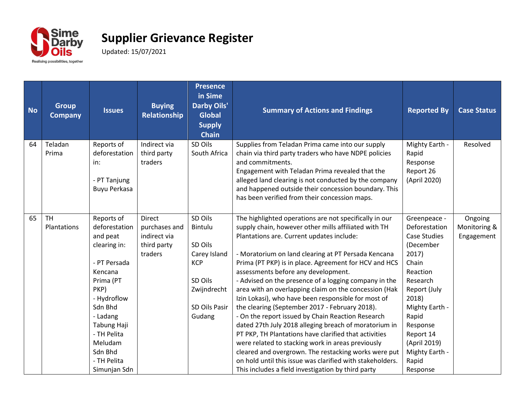

| <b>No</b> | <b>Group</b><br><b>Company</b> | <b>Issues</b>                                                                                                                                                                                                                    | <b>Buying</b><br><b>Relationship</b>                              | <b>Presence</b><br>in Sime<br><b>Darby Oils'</b><br><b>Global</b><br><b>Supply</b><br><b>Chain</b>               | <b>Summary of Actions and Findings</b>                                                                                                                                                                                                                                                                                                                                                                                                                                                                                                                                                                                                                                                                                                                                                                                                                                                                                                               | <b>Reported By</b>                                                                                                                                                                                                                              | <b>Case Status</b>                    |
|-----------|--------------------------------|----------------------------------------------------------------------------------------------------------------------------------------------------------------------------------------------------------------------------------|-------------------------------------------------------------------|------------------------------------------------------------------------------------------------------------------|------------------------------------------------------------------------------------------------------------------------------------------------------------------------------------------------------------------------------------------------------------------------------------------------------------------------------------------------------------------------------------------------------------------------------------------------------------------------------------------------------------------------------------------------------------------------------------------------------------------------------------------------------------------------------------------------------------------------------------------------------------------------------------------------------------------------------------------------------------------------------------------------------------------------------------------------------|-------------------------------------------------------------------------------------------------------------------------------------------------------------------------------------------------------------------------------------------------|---------------------------------------|
| 64        | Teladan<br>Prima               | Reports of<br>deforestation<br>in:<br>- PT Tanjung<br>Buyu Perkasa                                                                                                                                                               | Indirect via<br>third party<br>traders                            | SD Oils<br>South Africa                                                                                          | Supplies from Teladan Prima came into our supply<br>chain via third party traders who have NDPE policies<br>and commitments.<br>Engagement with Teladan Prima revealed that the<br>alleged land clearing is not conducted by the company<br>and happened outside their concession boundary. This<br>has been verified from their concession maps.                                                                                                                                                                                                                                                                                                                                                                                                                                                                                                                                                                                                    | Mighty Earth -<br>Rapid<br>Response<br>Report 26<br>(April 2020)                                                                                                                                                                                | Resolved                              |
| 65        | <b>TH</b><br>Plantations       | Reports of<br>deforestation<br>and peat<br>clearing in:<br>- PT Persada<br>Kencana<br>Prima (PT<br>PKP)<br>- Hydroflow<br>Sdn Bhd<br>- Ladang<br>Tabung Haji<br>- TH Pelita<br>Meludam<br>Sdn Bhd<br>- TH Pelita<br>Simunjan Sdn | Direct<br>purchases and<br>indirect via<br>third party<br>traders | SD Oils<br>Bintulu<br>SD Oils<br>Carey Island<br><b>KCP</b><br>SD Oils<br>Zwijndrecht<br>SD Oils Pasir<br>Gudang | The highlighted operations are not specifically in our<br>supply chain, however other mills affiliated with TH<br>Plantations are. Current updates include:<br>- Moratorium on land clearing at PT Persada Kencana<br>Prima (PT PKP) is in place. Agreement for HCV and HCS<br>assessments before any development.<br>- Advised on the presence of a logging company in the<br>area with an overlapping claim on the concession (Hak<br>Izin Lokasi), who have been responsible for most of<br>the clearing (September 2017 - February 2018).<br>- On the report issued by Chain Reaction Research<br>dated 27th July 2018 alleging breach of moratorium in<br>PT PKP, TH Plantations have clarified that activities<br>were related to stacking work in areas previously<br>cleared and overgrown. The restacking works were put<br>on hold until this issue was clarified with stakeholders.<br>This includes a field investigation by third party | Greenpeace -<br>Deforestation<br><b>Case Studies</b><br>(December<br>2017)<br>Chain<br>Reaction<br>Research<br>Report (July<br>2018)<br>Mighty Earth -<br>Rapid<br>Response<br>Report 14<br>(April 2019)<br>Mighty Earth -<br>Rapid<br>Response | Ongoing<br>Monitoring &<br>Engagement |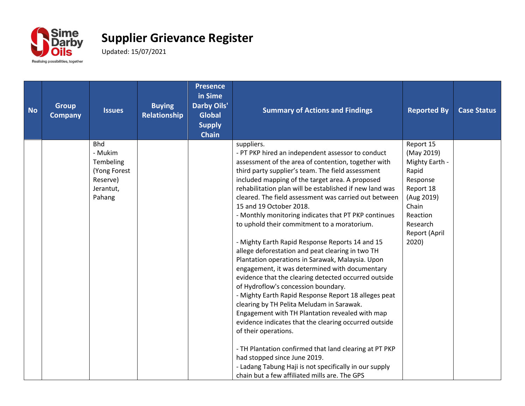

| <b>Group</b><br><b>Company</b> | <b>Issues</b> | <b>Buying</b><br>Relationship                     | <b>Presence</b><br>in Sime<br><b>Darby Oils'</b><br><b>Global</b><br><b>Supply</b><br><b>Chain</b> | <b>Summary of Actions and Findings</b>                  | <b>Reported By</b>                                                                                                                                                                                                                                                                                                                                                                                                                                                                                                                                                                                                                                                                                                                                                                                                                          | <b>Case Status</b>                                                               |
|--------------------------------|---------------|---------------------------------------------------|----------------------------------------------------------------------------------------------------|---------------------------------------------------------|---------------------------------------------------------------------------------------------------------------------------------------------------------------------------------------------------------------------------------------------------------------------------------------------------------------------------------------------------------------------------------------------------------------------------------------------------------------------------------------------------------------------------------------------------------------------------------------------------------------------------------------------------------------------------------------------------------------------------------------------------------------------------------------------------------------------------------------------|----------------------------------------------------------------------------------|
|                                | - Mukim       |                                                   |                                                                                                    | - PT PKP hired an independent assessor to conduct       | (May 2019)                                                                                                                                                                                                                                                                                                                                                                                                                                                                                                                                                                                                                                                                                                                                                                                                                                  |                                                                                  |
|                                |               |                                                   |                                                                                                    |                                                         |                                                                                                                                                                                                                                                                                                                                                                                                                                                                                                                                                                                                                                                                                                                                                                                                                                             |                                                                                  |
|                                | Reserve)      |                                                   |                                                                                                    | included mapping of the target area. A proposed         | Response                                                                                                                                                                                                                                                                                                                                                                                                                                                                                                                                                                                                                                                                                                                                                                                                                                    |                                                                                  |
|                                | Jerantut,     |                                                   |                                                                                                    | rehabilitation plan will be established if new land was | Report 18                                                                                                                                                                                                                                                                                                                                                                                                                                                                                                                                                                                                                                                                                                                                                                                                                                   |                                                                                  |
|                                |               |                                                   |                                                                                                    |                                                         |                                                                                                                                                                                                                                                                                                                                                                                                                                                                                                                                                                                                                                                                                                                                                                                                                                             |                                                                                  |
|                                |               |                                                   |                                                                                                    |                                                         |                                                                                                                                                                                                                                                                                                                                                                                                                                                                                                                                                                                                                                                                                                                                                                                                                                             |                                                                                  |
|                                |               |                                                   |                                                                                                    | to uphold their commitment to a moratorium.             | Research                                                                                                                                                                                                                                                                                                                                                                                                                                                                                                                                                                                                                                                                                                                                                                                                                                    |                                                                                  |
|                                |               |                                                   |                                                                                                    |                                                         | Report (April                                                                                                                                                                                                                                                                                                                                                                                                                                                                                                                                                                                                                                                                                                                                                                                                                               |                                                                                  |
|                                |               |                                                   |                                                                                                    |                                                         |                                                                                                                                                                                                                                                                                                                                                                                                                                                                                                                                                                                                                                                                                                                                                                                                                                             |                                                                                  |
|                                |               |                                                   |                                                                                                    |                                                         |                                                                                                                                                                                                                                                                                                                                                                                                                                                                                                                                                                                                                                                                                                                                                                                                                                             |                                                                                  |
|                                |               |                                                   |                                                                                                    |                                                         |                                                                                                                                                                                                                                                                                                                                                                                                                                                                                                                                                                                                                                                                                                                                                                                                                                             |                                                                                  |
|                                |               |                                                   |                                                                                                    | evidence that the clearing detected occurred outside    |                                                                                                                                                                                                                                                                                                                                                                                                                                                                                                                                                                                                                                                                                                                                                                                                                                             |                                                                                  |
|                                |               |                                                   |                                                                                                    | of Hydroflow's concession boundary.                     |                                                                                                                                                                                                                                                                                                                                                                                                                                                                                                                                                                                                                                                                                                                                                                                                                                             |                                                                                  |
|                                |               |                                                   |                                                                                                    |                                                         |                                                                                                                                                                                                                                                                                                                                                                                                                                                                                                                                                                                                                                                                                                                                                                                                                                             |                                                                                  |
|                                |               |                                                   |                                                                                                    |                                                         |                                                                                                                                                                                                                                                                                                                                                                                                                                                                                                                                                                                                                                                                                                                                                                                                                                             |                                                                                  |
|                                |               |                                                   |                                                                                                    |                                                         |                                                                                                                                                                                                                                                                                                                                                                                                                                                                                                                                                                                                                                                                                                                                                                                                                                             |                                                                                  |
|                                |               |                                                   |                                                                                                    | of their operations.                                    |                                                                                                                                                                                                                                                                                                                                                                                                                                                                                                                                                                                                                                                                                                                                                                                                                                             |                                                                                  |
|                                |               |                                                   |                                                                                                    | - TH Plantation confirmed that land clearing at PT PKP  |                                                                                                                                                                                                                                                                                                                                                                                                                                                                                                                                                                                                                                                                                                                                                                                                                                             |                                                                                  |
|                                |               |                                                   |                                                                                                    |                                                         |                                                                                                                                                                                                                                                                                                                                                                                                                                                                                                                                                                                                                                                                                                                                                                                                                                             |                                                                                  |
|                                |               |                                                   |                                                                                                    |                                                         |                                                                                                                                                                                                                                                                                                                                                                                                                                                                                                                                                                                                                                                                                                                                                                                                                                             |                                                                                  |
|                                |               | <b>Bhd</b><br>Tembeling<br>(Yong Forest<br>Pahang |                                                                                                    |                                                         | suppliers.<br>assessment of the area of contention, together with<br>third party supplier's team. The field assessment<br>cleared. The field assessment was carried out between<br>15 and 19 October 2018.<br>- Monthly monitoring indicates that PT PKP continues<br>- Mighty Earth Rapid Response Reports 14 and 15<br>allege deforestation and peat clearing in two TH<br>Plantation operations in Sarawak, Malaysia. Upon<br>engagement, it was determined with documentary<br>- Mighty Earth Rapid Response Report 18 alleges peat<br>clearing by TH Pelita Meludam in Sarawak.<br>Engagement with TH Plantation revealed with map<br>evidence indicates that the clearing occurred outside<br>had stopped since June 2019.<br>- Ladang Tabung Haji is not specifically in our supply<br>chain but a few affiliated mills are. The GPS | Report 15<br>Mighty Earth -<br>Rapid<br>(Aug 2019)<br>Chain<br>Reaction<br>2020) |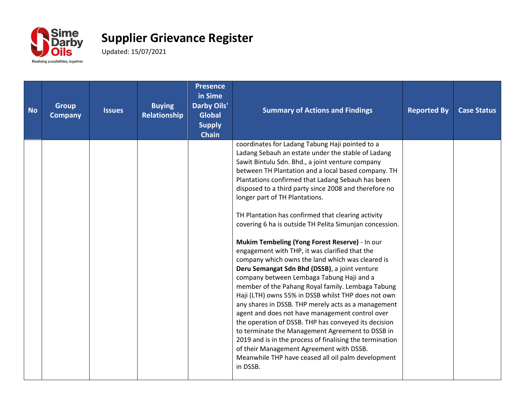

| <b>No</b> | <b>Group</b><br><b>Company</b> | <b>Issues</b> | <b>Buying</b><br>Relationship | <b>Presence</b><br>in Sime<br><b>Darby Oils'</b><br><b>Global</b><br><b>Supply</b><br><b>Chain</b> | <b>Summary of Actions and Findings</b>                                                                                                                                                                                                                                                                                                                                                                                                                                                                                                                                                                                                                                                                                                                                                                                                                                                                                                                                                                                                                                                                                                                                                                                                              | <b>Reported By</b> | <b>Case Status</b> |
|-----------|--------------------------------|---------------|-------------------------------|----------------------------------------------------------------------------------------------------|-----------------------------------------------------------------------------------------------------------------------------------------------------------------------------------------------------------------------------------------------------------------------------------------------------------------------------------------------------------------------------------------------------------------------------------------------------------------------------------------------------------------------------------------------------------------------------------------------------------------------------------------------------------------------------------------------------------------------------------------------------------------------------------------------------------------------------------------------------------------------------------------------------------------------------------------------------------------------------------------------------------------------------------------------------------------------------------------------------------------------------------------------------------------------------------------------------------------------------------------------------|--------------------|--------------------|
|           |                                |               |                               |                                                                                                    | coordinates for Ladang Tabung Haji pointed to a<br>Ladang Sebauh an estate under the stable of Ladang<br>Sawit Bintulu Sdn. Bhd., a joint venture company<br>between TH Plantation and a local based company. TH<br>Plantations confirmed that Ladang Sebauh has been<br>disposed to a third party since 2008 and therefore no<br>longer part of TH Plantations.<br>TH Plantation has confirmed that clearing activity<br>covering 6 ha is outside TH Pelita Simunjan concession.<br>Mukim Tembeling (Yong Forest Reserve) - In our<br>engagement with THP, it was clarified that the<br>company which owns the land which was cleared is<br>Deru Semangat Sdn Bhd (DSSB), a joint venture<br>company between Lembaga Tabung Haji and a<br>member of the Pahang Royal family. Lembaga Tabung<br>Haji (LTH) owns 55% in DSSB whilst THP does not own<br>any shares in DSSB. THP merely acts as a management<br>agent and does not have management control over<br>the operation of DSSB. THP has conveyed its decision<br>to terminate the Management Agreement to DSSB in<br>2019 and is in the process of finalising the termination<br>of their Management Agreement with DSSB.<br>Meanwhile THP have ceased all oil palm development<br>in DSSB. |                    |                    |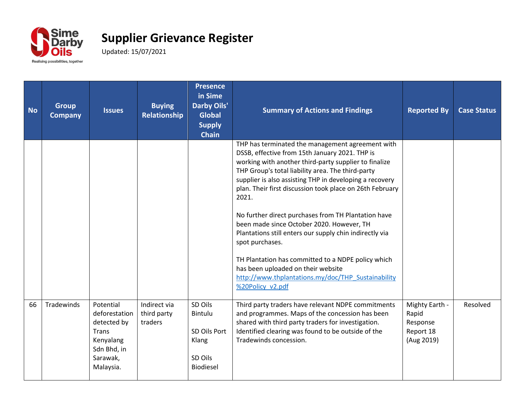

| <b>No</b> | <b>Group</b><br><b>Company</b> | <b>Issues</b>                                                                                           | <b>Buying</b><br><b>Relationship</b>   | <b>Presence</b><br>in Sime<br><b>Darby Oils'</b><br><b>Global</b><br><b>Supply</b><br><b>Chain</b> | <b>Summary of Actions and Findings</b>                                                                                                                                                                                                                                                                                                                                                                                                                                                                                                                                                                                                                                                                   | <b>Reported By</b>                                             | <b>Case Status</b> |
|-----------|--------------------------------|---------------------------------------------------------------------------------------------------------|----------------------------------------|----------------------------------------------------------------------------------------------------|----------------------------------------------------------------------------------------------------------------------------------------------------------------------------------------------------------------------------------------------------------------------------------------------------------------------------------------------------------------------------------------------------------------------------------------------------------------------------------------------------------------------------------------------------------------------------------------------------------------------------------------------------------------------------------------------------------|----------------------------------------------------------------|--------------------|
|           |                                |                                                                                                         |                                        |                                                                                                    | THP has terminated the management agreement with<br>DSSB, effective from 15th January 2021. THP is<br>working with another third-party supplier to finalize<br>THP Group's total liability area. The third-party<br>supplier is also assisting THP in developing a recovery<br>plan. Their first discussion took place on 26th February<br>2021.<br>No further direct purchases from TH Plantation have<br>been made since October 2020. However, TH<br>Plantations still enters our supply chin indirectly via<br>spot purchases.<br>TH Plantation has committed to a NDPE policy which<br>has been uploaded on their website<br>http://www.thplantations.my/doc/THP Sustainability<br>%20Policy v2.pdf |                                                                |                    |
| 66        | Tradewinds                     | Potential<br>deforestation<br>detected by<br>Trans<br>Kenyalang<br>Sdn Bhd, in<br>Sarawak,<br>Malaysia. | Indirect via<br>third party<br>traders | SD Oils<br>Bintulu<br>SD Oils Port<br>Klang<br>SD Oils<br>Biodiesel                                | Third party traders have relevant NDPE commitments<br>and programmes. Maps of the concession has been<br>shared with third party traders for investigation.<br>Identified clearing was found to be outside of the<br>Tradewinds concession.                                                                                                                                                                                                                                                                                                                                                                                                                                                              | Mighty Earth -<br>Rapid<br>Response<br>Report 18<br>(Aug 2019) | Resolved           |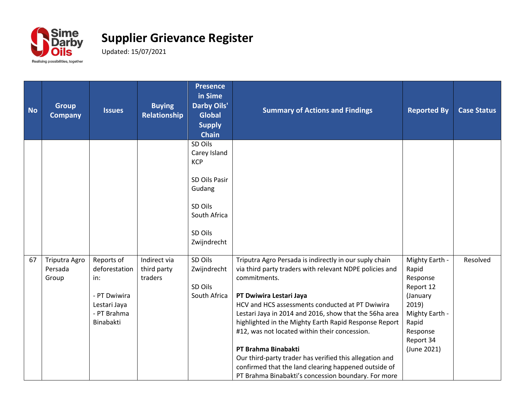

| <b>No</b> | <b>Group</b><br><b>Company</b>    | <b>Issues</b>                                                                                  | <b>Buying</b><br>Relationship          | <b>Presence</b><br>in Sime<br><b>Darby Oils'</b><br><b>Global</b><br><b>Supply</b><br><b>Chain</b>                    | <b>Summary of Actions and Findings</b>                                                                                                                                                                                                                                                                                                                                                                                                                                                                                                                                               | <b>Reported By</b>                                                                                                                       | <b>Case Status</b> |
|-----------|-----------------------------------|------------------------------------------------------------------------------------------------|----------------------------------------|-----------------------------------------------------------------------------------------------------------------------|--------------------------------------------------------------------------------------------------------------------------------------------------------------------------------------------------------------------------------------------------------------------------------------------------------------------------------------------------------------------------------------------------------------------------------------------------------------------------------------------------------------------------------------------------------------------------------------|------------------------------------------------------------------------------------------------------------------------------------------|--------------------|
|           |                                   |                                                                                                |                                        | SD Oils<br>Carey Island<br><b>KCP</b><br>SD Oils Pasir<br>Gudang<br>SD Oils<br>South Africa<br>SD Oils<br>Zwijndrecht |                                                                                                                                                                                                                                                                                                                                                                                                                                                                                                                                                                                      |                                                                                                                                          |                    |
| 67        | Triputra Agro<br>Persada<br>Group | Reports of<br>deforestation<br>in:<br>- PT Dwiwira<br>Lestari Jaya<br>- PT Brahma<br>Binabakti | Indirect via<br>third party<br>traders | SD Oils<br>Zwijndrecht<br>SD Oils<br>South Africa                                                                     | Triputra Agro Persada is indirectly in our suply chain<br>via third party traders with relevant NDPE policies and<br>commitments.<br>PT Dwiwira Lestari Jaya<br>HCV and HCS assessments conducted at PT Dwiwira<br>Lestari Jaya in 2014 and 2016, show that the 56ha area<br>highlighted in the Mighty Earth Rapid Response Report<br>#12, was not located within their concession.<br>PT Brahma Binabakti<br>Our third-party trader has verified this allegation and<br>confirmed that the land clearing happened outside of<br>PT Brahma Binabakti's concession boundary. For more | Mighty Earth -<br>Rapid<br>Response<br>Report 12<br>(January<br>2019)<br>Mighty Earth -<br>Rapid<br>Response<br>Report 34<br>(June 2021) | Resolved           |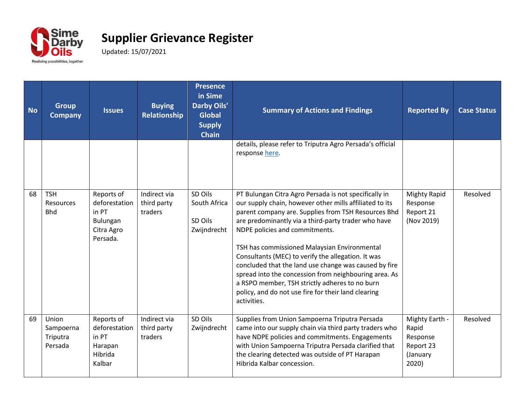

| <b>No</b> | <b>Group</b><br><b>Company</b>            | <b>Issues</b>                                                              | <b>Buying</b><br>Relationship          | <b>Presence</b><br>in Sime<br><b>Darby Oils'</b><br><b>Global</b><br><b>Supply</b><br><b>Chain</b> | <b>Summary of Actions and Findings</b>                                                                                                                                                                                                                                                                                                                                                                                                                                                                                                                                                                           | <b>Reported By</b>                                                    | <b>Case Status</b> |
|-----------|-------------------------------------------|----------------------------------------------------------------------------|----------------------------------------|----------------------------------------------------------------------------------------------------|------------------------------------------------------------------------------------------------------------------------------------------------------------------------------------------------------------------------------------------------------------------------------------------------------------------------------------------------------------------------------------------------------------------------------------------------------------------------------------------------------------------------------------------------------------------------------------------------------------------|-----------------------------------------------------------------------|--------------------|
|           |                                           |                                                                            |                                        |                                                                                                    | details, please refer to Triputra Agro Persada's official<br>response here.                                                                                                                                                                                                                                                                                                                                                                                                                                                                                                                                      |                                                                       |                    |
| 68        | <b>TSH</b><br>Resources<br><b>Bhd</b>     | Reports of<br>deforestation<br>in PT<br>Bulungan<br>Citra Agro<br>Persada. | Indirect via<br>third party<br>traders | SD Oils<br>South Africa<br>SD Oils<br>Zwijndrecht                                                  | PT Bulungan Citra Agro Persada is not specifically in<br>our supply chain, however other mills affiliated to its<br>parent company are. Supplies from TSH Resources Bhd<br>are predominantly via a third-party trader who have<br>NDPE policies and commitments.<br>TSH has commissioned Malaysian Environmental<br>Consultants (MEC) to verify the allegation. It was<br>concluded that the land use change was caused by fire<br>spread into the concession from neighbouring area. As<br>a RSPO member, TSH strictly adheres to no burn<br>policy, and do not use fire for their land clearing<br>activities. | <b>Mighty Rapid</b><br>Response<br>Report 21<br>(Nov 2019)            | Resolved           |
| 69        | Union<br>Sampoerna<br>Triputra<br>Persada | Reports of<br>deforestation<br>in PT<br>Harapan<br>Hibrida<br>Kalbar       | Indirect via<br>third party<br>traders | SD Oils<br>Zwijndrecht                                                                             | Supplies from Union Sampoerna Triputra Persada<br>came into our supply chain via third party traders who<br>have NDPE policies and commitments. Engagements<br>with Union Sampoerna Triputra Persada clarified that<br>the clearing detected was outside of PT Harapan<br>Hibrida Kalbar concession.                                                                                                                                                                                                                                                                                                             | Mighty Earth -<br>Rapid<br>Response<br>Report 23<br>(January<br>2020) | Resolved           |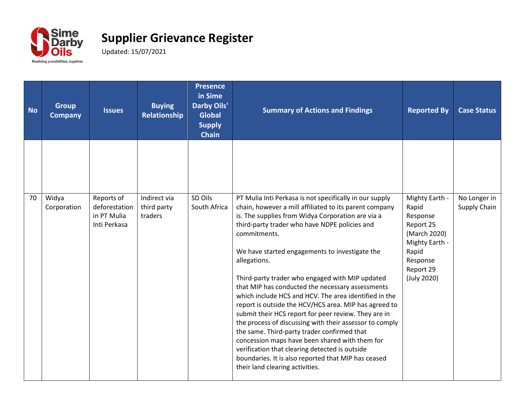

| <b>No</b> | <b>Group</b><br><b>Company</b> | <b>Issues</b>                                              | <b>Buying</b><br>Relationship          | <b>Presence</b><br>in Sime<br><b>Darby Oils'</b><br><b>Global</b><br><b>Supply</b><br><b>Chain</b> | <b>Summary of Actions and Findings</b>                                                                                                                                                                                                                                                                                                                                                                                                                                                                                                                                                                                                                                                                                                                                                                                                                                                             | <b>Reported By</b>                                                                                                                  | <b>Case Status</b>           |
|-----------|--------------------------------|------------------------------------------------------------|----------------------------------------|----------------------------------------------------------------------------------------------------|----------------------------------------------------------------------------------------------------------------------------------------------------------------------------------------------------------------------------------------------------------------------------------------------------------------------------------------------------------------------------------------------------------------------------------------------------------------------------------------------------------------------------------------------------------------------------------------------------------------------------------------------------------------------------------------------------------------------------------------------------------------------------------------------------------------------------------------------------------------------------------------------------|-------------------------------------------------------------------------------------------------------------------------------------|------------------------------|
|           |                                |                                                            |                                        |                                                                                                    |                                                                                                                                                                                                                                                                                                                                                                                                                                                                                                                                                                                                                                                                                                                                                                                                                                                                                                    |                                                                                                                                     |                              |
| 70        | Widya<br>Corporation           | Reports of<br>deforestation<br>in PT Mulia<br>Inti Perkasa | Indirect via<br>third party<br>traders | SD Oils<br>South Africa                                                                            | PT Mulia Inti Perkasa is not specifically in our supply<br>chain, however a mill affiliated to its parent company<br>is. The supplies from Widya Corporation are via a<br>third-party trader who have NDPE policies and<br>commitments.<br>We have started engagements to investigate the<br>allegations.<br>Third-party trader who engaged with MIP updated<br>that MIP has conducted the necessary assessments<br>which include HCS and HCV. The area identified in the<br>report is outside the HCV/HCS area. MIP has agreed to<br>submit their HCS report for peer review. They are in<br>the process of discussing with their assessor to comply<br>the same. Third-party trader confirmed that<br>concession maps have been shared with them for<br>verification that clearing detected is outside<br>boundaries. It is also reported that MIP has ceased<br>their land clearing activities. | Mighty Earth -<br>Rapid<br>Response<br>Report 25<br>(March 2020)<br>Mighty Earth -<br>Rapid<br>Response<br>Report 29<br>(July 2020) | No Longer in<br>Supply Chain |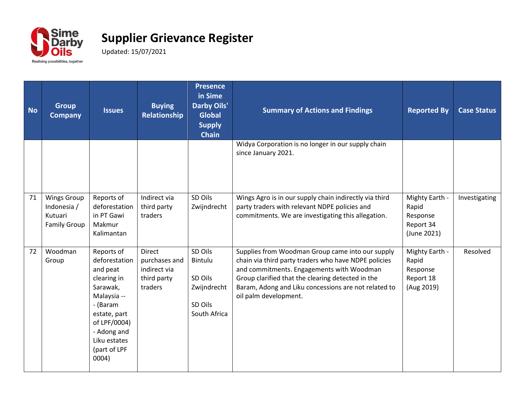

| <b>No</b> | <b>Group</b><br><b>Company</b>                                      | <b>Issues</b>                                                                                                                                                                         | <b>Buying</b><br>Relationship                                     | <b>Presence</b><br>in Sime<br><b>Darby Oils'</b><br><b>Global</b><br><b>Supply</b><br><b>Chain</b> | <b>Summary of Actions and Findings</b>                                                                                                                                                                                                                                                      | <b>Reported By</b>                                              | <b>Case Status</b> |
|-----------|---------------------------------------------------------------------|---------------------------------------------------------------------------------------------------------------------------------------------------------------------------------------|-------------------------------------------------------------------|----------------------------------------------------------------------------------------------------|---------------------------------------------------------------------------------------------------------------------------------------------------------------------------------------------------------------------------------------------------------------------------------------------|-----------------------------------------------------------------|--------------------|
|           |                                                                     |                                                                                                                                                                                       |                                                                   |                                                                                                    | Widya Corporation is no longer in our supply chain<br>since January 2021.                                                                                                                                                                                                                   |                                                                 |                    |
| 71        | <b>Wings Group</b><br>Indonesia /<br>Kutuari<br><b>Family Group</b> | Reports of<br>deforestation<br>in PT Gawi<br>Makmur<br>Kalimantan                                                                                                                     | Indirect via<br>third party<br>traders                            | SD Oils<br>Zwijndrecht                                                                             | Wings Agro is in our supply chain indirectly via third<br>party traders with relevant NDPE policies and<br>commitments. We are investigating this allegation.                                                                                                                               | Mighty Earth -<br>Rapid<br>Response<br>Report 34<br>(June 2021) | Investigating      |
| 72        | Woodman<br>Group                                                    | Reports of<br>deforestation<br>and peat<br>clearing in<br>Sarawak,<br>Malaysia --<br>- (Baram<br>estate, part<br>of LPF/0004)<br>- Adong and<br>Liku estates<br>(part of LPF<br>0004) | Direct<br>purchases and<br>indirect via<br>third party<br>traders | SD Oils<br>Bintulu<br>SD Oils<br>Zwijndrecht<br>SD Oils<br>South Africa                            | Supplies from Woodman Group came into our supply<br>chain via third party traders who have NDPE policies<br>and commitments. Engagements with Woodman<br>Group clarified that the clearing detected in the<br>Baram, Adong and Liku concessions are not related to<br>oil palm development. | Mighty Earth -<br>Rapid<br>Response<br>Report 18<br>(Aug 2019)  | Resolved           |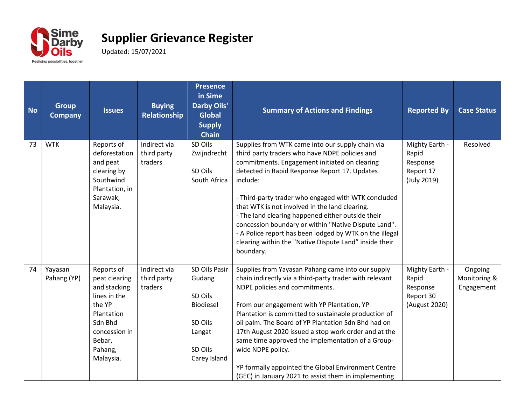

| <b>No</b> | <b>Group</b><br><b>Company</b> | <b>Issues</b>                                                                                                                                     | <b>Buying</b><br>Relationship          | <b>Presence</b><br>in Sime<br><b>Darby Oils'</b><br><b>Global</b><br><b>Supply</b><br><b>Chain</b> | <b>Summary of Actions and Findings</b>                                                                                                                                                                                                                                                                                                                                                                                                                                                                                                                                   | <b>Reported By</b>                                                | <b>Case Status</b>                    |
|-----------|--------------------------------|---------------------------------------------------------------------------------------------------------------------------------------------------|----------------------------------------|----------------------------------------------------------------------------------------------------|--------------------------------------------------------------------------------------------------------------------------------------------------------------------------------------------------------------------------------------------------------------------------------------------------------------------------------------------------------------------------------------------------------------------------------------------------------------------------------------------------------------------------------------------------------------------------|-------------------------------------------------------------------|---------------------------------------|
| 73        | <b>WTK</b>                     | Reports of<br>deforestation<br>and peat<br>clearing by<br>Southwind<br>Plantation, in<br>Sarawak,<br>Malaysia.                                    | Indirect via<br>third party<br>traders | SD Oils<br>Zwijndrecht<br>SD Oils<br>South Africa                                                  | Supplies from WTK came into our supply chain via<br>third party traders who have NDPE policies and<br>commitments. Engagement initiated on clearing<br>detected in Rapid Response Report 17. Updates<br>include:<br>- Third-party trader who engaged with WTK concluded<br>that WTK is not involved in the land clearing.<br>- The land clearing happened either outside their<br>concession boundary or within "Native Dispute Land".<br>- A Police report has been lodged by WTK on the illegal<br>clearing within the "Native Dispute Land" inside their<br>boundary. | Mighty Earth -<br>Rapid<br>Response<br>Report 17<br>(July 2019)   | Resolved                              |
| 74        | Yayasan<br>Pahang (YP)         | Reports of<br>peat clearing<br>and stacking<br>lines in the<br>the YP<br>Plantation<br>Sdn Bhd<br>concession in<br>Bebar,<br>Pahang,<br>Malaysia. | Indirect via<br>third party<br>traders | SD Oils Pasir<br>Gudang<br>SD Oils<br>Biodiesel<br>SD Oils<br>Langat<br>SD Oils<br>Carey Island    | Supplies from Yayasan Pahang came into our supply<br>chain indirectly via a third-party trader with relevant<br>NDPE policies and commitments.<br>From our engagement with YP Plantation, YP<br>Plantation is committed to sustainable production of<br>oil palm. The Board of YP Plantation Sdn Bhd had on<br>17th August 2020 issued a stop work order and at the<br>same time approved the implementation of a Group-<br>wide NDPE policy.<br>YP formally appointed the Global Environment Centre<br>(GEC) in January 2021 to assist them in implementing             | Mighty Earth -<br>Rapid<br>Response<br>Report 30<br>(August 2020) | Ongoing<br>Monitoring &<br>Engagement |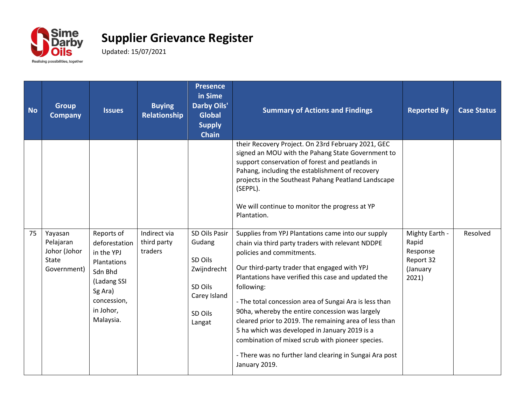

## **Supplier Grievance Register**

Updated: 15/07/2021

| <b>No</b> | <b>Group</b><br><b>Company</b>                               | <b>Issues</b>                                                                                                                                 | <b>Buying</b><br>Relationship          | <b>Presence</b><br>in Sime<br><b>Darby Oils'</b><br><b>Global</b><br><b>Supply</b><br><b>Chain</b> | <b>Summary of Actions and Findings</b>                                                                                                                                                                                                                                                                                                                                                                                                                                                                                                                                                                            | <b>Reported By</b>                                                    | <b>Case Status</b> |
|-----------|--------------------------------------------------------------|-----------------------------------------------------------------------------------------------------------------------------------------------|----------------------------------------|----------------------------------------------------------------------------------------------------|-------------------------------------------------------------------------------------------------------------------------------------------------------------------------------------------------------------------------------------------------------------------------------------------------------------------------------------------------------------------------------------------------------------------------------------------------------------------------------------------------------------------------------------------------------------------------------------------------------------------|-----------------------------------------------------------------------|--------------------|
|           |                                                              |                                                                                                                                               |                                        |                                                                                                    | their Recovery Project. On 23rd February 2021, GEC<br>signed an MOU with the Pahang State Government to<br>support conservation of forest and peatlands in<br>Pahang, including the establishment of recovery<br>projects in the Southeast Pahang Peatland Landscape<br>(SEPPL).<br>We will continue to monitor the progress at YP<br>Plantation.                                                                                                                                                                                                                                                                 |                                                                       |                    |
| 75        | Yayasan<br>Pelajaran<br>Johor (Johor<br>State<br>Government) | Reports of<br>deforestation<br>in the YPJ<br><b>Plantations</b><br>Sdn Bhd<br>(Ladang SSI<br>Sg Ara)<br>concession,<br>in Johor,<br>Malaysia. | Indirect via<br>third party<br>traders | SD Oils Pasir<br>Gudang<br>SD Oils<br>Zwijndrecht<br>SD Oils<br>Carey Island<br>SD Oils<br>Langat  | Supplies from YPJ Plantations came into our supply<br>chain via third party traders with relevant NDDPE<br>policies and commitments.<br>Our third-party trader that engaged with YPJ<br>Plantations have verified this case and updated the<br>following:<br>- The total concession area of Sungai Ara is less than<br>90ha, whereby the entire concession was largely<br>cleared prior to 2019. The remaining area of less than<br>5 ha which was developed in January 2019 is a<br>combination of mixed scrub with pioneer species.<br>- There was no further land clearing in Sungai Ara post<br>January 2019. | Mighty Earth -<br>Rapid<br>Response<br>Report 32<br>(January<br>2021) | Resolved           |